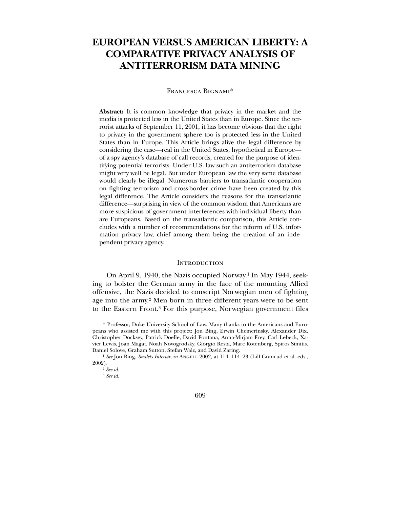# **EUROPEAN VERSUS AMERICAN LIBERTY: A COMPARATIVE PRIVACY ANALYSIS OF ANTITERRORISM DATA MINING**

#### Francesca Bignami\*

**Abstract:** It is common knowledge that privacy in the market and the media is protected less in the United States than in Europe. Since the terrorist attacks of September 11, 2001, it has become obvious that the right to privacy in the government sphere too is protected less in the United States than in Europe. This Article brings alive the legal difference by considering the case—real in the United States, hypothetical in Europe of a spy agency's database of call records, created for the purpose of identifying potential terrorists. Under U.S. law such an antiterrorism database might very well be legal. But under European law the very same database would clearly be illegal. Numerous barriers to transatlantic cooperation on fighting terrorism and cross-border crime have been created by this legal difference. The Article considers the reasons for the transatlantic difference—surprising in view of the common wisdom that Americans are more suspicious of government interferences with individual liberty than are Europeans. Based on the transatlantic comparison, this Article concludes with a number of recommendations for the reform of U.S. information privacy law, chief among them being the creation of an independent privacy agency.

#### **INTRODUCTION**

 On April 9, 1940, the Nazis occupied Norway.1 In May 1944, seeking to bolster the German army in the face of the mounting Allied offensive, the Nazis decided to conscript Norwegian men of fighting age into the army.2 Men born in three different years were to be sent to the Eastern Front.3 For this purpose, Norwegian government files

 $\overline{a}$ 

609

<sup>\*</sup> Professor, Duke University School of Law. Many thanks to the Americans and Europeans who assisted me with this project: Jon Bing, Erwin Chemerinsky, Alexander Dix, Christopher Docksey, Patrick Doelle, David Fontana, Anna-Mirjam Frey, Carl Lebeck, Xavier Lewis, Joan Magat, Noah Novogrodsky, Giorgio Resta, Marc Rotenberg, Spiros Simitis, Daniel Solove, Graham Sutton, Stefan Walz, and David Zaring.

<sup>&</sup>lt;sup>1</sup> See Jon Bing, *Smilets Interiør*, *in* ANGELL 2002, at 114, 114-23 (Lill Granrud et al. eds., 2002).

<sup>2</sup> *See id.*

<sup>3</sup> *See id.*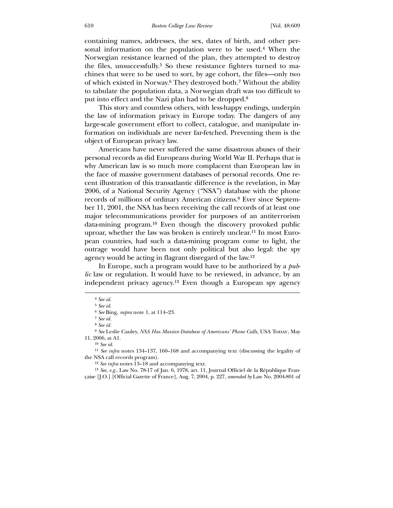containing names, addresses, the sex, dates of birth, and other personal information on the population were to be used.4 When the Norwegian resistance learned of the plan, they attempted to destroy the files, unsuccessfully.5 So these resistance fighters turned to machines that were to be used to sort, by age cohort, the files—only two of which existed in Norway.6 They destroyed both.7 Without the ability to tabulate the population data, a Norwegian draft was too difficult to put into effect and the Nazi plan had to be dropped.8

 This story and countless others, with less-happy endings, underpin the law of information privacy in Europe today. The dangers of any large-scale government effort to collect, catalogue, and manipulate information on individuals are never far-fetched. Preventing them is the object of European privacy law.

 Americans have never suffered the same disastrous abuses of their personal records as did Europeans during World War II. Perhaps that is why American law is so much more complacent than European law in the face of massive government databases of personal records. One recent illustration of this transatlantic difference is the revelation, in May 2006, of a National Security Agency ("NSA") database with the phone records of millions of ordinary American citizens.9 Ever since September 11, 2001, the NSA has been receiving the call records of at least one major telecommunications provider for purposes of an antiterrorism data-mining program.10 Even though the discovery provoked public uproar, whether the law was broken is entirely unclear.11 In most European countries, had such a data-mining program come to light, the outrage would have been not only political but also legal: the spy agency would be acting in flagrant disregard of the law.12

 In Europe, such a program would have to be authorized by a *public* law or regulation. It would have to be reviewed, in advance, by an independent privacy agency.13 Even though a European spy agency

 $\overline{a}$ 

10 *See id*.

<sup>4</sup> *See id.*

<sup>5</sup> *See id.*

<sup>6</sup> *See* Bing, *supra* note 1, at 114–23.

<sup>7</sup> *See id.*

<sup>8</sup> *See id.*

<sup>&</sup>lt;sup>9</sup> See Leslie Cauley, *NSA Has Massive Database of Americans' Phone Calls*, USA Today, May 11, 2006, at A1.

<sup>11</sup> *See infra* notes 134–137, 160–168 and accompanying text (discussing the legality of the NSA call records program).

<sup>12</sup> *See infra* notes 13–18 and accompanying text.

<sup>13</sup> *See, e.g.*, Law No. 78-17 of Jan. 6, 1978, art. 11, Journal Officiel de la République Française [J.O.] [Official Gazette of France], Aug. 7, 2004, p. 227, *amended by* Law No. 2004-801 of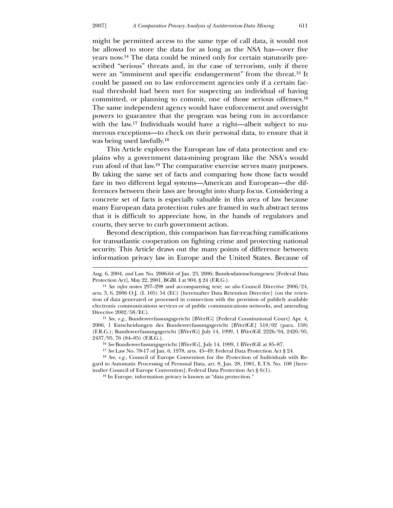<u>.</u>

might be permitted access to the same type of call data, it would not be allowed to store the data for as long as the NSA has—over five years now.14 The data could be mined only for certain statutorily prescribed "serious" threats and, in the case of terrorism, only if there were an "imminent and specific endangerment" from the threat.15 It could be passed on to law enforcement agencies only if a certain factual threshold had been met for suspecting an individual of having committed, or planning to commit, one of those serious offenses.16 The same independent agency would have enforcement and oversight powers to guarantee that the program was being run in accordance with the law.<sup>17</sup> Individuals would have a right—albeit subject to numerous exceptions—to check on their personal data, to ensure that it was being used lawfully.18

 This Article explores the European law of data protection and explains why a government data-mining program like the NSA's would run afoul of that law.19 The comparative exercise serves many purposes. By taking the same set of facts and comparing how those facts would fare in two different legal systems—American and European—the differences between their laws are brought into sharp focus. Considering a concrete set of facts is especially valuable in this area of law because many European data protection rules are framed in such abstract terms that it is difficult to appreciate how, in the hands of regulators and courts, they serve to curb government action.

 Beyond description, this comparison has far-reaching ramifications for transatlantic cooperation on fighting crime and protecting national security. This Article draws out the many points of difference between information privacy law in Europe and the United States. Because of

Aug. 6, 2004, *and* Law No. 2006-64 of Jan. 23, 2006; Bundesdatenschutzgesetz [Federal Data Protection Act], May 22, 2001, BGBl. I at 904, § 24 (F.R.G.).

<sup>14</sup> *See infra* notes 297–298 and accompanying text; *see also* Council Directive 2006/24, arts. 3, 6, 2006 O.J. (L 105) 54 (EC) [hereinafter Data Retention Directive] (on the retention of data generated or processed in connection with the provision of publicly available electronic communications services or of public communications networks, and amending Directive 2002/58/EC).

<sup>15</sup> *See, e.g.*, Bundesverfassungsgericht [BVerfG] [Federal Constitutional Court] Apr. 4, 2006, 1 Entscheidungen des Bundesverfassungsgericht [BVerfGE] 518/02 (para. 158) (F.R.G.); Bundesverfassungsgericht [BVerfG] July 14, 1999, 1 BVerfGE 2226/94, 2420/95, 2437/95, 76 (84–85) (F.R.G.).

<sup>16</sup> *See* Bundesverfassungsgericht [BVerfG], July 14, 1999, 1 BVerfGE at 85–87.

<sup>17</sup> *See* Law No. 78-17 of Jan. 6, 1978, arts. 45–49; Federal Data Protection Act § 24.

<sup>18</sup> *See, e.g.*, Council of Europe Convention for the Protection of Individuals with Regard to Automatic Processing of Personal Data, art. 8, Jan. 28, 1981, E.T.S. No. 108 [hereinafter Council of Europe Convention]; Federal Data Protection Act § 6(1).

<sup>19</sup> In Europe, information privacy is known as "data protection."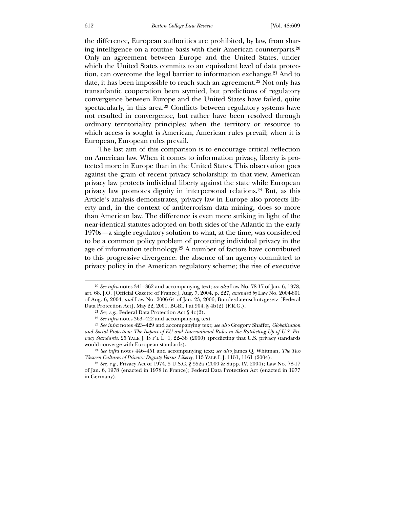the difference, European authorities are prohibited, by law, from sharing intelligence on a routine basis with their American counterparts.20 Only an agreement between Europe and the United States, under which the United States commits to an equivalent level of data protection, can overcome the legal barrier to information exchange.21 And to date, it has been impossible to reach such an agreement.<sup>22</sup> Not only has transatlantic cooperation been stymied, but predictions of regulatory convergence between Europe and the United States have failed, quite spectacularly, in this area.23 Conflicts between regulatory systems have not resulted in convergence, but rather have been resolved through ordinary territoriality principles: when the territory or resource to which access is sought is American, American rules prevail; when it is European, European rules prevail.

 The last aim of this comparison is to encourage critical reflection on American law. When it comes to information privacy, liberty is protected more in Europe than in the United States. This observation goes against the grain of recent privacy scholarship: in that view, American privacy law protects individual liberty against the state while European privacy law promotes dignity in interpersonal relations.24 But, as this Article's analysis demonstrates, privacy law in Europe also protects liberty and, in the context of antiterrorism data mining, does so more than American law. The difference is even more striking in light of the near-identical statutes adopted on both sides of the Atlantic in the early 1970s—a single regulatory solution to what, at the time, was considered to be a common policy problem of protecting individual privacy in the age of information technology.25 A number of factors have contributed to this progressive divergence: the absence of an agency committed to privacy policy in the American regulatory scheme; the rise of executive

<sup>20</sup> *See infra* notes 341–362 and accompanying text; *see also* Law No. 78-17 of Jan. 6, 1978, art. 68, J.O. [Official Gazette of France], Aug. 7, 2004, p. 227, *amended by* Law No. 2004-801 of Aug. 6, 2004, *and* Law No. 2006-64 of Jan. 23, 2006; Bundesdatenschutzgesetz [Federal Data Protection Act], May 22, 2001, BGBl. I at 904, § 4b(2) (F.R.G.).

<sup>21</sup> *See, e.g*., Federal Data Protection Act § 4c(2).

<sup>22</sup> *See infra* notes 363–422 and accompanying text.

<sup>23</sup> *See infra* notes 423–429 and accompanying text; *see also* Gregory Shaffer, *Globalization and Social Protection: The Impact of EU and International Rules in the Ratcheting Up of U.S. Privacy Standards*, 25 YALE J. INT'L L. 1, 22–38 (2000) (predicting that U.S. privacy standards would converge with European standards).

<sup>24</sup> *See infra* notes 446–451 and accompanying text; *see also* James Q. Whitman, *The Two Western Cultures of Privacy: Dignity Versus Liberty*, 113 Yale L.J. 1151, 1161 (2004).

<sup>25</sup> *See, e.g.*, Privacy Act of 1974, 5 U.S.C. § 552a (2000 & Supp. IV. 2004); Law No. 78-17 of Jan. 6, 1978 (enacted in 1978 in France); Federal Data Protection Act (enacted in 1977 in Germany).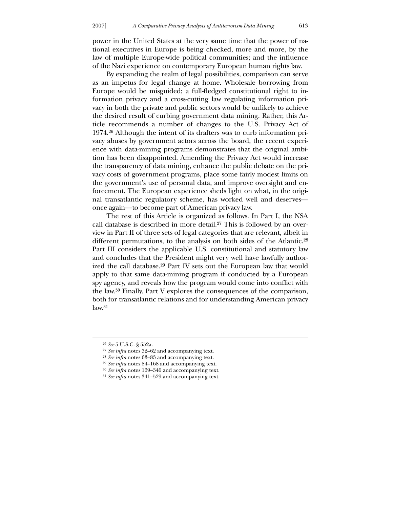power in the United States at the very same time that the power of national executives in Europe is being checked, more and more, by the law of multiple Europe-wide political communities; and the influence of the Nazi experience on contemporary European human rights law.

 By expanding the realm of legal possibilities, comparison can serve as an impetus for legal change at home. Wholesale borrowing from Europe would be misguided; a full-fledged constitutional right to information privacy and a cross-cutting law regulating information privacy in both the private and public sectors would be unlikely to achieve the desired result of curbing government data mining. Rather, this Article recommends a number of changes to the U.S. Privacy Act of 1974.26 Although the intent of its drafters was to curb information privacy abuses by government actors across the board, the recent experience with data-mining programs demonstrates that the original ambition has been disappointed. Amending the Privacy Act would increase the transparency of data mining, enhance the public debate on the privacy costs of government programs, place some fairly modest limits on the government's use of personal data, and improve oversight and enforcement. The European experience sheds light on what, in the original transatlantic regulatory scheme, has worked well and deserves once again—to become part of American privacy law.

 The rest of this Article is organized as follows. In Part I, the NSA call database is described in more detail.<sup>27</sup> This is followed by an overview in Part II of three sets of legal categories that are relevant, albeit in different permutations, to the analysis on both sides of the Atlantic.28 Part III considers the applicable U.S. constitutional and statutory law and concludes that the President might very well have lawfully authorized the call database.29 Part IV sets out the European law that would apply to that same data-mining program if conducted by a European spy agency, and reveals how the program would come into conflict with the law.30 Finally, Part V explores the consequences of the comparison, both for transatlantic relations and for understanding American privacy  $law.<sup>31</sup>$ 

<u>.</u>

<sup>26</sup> *See* 5 U.S.C. § 552a.

<sup>27</sup> *See infra* notes 32–62 and accompanying text.

<sup>28</sup> *See infra* notes 63–83 and accompanying text.

<sup>29</sup> *See infra* notes 84–168 and accompanying text.

<sup>30</sup> *See infra* notes 169–340 and accompanying text.

<sup>31</sup> *See infra* notes 341–529 and accompanying text.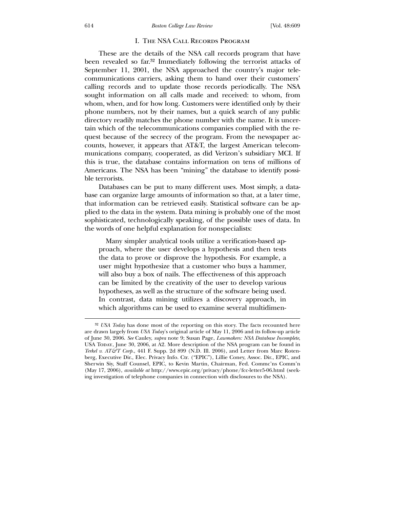#### I. The NSA Call Records Program

 These are the details of the NSA call records program that have been revealed so far.32 Immediately following the terrorist attacks of September 11, 2001, the NSA approached the country's major telecommunications carriers, asking them to hand over their customers' calling records and to update those records periodically. The NSA sought information on all calls made and received: to whom, from whom, when, and for how long. Customers were identified only by their phone numbers, not by their names, but a quick search of any public directory readily matches the phone number with the name. It is uncertain which of the telecommunications companies complied with the request because of the secrecy of the program. From the newspaper accounts, however, it appears that AT&T, the largest American telecommunications company, cooperated, as did Verizon's subsidiary MCI. If this is true, the database contains information on tens of millions of Americans. The NSA has been "mining" the database to identify possible terrorists.

 Databases can be put to many different uses. Most simply, a database can organize large amounts of information so that, at a later time, that information can be retrieved easily. Statistical software can be applied to the data in the system. Data mining is probably one of the most sophisticated, technologically speaking, of the possible uses of data. In the words of one helpful explanation for nonspecialists:

 Many simpler analytical tools utilize a verification-based approach, where the user develops a hypothesis and then tests the data to prove or disprove the hypothesis. For example, a user might hypothesize that a customer who buys a hammer, will also buy a box of nails. The effectiveness of this approach can be limited by the creativity of the user to develop various hypotheses, as well as the structure of the software being used. In contrast, data mining utilizes a discovery approach, in which algorithms can be used to examine several multidimen-

<sup>32</sup> *USA Today* has done most of the reporting on this story. The facts recounted here are drawn largely from *USA Today*'s original article of May 11, 2006 and its follow-up article of June 30, 2006. *See* Cauley, *supra* note 9; Susan Page, *Lawmakers: NSA Database Incomplete*, USA Today, June 30, 2006, at A2. More description of the NSA program can be found in *Terkel v. AT&T Corp.*, 441 F. Supp. 2d 899 (N.D. Ill. 2006), and Letter from Marc Rotenberg, Executive Dir., Elec. Privacy Info. Ctr. ("EPIC"), Lillie Coney, Assoc. Dir., EPIC, and Sherwin Siy, Staff Counsel, EPIC, to Kevin Martin, Chairman, Fed. Commc'ns Comm'n (May 17, 2006), *available at* http://www.epic.org/privacy/phone/fcc-letter5-06.html (seeking investigation of telephone companies in connection with disclosures to the NSA).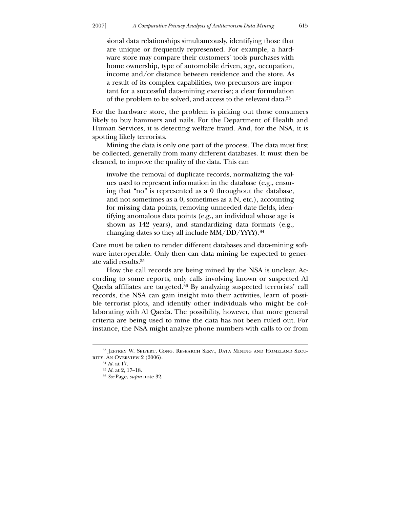sional data relationships simultaneously, identifying those that are unique or frequently represented. For example, a hardware store may compare their customers' tools purchases with home ownership, type of automobile driven, age, occupation, income and/or distance between residence and the store. As a result of its complex capabilities, two precursors are important for a successful data-mining exercise; a clear formulation of the problem to be solved, and access to the relevant data.33

For the hardware store, the problem is picking out those consumers likely to buy hammers and nails. For the Department of Health and Human Services, it is detecting welfare fraud. And, for the NSA, it is spotting likely terrorists.

 Mining the data is only one part of the process. The data must first be collected, generally from many different databases. It must then be cleaned, to improve the quality of the data. This can

involve the removal of duplicate records, normalizing the values used to represent information in the database (e.g., ensuring that "no" is represented as a 0 throughout the database, and not sometimes as a 0, sometimes as a N, etc.), accounting for missing data points, removing unneeded date fields, identifying anomalous data points (e.g., an individual whose age is shown as 142 years), and standardizing data formats (e.g., changing dates so they all include MM/DD/YYYY).34

Care must be taken to render different databases and data-mining software interoperable. Only then can data mining be expected to generate valid results.35

 How the call records are being mined by the NSA is unclear. According to some reports, only calls involving known or suspected Al Qaeda affiliates are targeted.36 By analyzing suspected terrorists' call records, the NSA can gain insight into their activities, learn of possible terrorist plots, and identify other individuals who might be collaborating with Al Qaeda. The possibility, however, that more general criteria are being used to mine the data has not been ruled out. For instance, the NSA might analyze phone numbers with calls to or from

<u>.</u>

<sup>33</sup> Jeffrey W. Seifert, Cong. Research Serv., Data Mining and Homeland Security: An Overview 2 (2006).

<sup>34</sup> *Id.* at 17.

<sup>35</sup> *Id.* at 2, 17–18.

<sup>36</sup> *See* Page, *supra* note 32.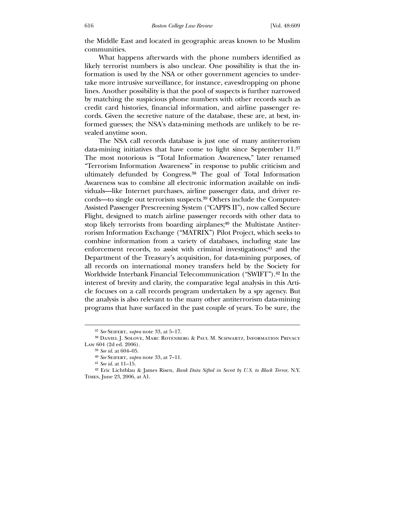the Middle East and located in geographic areas known to be Muslim communities.

 What happens afterwards with the phone numbers identified as likely terrorist numbers is also unclear. One possibility is that the information is used by the NSA or other government agencies to undertake more intrusive surveillance, for instance, eavesdropping on phone lines. Another possibility is that the pool of suspects is further narrowed by matching the suspicious phone numbers with other records such as credit card histories, financial information, and airline passenger records. Given the secretive nature of the database, these are, at best, informed guesses; the NSA's data-mining methods are unlikely to be revealed anytime soon.

 The NSA call records database is just one of many antiterrorism data-mining initiatives that have come to light since September 11.37 The most notorious is "Total Information Awareness," later renamed "Terrorism Information Awareness" in response to public criticism and ultimately defunded by Congress.38 The goal of Total Information Awareness was to combine all electronic information available on individuals—like Internet purchases, airline passenger data, and driver records—to single out terrorism suspects.39 Others include the Computer-Assisted Passenger Prescreening System ("CAPPS II"), now called Secure Flight, designed to match airline passenger records with other data to stop likely terrorists from boarding airplanes;<sup>40</sup> the Multistate Antiterrorism Information Exchange ("MATRIX") Pilot Project, which seeks to combine information from a variety of databases, including state law enforcement records, to assist with criminal investigations;<sup>41</sup> and the Department of the Treasury's acquisition, for data-mining purposes, of all records on international money transfers held by the Society for Worldwide Interbank Financial Telecommunication ("SWIFT").42 In the interest of brevity and clarity, the comparative legal analysis in this Article focuses on a call records program undertaken by a spy agency. But the analysis is also relevant to the many other antiterrorism data-mining programs that have surfaced in the past couple of years. To be sure, the

<sup>37</sup> *See* Seifert, *supra* note 33, at 5–17.

<sup>38</sup> Daniel J. Solove, Marc Rotenberg & Paul M. Schwartz, Information Privacy Law 604 (2d ed. 2006).

<sup>39</sup> *See id*. at 604–05.

<sup>40</sup> *See* Seifert, *supra* note 33, at 7–11.

<sup>41</sup> *See id*. at 11–15.

<sup>42</sup> Eric Lichtblau & James Risen, *Bank Data Sifted in Secret by U.S. to Block Terror*, N.Y. Times, June 23, 2006, at A1.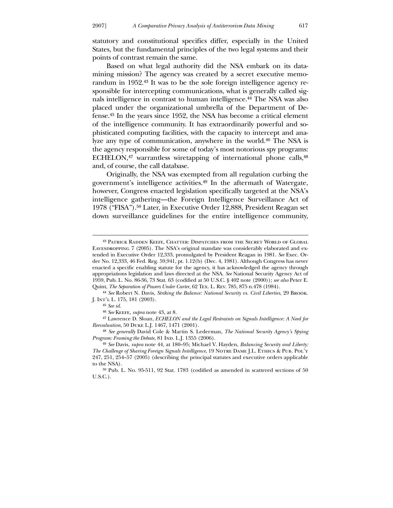statutory and constitutional specifics differ, especially in the United States, but the fundamental principles of the two legal systems and their points of contrast remain the same.

 Based on what legal authority did the NSA embark on its datamining mission? The agency was created by a secret executive memorandum in 1952.43 It was to be the sole foreign intelligence agency responsible for intercepting communications, what is generally called signals intelligence in contrast to human intelligence.44 The NSA was also placed under the organizational umbrella of the Department of Defense.45 In the years since 1952, the NSA has become a critical element of the intelligence community. It has extraordinarily powerful and sophisticated computing facilities, with the capacity to intercept and analyze any type of communication, anywhere in the world.46 The NSA is the agency responsible for some of today's most notorious spy programs: ECHELON,<sup>47</sup> warrantless wiretapping of international phone calls,<sup>48</sup> and, of course, the call database.

 Originally, the NSA was exempted from all regulation curbing the government's intelligence activities.49 In the aftermath of Watergate, however, Congress enacted legislation specifically targeted at the NSA's intelligence gathering—the Foreign Intelligence Surveillance Act of 1978 ("FISA").50 Later, in Executive Order 12,888, President Reagan set down surveillance guidelines for the entire intelligence community,

-

<sup>43</sup> Patrick Radden Keefe, Chatter: Dispatches from the Secret World of Global Eavesdropping 7 (2005). The NSA's original mandate was considerably elaborated and extended in Executive Order 12,333, promulgated by President Reagan in 1981. *See* Exec. Order No. 12,333, 46 Fed. Reg. 59,941, pt. 1.12(b) (Dec. 4, 1981). Although Congress has never enacted a specific enabling statute for the agency, it has acknowledged the agency through appropriations legislation and laws directed at the NSA. *See* National Security Agency Act of 1959, Pub. L. No. 86-36, 73 Stat. 63 (codified at 50 U.S.C. § 402 note (2000)); *see also* Peter E. Quint, *The Separation of Powers Under Carter*, 62 Tex. L. Rev. 785, 875 n.478 (1984).

<sup>44</sup> *See* Robert N. Davis, *Striking the Balance: National Security vs. Civil Liberties*, 29 Brook. J. Int'l L. 175, 181 (2003).

<sup>45</sup> *See id*.

<sup>46</sup> *See* Keefe, *supra* note 43, at 8.

<sup>47</sup> Lawrence D. Sloan, *ECHELON and the Legal Restraints on Signals Intelligence: A Need for Reevaluation*, 50 Duke L.J. 1467, 1471 (2001).

<sup>48</sup> *See generally* David Cole & Martin S. Lederman, *The National Security Agency's Spying*  Program: Framing the Debate, 81 IND. L.J. 1355 (2006).

<sup>49</sup> *See* Davis, *supra* note 44, at 180–95; Michael V. Hayden, *Balancing Security and Liberty: The Challenge of Sharing Foreign Signals Intelligence*, 19 Notre Dame J.L. Ethics & Pub. Pol'y 247, 251, 254–57 (2005) (describing the principal statutes and executive orders applicable to the NSA).

<sup>50</sup> Pub. L. No. 95-511, 92 Stat. 1783 (codified as amended in scattered sections of 50 U.S.C.).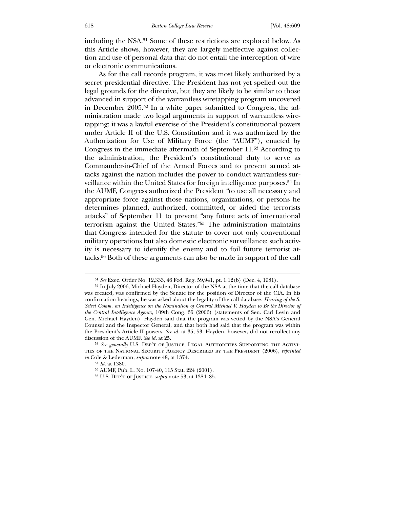including the NSA.51 Some of these restrictions are explored below. As this Article shows, however, they are largely ineffective against collection and use of personal data that do not entail the interception of wire or electronic communications.

 As for the call records program, it was most likely authorized by a secret presidential directive. The President has not yet spelled out the legal grounds for the directive, but they are likely to be similar to those advanced in support of the warrantless wiretapping program uncovered in December 2005.52 In a white paper submitted to Congress, the administration made two legal arguments in support of warrantless wiretapping: it was a lawful exercise of the President's constitutional powers under Article II of the U.S. Constitution and it was authorized by the Authorization for Use of Military Force (the "AUMF"), enacted by Congress in the immediate aftermath of September 11.53 According to the administration, the President's constitutional duty to serve as Commander-in-Chief of the Armed Forces and to prevent armed attacks against the nation includes the power to conduct warrantless surveillance within the United States for foreign intelligence purposes.54 In the AUMF, Congress authorized the President "to use all necessary and appropriate force against those nations, organizations, or persons he determines planned, authorized, committed, or aided the terrorists attacks" of September 11 to prevent "any future acts of international terrorism against the United States."55 The administration maintains that Congress intended for the statute to cover not only conventional military operations but also domestic electronic surveillance: such activity is necessary to identify the enemy and to foil future terrorist attacks.56 Both of these arguments can also be made in support of the call

<sup>51</sup> *See* Exec. Order No. 12,333, 46 Fed. Reg. 59,941, pt. 1.12(b) (Dec. 4, 1981).

<sup>52</sup> In July 2006, Michael Hayden, Director of the NSA at the time that the call database was created, was confirmed by the Senate for the position of Director of the CIA. In his confirmation hearings, he was asked about the legality of the call database. *Hearing of the S. Select Comm. on Intelligence on the Nomination of General Michael V. Hayden to Be the Director of the Central Intelligence Agency*, 109th Cong. 35 (2006) (statements of Sen. Carl Levin and Gen. Michael Hayden). Hayden said that the program was vetted by the NSA's General Counsel and the Inspector General, and that both had said that the program was within the President's Article II powers. *See id.* at 35, 53. Hayden, however, did not recollect any discussion of the AUMF. *See id.* at 25.

<sup>53</sup> *See generally* U.S. Dep't of Justice, Legal Authorities Supporting the Activities of the National Security Agency Described by the President (2006), *reprinted in* Cole & Lederman*, supra* note 48, at 1374.

<sup>54</sup> *Id.* at 1380.

<sup>55</sup> AUMF, Pub. L. No. 107-40, 115 Stat. 224 (2001).

<sup>56</sup> U.S. Dep't of Justice, *supra* note 53, at 1384–85.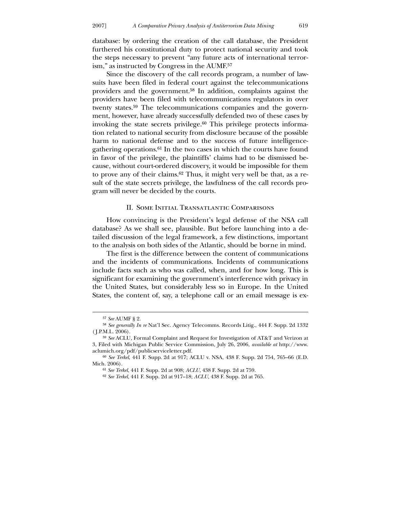database: by ordering the creation of the call database, the President furthered his constitutional duty to protect national security and took the steps necessary to prevent "any future acts of international terrorism," as instructed by Congress in the AUMF.57

 Since the discovery of the call records program, a number of lawsuits have been filed in federal court against the telecommunications providers and the government.58 In addition, complaints against the providers have been filed with telecommunications regulators in over twenty states.59 The telecommunications companies and the government, however, have already successfully defended two of these cases by invoking the state secrets privilege.60 This privilege protects information related to national security from disclosure because of the possible harm to national defense and to the success of future intelligencegathering operations.61 In the two cases in which the courts have found in favor of the privilege, the plaintiffs' claims had to be dismissed because, without court-ordered discovery, it would be impossible for them to prove any of their claims.62 Thus, it might very well be that, as a result of the state secrets privilege, the lawfulness of the call records program will never be decided by the courts.

#### II. Some Initial Transatlantic Comparisons

 How convincing is the President's legal defense of the NSA call database? As we shall see, plausible. But before launching into a detailed discussion of the legal framework, a few distinctions, important to the analysis on both sides of the Atlantic, should be borne in mind.

 The first is the difference between the content of communications and the incidents of communications. Incidents of communications include facts such as who was called, when, and for how long. This is significant for examining the government's interference with privacy in the United States, but considerably less so in Europe. In the United States, the content of, say, a telephone call or an email message is ex-

-

<sup>57</sup> *See* AUMF § 2.

<sup>58</sup> *See generally In re* Nat'l Sec. Agency Telecomms. Records Litig., 444 F. Supp. 2d 1332 ( J.P.M.L. 2006).

<sup>59</sup> *See* ACLU, Formal Complaint and Request for Investigation of AT&T and Verizon at 3, Filed with Michigan Public Service Commission, July 26, 2006, *available at* http://www. aclumich.org/pdf/publicserviceletter.pdf.

<sup>60</sup> *See Terkel*, 441 F. Supp. 2d at 917; ACLU v. NSA, 438 F. Supp. 2d 754, 765–66 (E.D. Mich. 2006).

<sup>61</sup> *See Terkel*, 441 F. Supp. 2d at 908; *ACLU*, 438 F. Supp. 2d at 759.

<sup>62</sup> *See Terkel*, 441 F. Supp. 2d at 917–18; *ACLU*, 438 F. Supp. 2d at 765.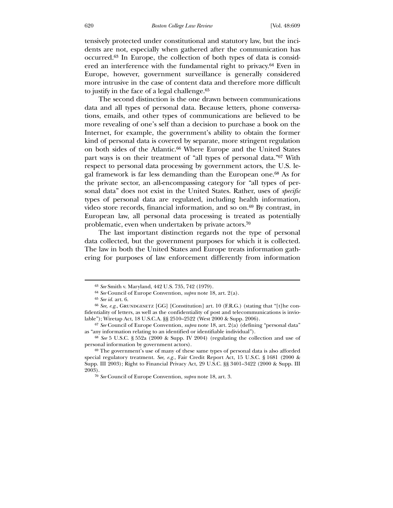tensively protected under constitutional and statutory law, but the incidents are not, especially when gathered after the communication has occurred.63 In Europe, the collection of both types of data is considered an interference with the fundamental right to privacy.<sup>64</sup> Even in Europe, however, government surveillance is generally considered more intrusive in the case of content data and therefore more difficult to justify in the face of a legal challenge.65

 The second distinction is the one drawn between communications data and all types of personal data. Because letters, phone conversations, emails, and other types of communications are believed to be more revealing of one's self than a decision to purchase a book on the Internet, for example, the government's ability to obtain the former kind of personal data is covered by separate, more stringent regulation on both sides of the Atlantic.66 Where Europe and the United States part ways is on their treatment of "all types of personal data."67 With respect to personal data processing by government actors, the U.S. legal framework is far less demanding than the European one.68 As for the private sector, an all-encompassing category for "all types of personal data" does not exist in the United States. Rather, uses of *specific* types of personal data are regulated, including health information, video store records, financial information, and so on.69 By contrast, in European law, all personal data processing is treated as potentially problematic, even when undertaken by private actors.70

 The last important distinction regards not the type of personal data collected, but the government purposes for which it is collected. The law in both the United States and Europe treats information gathering for purposes of law enforcement differently from information

<sup>63</sup> *See* Smith v. Maryland, 442 U.S. 735, 742 (1979).

<sup>64</sup> *See* Council of Europe Convention, *supra* note 18, art. 2(a).

<sup>65</sup> *See id.* art. 6.

<sup>&</sup>lt;sup>66</sup> See, e.g., GRUNDGESETZ [GG] [Constitution] art. 10 (F.R.G.) (stating that "[t]he confidentiality of letters, as well as the confidentiality of post and telecommunications is inviolable"); Wiretap Act, 18 U.S.C.A. §§ 2510–2522 (West 2000 & Supp. 2006).

<sup>67</sup> *See* Council of Europe Convention, *supra* note 18, art. 2(a) (defining "personal data" as "any information relating to an identified or identifiable individual").

<sup>68</sup> *See* 5 U.S.C. § 552a (2000 & Supp. IV 2004) (regulating the collection and use of personal information by government actors).

<sup>69</sup> The government's use of many of these same types of personal data is also afforded special regulatory treatment. *See, e.g.*, Fair Credit Report Act, 15 U.S.C. § 1681 (2000 & Supp. III 2003); Right to Financial Privacy Act, 29 U.S.C. §§ 3401–3422 (2000 & Supp. III 2003).

<sup>70</sup> *See* Council of Europe Convention, *supra* note 18, art. 3.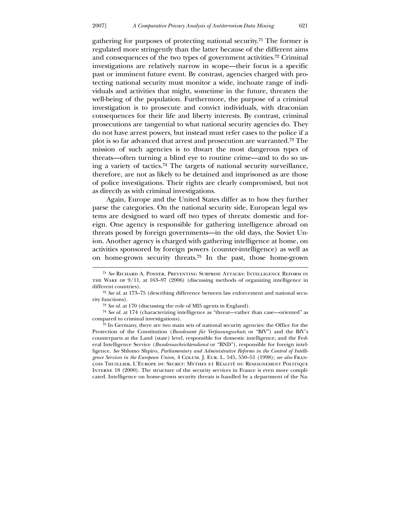<u>.</u>

gathering for purposes of protecting national security.71 The former is regulated more stringently than the latter because of the different aims and consequences of the two types of government activities.72 Criminal investigations are relatively narrow in scope—their focus is a specific past or imminent future event. By contrast, agencies charged with protecting national security must monitor a wide, inchoate range of individuals and activities that might, sometime in the future, threaten the well-being of the population. Furthermore, the purpose of a criminal investigation is to prosecute and convict individuals, with draconian consequences for their life and liberty interests. By contrast, criminal prosecutions are tangential to what national security agencies do. They do not have arrest powers, but instead must refer cases to the police if a plot is so far advanced that arrest and prosecution are warranted.73 The mission of such agencies is to thwart the most dangerous types of threats—often turning a blind eye to routine crime—and to do so using a variety of tactics.74 The targets of national security surveillance, therefore, are not as likely to be detained and imprisoned as are those of police investigations. Their rights are clearly compromised, but not as directly as with criminal investigations.

 Again, Europe and the United States differ as to how they further parse the categories. On the national security side, European legal systems are designed to ward off two types of threats: domestic and foreign. One agency is responsible for gathering intelligence abroad on threats posed by foreign governments—in the old days, the Soviet Union. Another agency is charged with gathering intelligence at home, on activities sponsored by foreign powers (counter-intelligence) as well as on home-grown security threats.75 In the past, those home-grown

<sup>71</sup> *See* Richard A. Posner, Preventing Surprise Attacks: Intelligence Reform in the Wake of 9/11, at 163–97 (2006) (discussing methods of organizing intelligence in different countries).

<sup>72</sup> *See id*. at 173–75 (describing difference between law enforcement and national security functions).

<sup>73</sup> *See id*. at 170 (discussing the role of MI5 agents in England).

<sup>74</sup> *See id*. at 174 (characterizing intelligence as "threat—rather than case—oriented" as compared to criminal investigations).

<sup>75</sup> In Germany, there are two main sets of national security agencies: the Office for the Protection of the Constitution (*Bundesamt für Verfassungsschutz* or "BfV") and the BfV's counterparts at the Land (state) level, responsible for domestic intelligence; and the Federal Intelligence Service (*Bundesnachrichtendienst* or "BND"), responsible for foreign intelligence. *See* Shlomo Shpiro, *Parliamentary and Administrative Reforms in the Control of Intelligence Services in the European Union*, 4 Colum. J. Eur. L. 545, 550–51 (1998); *see also* François Thuillier, L'Europe du Secret: Mythes et Réalité du Reseignement Politique Interne 18 (2000). The structure of the security services in France is even more complicated. Intelligence on home-grown security threats is handled by a department of the Na-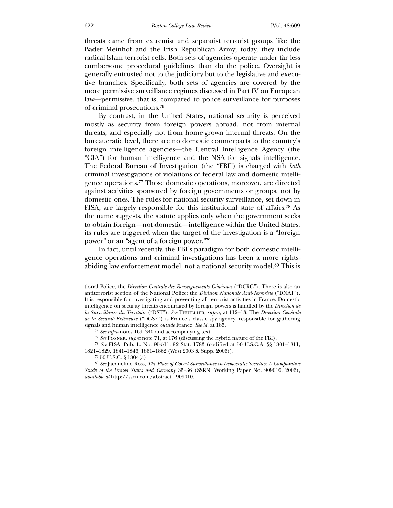threats came from extremist and separatist terrorist groups like the Bader Meinhof and the Irish Republican Army; today, they include radical-Islam terrorist cells. Both sets of agencies operate under far less cumbersome procedural guidelines than do the police. Oversight is generally entrusted not to the judiciary but to the legislative and executive branches. Specifically, both sets of agencies are covered by the more permissive surveillance regimes discussed in Part IV on European law—permissive, that is, compared to police surveillance for purposes of criminal prosecutions.76

 By contrast, in the United States, national security is perceived mostly as security from foreign powers abroad, not from internal threats, and especially not from home-grown internal threats. On the bureaucratic level, there are no domestic counterparts to the country's foreign intelligence agencies—the Central Intelligence Agency (the "CIA") for human intelligence and the NSA for signals intelligence. The Federal Bureau of Investigation (the "FBI") is charged with *both* criminal investigations of violations of federal law and domestic intelligence operations.77 Those domestic operations, moreover, are directed against activities sponsored by foreign governments or groups, not by domestic ones. The rules for national security surveillance, set down in FISA, are largely responsible for this institutional state of affairs.78 As the name suggests, the statute applies only when the government seeks to obtain foreign—not domestic—intelligence within the United States: its rules are triggered when the target of the investigation is a "foreign power" or an "agent of a foreign power."79

 In fact, until recently, the FBI's paradigm for both domestic intelligence operations and criminal investigations has been a more rightsabiding law enforcement model, not a national security model.80 This is

tional Police, the *Direction Centrale des Renseignements Généraux* ("DCRG"). There is also an antiterrorist section of the National Police: the *Division Nationale Anti-Terroriste* ("DNAT"). It is responsible for investigating and preventing all terrorist activities in France. Domestic intelligence on security threats encouraged by foreign powers is handled by the *Direction de la Surveillance du Territoire* ("DST"). *See* Thuillier, *supra*, at 112–13. The *Direction Générale de la Securité Extérieure* ("DGSE") is France's classic spy agency, responsible for gathering signals and human intelligence *outside* France. *See id.* at 185.

<sup>76</sup> *See infra* notes 169–340 and accompanying text.

<sup>77</sup> *See* Posner, *supra* note 71, at 176 (discussing the hybrid nature of the FBI).

<sup>78</sup> *See* FISA, Pub. L. No. 95-511, 92 Stat. 1783 (codified at 50 U.S.C.A. §§ 1801–1811, 1821–1829, 1841–1846, 1861–1862 (West 2003 & Supp. 2006)).

<sup>79</sup> 50 U.S.C. § 1804(a).

<sup>80</sup> *See* Jacqueline Ross, *The Place of Covert Surveillance in Democratic Societies: A Comparative Study of the United States and Germany* 35–36 (SSRN, Working Paper No. 909010, 2006), *available at* http://ssrn.com/abstract=909010.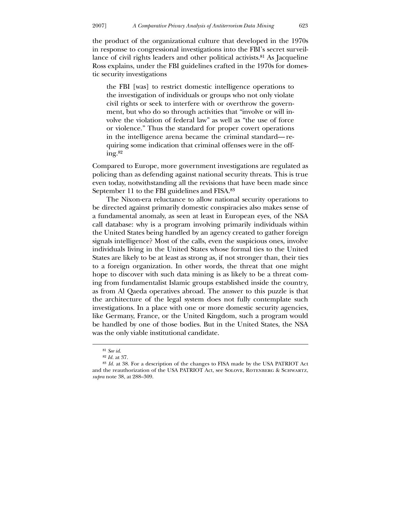the product of the organizational culture that developed in the 1970s in response to congressional investigations into the FBI's secret surveillance of civil rights leaders and other political activists.81 As Jacqueline Ross explains, under the FBI guidelines crafted in the 1970s for domestic security investigations

the FBI [was] to restrict domestic intelligence operations to the investigation of individuals or groups who not only violate civil rights or seek to interfere with or overthrow the government, but who do so through activities that "involve or will involve the violation of federal law" as well as "the use of force or violence." Thus the standard for proper covert operations in the intelligence arena became the criminal standard— requiring some indication that criminal offenses were in the offing.82

Compared to Europe, more government investigations are regulated as policing than as defending against national security threats. This is true even today, notwithstanding all the revisions that have been made since September 11 to the FBI guidelines and FISA.83

 The Nixon-era reluctance to allow national security operations to be directed against primarily domestic conspiracies also makes sense of a fundamental anomaly, as seen at least in European eyes, of the NSA call database: why is a program involving primarily individuals within the United States being handled by an agency created to gather foreign signals intelligence? Most of the calls, even the suspicious ones, involve individuals living in the United States whose formal ties to the United States are likely to be at least as strong as, if not stronger than, their ties to a foreign organization. In other words, the threat that one might hope to discover with such data mining is as likely to be a threat coming from fundamentalist Islamic groups established inside the country, as from Al Qaeda operatives abroad. The answer to this puzzle is that the architecture of the legal system does not fully contemplate such investigations. In a place with one or more domestic security agencies, like Germany, France, or the United Kingdom, such a program would be handled by one of those bodies. But in the United States, the NSA was the only viable institutional candidate.

<sup>81</sup> *See id*.

<sup>82</sup> *Id.* at 37.

<sup>83</sup> *Id.* at 38. For a description of the changes to FISA made by the USA PATRIOT Act and the reauthorization of the USA PATRIOT Act, see Solove, Rotenberg & Schwartz, *supra* note 38, at 288–309.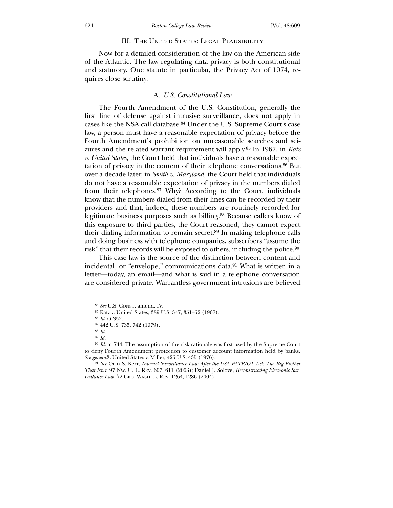#### III. THE UNITED STATES: LEGAL PLAUSIBILITY

 Now for a detailed consideration of the law on the American side of the Atlantic. The law regulating data privacy is both constitutional and statutory. One statute in particular, the Privacy Act of 1974, requires close scrutiny.

## A. *U.S. Constitutional Law*

 The Fourth Amendment of the U.S. Constitution, generally the first line of defense against intrusive surveillance, does not apply in cases like the NSA call database.84 Under the U.S. Supreme Court's case law, a person must have a reasonable expectation of privacy before the Fourth Amendment's prohibition on unreasonable searches and seizures and the related warrant requirement will apply.85 In 1967, in *Katz v. United States*, the Court held that individuals have a reasonable expectation of privacy in the content of their telephone conversations.86 But over a decade later, in *Smith v. Maryland*, the Court held that individuals do not have a reasonable expectation of privacy in the numbers dialed from their telephones.87 Why? According to the Court, individuals know that the numbers dialed from their lines can be recorded by their providers and that, indeed, these numbers are routinely recorded for legitimate business purposes such as billing.88 Because callers know of this exposure to third parties, the Court reasoned, they cannot expect their dialing information to remain secret.89 In making telephone calls and doing business with telephone companies, subscribers "assume the risk" that their records will be exposed to others, including the police.90

 This case law is the source of the distinction between content and incidental, or "envelope," communications data.91 What is written in a letter—today, an email—and what is said in a telephone conversation are considered private. Warrantless government intrusions are believed

<sup>&</sup>lt;sup>84</sup> See U.S. CONST. amend. IV.

<sup>85</sup> Katz v. United States, 389 U.S. 347, 351–52 (1967).

<sup>86</sup> *Id*. at 352.

<sup>87</sup> 442 U.S. 735, 742 (1979).

<sup>88</sup> *Id.*

<sup>89</sup> *Id*.

<sup>90</sup> *Id*. at 744. The assumption of the risk rationale was first used by the Supreme Court to deny Fourth Amendment protection to customer account information held by banks. *See generally* United States v. Miller, 425 U.S. 435 (1976).

<sup>91</sup> *See* Orin S. Kerr, *Internet Surveillance Law After the USA PATRIOT Act: The Big Brother That Isn't*, 97 Nw. U. L. Rev. 607, 611 (2003); Daniel J. Solove, *Reconstructing Electronic Surveillance Law*, 72 Geo. Wash. L. Rev. 1264, 1286 (2004).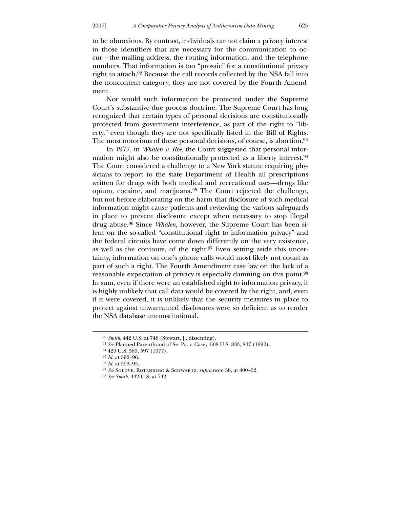to be obnoxious. By contrast, individuals cannot claim a privacy interest in those identifiers that are necessary for the communication to occur—the mailing address, the routing information, and the telephone numbers. That information is too "prosaic" for a constitutional privacy right to attach.92 Because the call records collected by the NSA fall into the noncontent category, they are not covered by the Fourth Amendment.

 Nor would such information be protected under the Supreme Court's substantive due process doctrine. The Supreme Court has long recognized that certain types of personal decisions are constitutionally protected from government interference, as part of the right to "liberty," even though they are not specifically listed in the Bill of Rights. The most notorious of these personal decisions, of course, is abortion.93

 In 1977, in *Whalen v. Roe*, the Court suggested that personal information might also be constitutionally protected as a liberty interest.94 The Court considered a challenge to a New York statute requiring physicians to report to the state Department of Health all prescriptions written for drugs with both medical and recreational uses—drugs like opium, cocaine, and marijuana.95 The Court rejected the challenge, but not before elaborating on the harm that disclosure of such medical information might cause patients and reviewing the various safeguards in place to prevent disclosure except when necessary to stop illegal drug abuse.96 Since *Whalen*, however, the Supreme Court has been silent on the so-called "constitutional right to information privacy" and the federal circuits have come down differently on the very existence, as well as the contours, of the right.97 Even setting aside this uncertainty, information on one's phone calls would most likely not count as part of such a right. The Fourth Amendment case law on the lack of a reasonable expectation of privacy is especially damning on this point.98 In sum, even if there were an established right to information privacy, it is highly unlikely that call data would be covered by the right, and, even if it were covered, it is unlikely that the security measures in place to protect against unwarranted disclosures were so deficient as to render the NSA database unconstitutional.

-

<sup>92</sup> *Smith*, 442 U.S. at 748 (Stewart, J., dissenting).

<sup>93</sup> *See* Planned Parenthood of Se. Pa. v. Casey, 508 U.S. 833, 847 (1992).

<sup>94</sup> 429 U.S. 589, 597 (1977).

<sup>95</sup> *Id*. at 592–96.

<sup>96</sup> *Id*. at 593–95.

<sup>97</sup> *See* Solove, Rotenberg & Schwartz, *supra* note 38, at 400–02.

<sup>98</sup> *See Smith*, 442 U.S. at 742.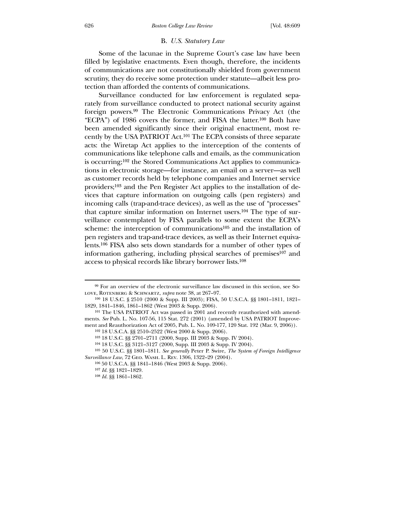#### B. *U.S. Statutory Law*

 Some of the lacunae in the Supreme Court's case law have been filled by legislative enactments. Even though, therefore, the incidents of communications are not constitutionally shielded from government scrutiny, they do receive some protection under statute—albeit less protection than afforded the contents of communications.

 Surveillance conducted for law enforcement is regulated separately from surveillance conducted to protect national security against foreign powers.99 The Electronic Communications Privacy Act (the "ECPA") of 1986 covers the former, and FISA the latter.100 Both have been amended significantly since their original enactment, most recently by the USA PATRIOT Act.101 The ECPA consists of three separate acts: the Wiretap Act applies to the interception of the contents of communications like telephone calls and emails, as the communication is occurring;102 the Stored Communications Act applies to communications in electronic storage—for instance, an email on a server—as well as customer records held by telephone companies and Internet service providers;103 and the Pen Register Act applies to the installation of devices that capture information on outgoing calls (pen registers) and incoming calls (trap-and-trace devices), as well as the use of "processes" that capture similar information on Internet users.104 The type of surveillance contemplated by FISA parallels to some extent the ECPA's scheme: the interception of communications<sup>105</sup> and the installation of pen registers and trap-and-trace devices, as well as their Internet equivalents.106 FISA also sets down standards for a number of other types of information gathering, including physical searches of premises107 and access to physical records like library borrower lists.108

<sup>99</sup> For an overview of the electronic surveillance law discussed in this section, see So-LOVE, ROTENBERG & SCHWARTZ, *supra* note 38, at 267-97.

<sup>100</sup> 18 U.S.C. § 2510 (2000 & Supp. III 2003); FISA, 50 U.S.C.A. §§ 1801–1811, 1821– 1829, 1841–1846, 1861–1862 (West 2003 & Supp. 2006).

<sup>101</sup> The USA PATRIOT Act was passed in 2001 and recently reauthorized with amendments. *See* Pub. L. No. 107-56, 115 Stat. 272 (2001) (amended by USA PATRIOT Improvement and Reauthorization Act of 2005, Pub. L. No. 109-177, 120 Stat. 192 (Mar. 9, 2006)).

<sup>102</sup> 18 U.S.C.A. §§ 2510–2522 (West 2000 & Supp. 2006).

<sup>103</sup> 18 U.S.C. §§ 2701–2711 (2000, Supp. III 2003 & Supp. IV 2004).

<sup>104</sup> 18 U.S.C. §§ 3121–3127 (2000, Supp. III 2003 & Supp. IV 2004).

<sup>105</sup> 50 U.S.C. §§ 1801–1811. *See generally* Peter P. Swire, *The System of Foreign Intelligence Surveillance Law*, 72 Geo. Wash. L. Rev. 1306, 1322–29 (2004).

<sup>106</sup> 50 U.S.C.A. §§ 1841–1846 (West 2003 & Supp. 2006).

<sup>107</sup> *Id.* §§ 1821–1829.

<sup>108</sup> *Id.* §§ 1861–1862.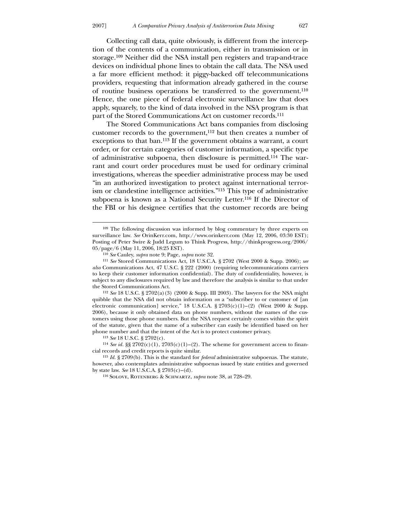Collecting call data, quite obviously, is different from the interception of the contents of a communication, either in transmission or in storage.109 Neither did the NSA install pen registers and trap-and-trace devices on individual phone lines to obtain the call data. The NSA used a far more efficient method: it piggy-backed off telecommunications providers, requesting that information already gathered in the course of routine business operations be transferred to the government.110 Hence, the one piece of federal electronic surveillance law that does apply, squarely, to the kind of data involved in the NSA program is that part of the Stored Communications Act on customer records.111

 The Stored Communications Act bans companies from disclosing customer records to the government,112 but then creates a number of exceptions to that ban.113 If the government obtains a warrant, a court order, or for certain categories of customer information, a specific type of administrative subpoena, then disclosure is permitted.114 The warrant and court order procedures must be used for ordinary criminal investigations, whereas the speedier administrative process may be used "in an authorized investigation to protect against international terrorism or clandestine intelligence activities."115 This type of administrative subpoena is known as a National Security Letter.116 If the Director of the FBI or his designee certifies that the customer records are being

112 *See* 18 U.S.C. § 2702(a)(3) (2000 & Supp. III 2003). The lawyers for the NSA might quibble that the NSA did not obtain information *on* a "subscriber to or customer of [an electronic communication] service," 18 U.S.C.A.  $\S 2703(c)(1)-(2)$  (West 2000 & Supp. 2006), because it only obtained data on phone numbers, without the names of the customers using those phone numbers. But the NSA request certainly comes within the spirit of the statute, given that the name of a subscriber can easily be identified based on her phone number and that the intent of the Act is to protect customer privacy.

113 *See* 18 U.S.C. § 2702(c).

<u>.</u>

<sup>109</sup> The following discussion was informed by blog commentary by three experts on surveillance law. *See* OrinKerr.com, http://www.orinkerr.com (May 12, 2006, 03:30 EST); Posting of Peter Swire & Judd Legum to Think Progress, http://thinkprogress.org/2006/ 05/page/6 (May 11, 2006, 18:25 EST).

<sup>110</sup> *See* Cauley, *supra* note 9; Page, *supra* note 32.

<sup>111</sup> *See* Stored Communications Act, 18 U.S.C.A. § 2702 (West 2000 & Supp. 2006); *see also* Communications Act, 47 U.S.C. § 222 (2000) (requiring telecommunications carriers to keep their customer information confidential). The duty of confidentiality, however, is subject to any disclosures required by law and therefore the analysis is similar to that under the Stored Communications Act.

<sup>114</sup> *See id.* §§ 2702(c)(1), 2703(c)(1)–(2). The scheme for government access to financial records and credit reports is quite similar.

<sup>115</sup> *Id.* § 2709(b). This is the standard for *federal* administrative subpoenas. The statute, however, also contemplates administrative subpoenas issued by state entities and governed by state law. *See* 18 U.S.C.A. § 2703(c)–(d).

<sup>116</sup> Solove, Rotenberg & Schwartz, *supra* note 38, at 728–29.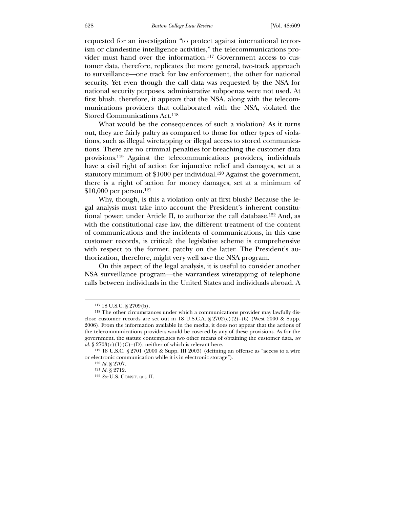requested for an investigation "to protect against international terrorism or clandestine intelligence activities," the telecommunications provider must hand over the information.117 Government access to customer data, therefore, replicates the more general, two-track approach to surveillance—one track for law enforcement, the other for national security. Yet even though the call data was requested by the NSA for national security purposes, administrative subpoenas were not used. At first blush, therefore, it appears that the NSA, along with the telecommunications providers that collaborated with the NSA, violated the Stored Communications Act.118

 What would be the consequences of such a violation? As it turns out, they are fairly paltry as compared to those for other types of violations, such as illegal wiretapping or illegal access to stored communications. There are no criminal penalties for breaching the customer data provisions.119 Against the telecommunications providers, individuals have a civil right of action for injunctive relief and damages, set at a statutory minimum of \$1000 per individual.120 Against the government, there is a right of action for money damages, set at a minimum of \$10,000 per person.121

 Why, though, is this a violation only at first blush? Because the legal analysis must take into account the President's inherent constitutional power, under Article II, to authorize the call database.122 And, as with the constitutional case law, the different treatment of the content of communications and the incidents of communications, in this case customer records, is critical: the legislative scheme is comprehensive with respect to the former, patchy on the latter. The President's authorization, therefore, might very well save the NSA program.

 On this aspect of the legal analysis, it is useful to consider another NSA surveillance program*—*the warrantless wiretapping of telephone calls between individuals in the United States and individuals abroad. A

<sup>117</sup> 18 U.S.C. § 2709(b).

<sup>118</sup> The other circumstances under which a communications provider may lawfully disclose customer records are set out in 18 U.S.C.A. § 2702(c)(2)–(6) (West 2000 & Supp. 2006). From the information available in the media, it does not appear that the actions of the telecommunications providers would be covered by any of these provisions. As for the government, the statute contemplates two other means of obtaining the customer data, *see id.* §  $2703(c)(1)(C)$ –(D), neither of which is relevant here.

<sup>119</sup> 18 U.S.C. § 2701 (2000 & Supp. III 2003) (defining an offense as "access to a wire or electronic communication while it is in electronic storage").

<sup>120</sup> *Id.* § 2707.

<sup>121</sup> *Id.* § 2712.

<sup>&</sup>lt;sup>122</sup> *See* U.S. CONST. art. II.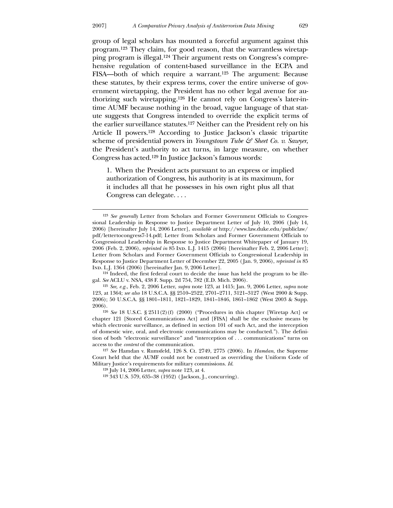<u>.</u>

group of legal scholars has mounted a forceful argument against this program.123 They claim, for good reason, that the warrantless wiretapping program is illegal.124 Their argument rests on Congress's comprehensive regulation of content-based surveillance in the ECPA and FISA—both of which require a warrant.125 The argument: Because these statutes, by their express terms, cover the entire universe of government wiretapping, the President has no other legal avenue for authorizing such wiretapping.126 He cannot rely on Congress's later-intime AUMF because nothing in the broad, vague language of that statute suggests that Congress intended to override the explicit terms of the earlier surveillance statutes.127 Neither can the President rely on his Article II powers.128 According to Justice Jackson's classic tripartite scheme of presidential powers in *Youngstown Tube & Sheet Co. v. Sawyer*, the President's authority to act turns, in large measure, on whether Congress has acted.129 In Justice Jackson's famous words:

1. When the President acts pursuant to an express or implied authorization of Congress, his authority is at its maximum, for it includes all that he possesses in his own right plus all that Congress can delegate. . . .

<sup>123</sup> *See generally* Letter from Scholars and Former Government Officials to Congressional Leadership in Response to Justice Department Letter of July 10, 2006 ( July 14, 2006) [hereinafter July 14, 2006 Letter], *available at* http://www.law.duke.edu/publiclaw/ pdf/lettertocongress7-14.pdf; Letter from Scholars and Former Government Officials to Congressional Leadership in Response to Justice Department Whitepaper of January 19, 2006 (Feb. 2, 2006), *reprinted in* 85 Ind. L.J. 1415 (2006) [hereinafter Feb. 2, 2006 Letter]; Letter from Scholars and Former Government Officials to Congressional Leadership in Response to Justice Department Letter of December 22, 2005 ( Jan. 9, 2006), *reprinted in* 85 Ind. L.J. 1364 (2006) [hereinafter Jan. 9, 2006 Letter].

<sup>124</sup> Indeed, the first federal court to decide the issue has held the program to be illegal. *See* ACLU v. NSA, 438 F. Supp. 2d 754, 782 (E.D. Mich. 2006).

<sup>125</sup> *See, e.g.*, Feb. 2, 2006 Letter, *supra* note 123, at 1415; Jan. 9, 2006 Letter, *supra* note 123, at 1364; *see also* 18 U.S.C.A. §§ 2510–2522, 2701–2711, 3121–3127 (West 2000 & Supp. 2006); 50 U.S.C.A. §§ 1801–1811, 1821–1829, 1841–1846, 1861–1862 (West 2003 & Supp. 2006).

<sup>126</sup> *See* 18 U.S.C. § 2511(2)(f) (2000) ("Procedures in this chapter [Wiretap Act] or chapter 121 [Stored Communications Act] and [FISA] shall be the exclusive means by which electronic surveillance, as defined in section 101 of such Act, and the interception of domestic wire, oral, and electronic communications may be conducted."). The definition of both "electronic surveillance" and "interception of . . . communications" turns on access to the *content* of the communication.

<sup>127</sup> *See* Hamdan v. Rumsfeld, 126 S. Ct. 2749, 2775 (2006). In *Hamdan*, the Supreme Court held that the AUMF could not be construed as overriding the Uniform Code of Military Justice's requirements for military commissions. *Id*.

<sup>128</sup> July 14, 2006 Letter, *supra* note 123, at 4.

<sup>129</sup> 343 U.S. 579, 635–38 (1952) ( Jackson, J., concurring).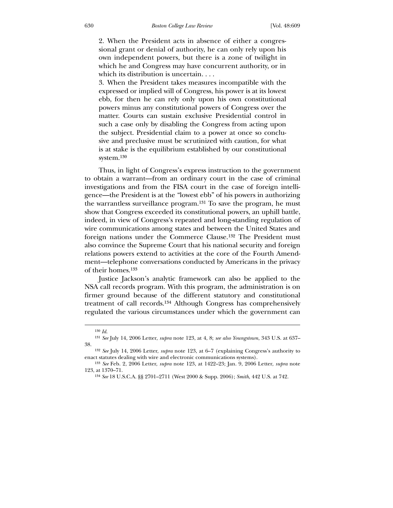2. When the President acts in absence of either a congressional grant or denial of authority, he can only rely upon his own independent powers, but there is a zone of twilight in which he and Congress may have concurrent authority, or in which its distribution is uncertain. . . .

3. When the President takes measures incompatible with the expressed or implied will of Congress, his power is at its lowest ebb, for then he can rely only upon his own constitutional powers minus any constitutional powers of Congress over the matter. Courts can sustain exclusive Presidential control in such a case only by disabling the Congress from acting upon the subject. Presidential claim to a power at once so conclusive and preclusive must be scrutinized with caution, for what is at stake is the equilibrium established by our constitutional system.130

 Thus, in light of Congress's express instruction to the government to obtain a warrant—from an ordinary court in the case of criminal investigations and from the FISA court in the case of foreign intelligence—the President is at the "lowest ebb" of his powers in authorizing the warrantless surveillance program.131 To save the program, he must show that Congress exceeded its constitutional powers, an uphill battle, indeed, in view of Congress's repeated and long-standing regulation of wire communications among states and between the United States and foreign nations under the Commerce Clause.132 The President must also convince the Supreme Court that his national security and foreign relations powers extend to activities at the core of the Fourth Amendment—telephone conversations conducted by Americans in the privacy of their homes.133

 Justice Jackson's analytic framework can also be applied to the NSA call records program. With this program, the administration is on firmer ground because of the different statutory and constitutional treatment of call records.134 Although Congress has comprehensively regulated the various circumstances under which the government can

<sup>130</sup> *Id*.

<sup>131</sup> *See* July 14, 2006 Letter, *supra* note 123, at 4, 8; *see also Youngstown*, 343 U.S. at 637– 38.

<sup>132</sup> *See* July 14, 2006 Letter, *supra* note 123, at 6–7 (explaining Congress's authority to enact statutes dealing with wire and electronic communications systems).

<sup>133</sup> *See* Feb. 2, 2006 Letter, *supra* note 123, at 1422–23; Jan. 9, 2006 Letter, *supra* note 123, at 1370–71.

<sup>134</sup> *See* 18 U.S.C.A. §§ 2701–2711 (West 2000 & Supp. 2006); *Smith*, 442 U.S. at 742.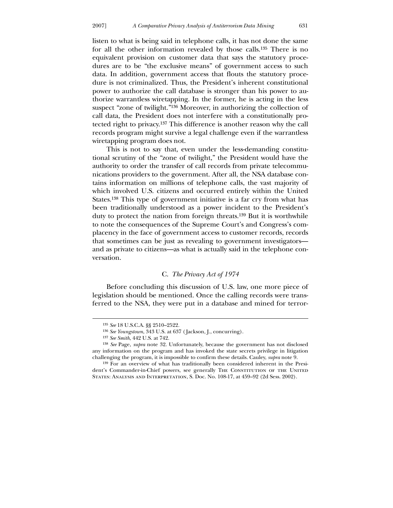listen to what is being said in telephone calls, it has not done the same for all the other information revealed by those calls.135 There is no equivalent provision on customer data that says the statutory procedures are to be "the exclusive means" of government access to such data. In addition, government access that flouts the statutory procedure is not criminalized. Thus, the President's inherent constitutional power to authorize the call database is stronger than his power to authorize warrantless wiretapping. In the former, he is acting in the less suspect "zone of twilight."136 Moreover, in authorizing the collection of call data, the President does not interfere with a constitutionally protected right to privacy.137 This difference is another reason why the call records program might survive a legal challenge even if the warrantless wiretapping program does not.

 This is not to say that, even under the less-demanding constitutional scrutiny of the "zone of twilight," the President would have the authority to order the transfer of call records from private telecommunications providers to the government. After all, the NSA database contains information on millions of telephone calls, the vast majority of which involved U.S. citizens and occurred entirely within the United States.138 This type of government initiative is a far cry from what has been traditionally understood as a power incident to the President's duty to protect the nation from foreign threats.139 But it is worthwhile to note the consequences of the Supreme Court's and Congress's complacency in the face of government access to customer records, records that sometimes can be just as revealing to government investigators and as private to citizens—as what is actually said in the telephone conversation.

### C. *The Privacy Act of 1974*

 Before concluding this discussion of U.S. law, one more piece of legislation should be mentioned. Once the calling records were transferred to the NSA, they were put in a database and mined for terror-

<sup>135</sup> *See* 18 U.S.C.A. §§ 2510–2522.

<sup>136</sup> *See Youngstown*, 343 U.S. at 637 ( Jackson, J., concurring).

<sup>137</sup> *See Smith*, 442 U.S. at 742.

<sup>138</sup> *See* Page, *supra* note 32. Unfortunately, because the government has not disclosed any information on the program and has invoked the state secrets privilege in litigation challenging the program, it is impossible to confirm these details. Cauley, *supra* note 9.

<sup>139</sup> For an overview of what has traditionally been considered inherent in the President's Commander-in-Chief powers, see generally The Constitution of the United States: Analysis and Interpretation, S. Doc. No. 108-17, at 459–92 (2d Sess. 2002).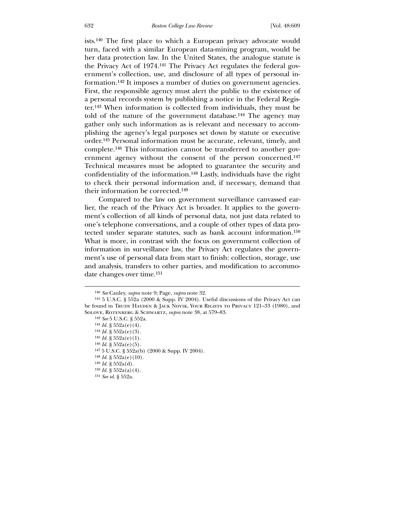ists.140 The first place to which a European privacy advocate would turn, faced with a similar European data-mining program, would be her data protection law. In the United States, the analogue statute is the Privacy Act of 1974.141 The Privacy Act regulates the federal government's collection, use, and disclosure of all types of personal information.142 It imposes a number of duties on government agencies. First, the responsible agency must alert the public to the existence of a personal records system by publishing a notice in the Federal Register.143 When information is collected from individuals, they must be told of the nature of the government database.144 The agency may gather only such information as is relevant and necessary to accomplishing the agency's legal purposes set down by statute or executive order.145 Personal information must be accurate, relevant, timely, and complete.146 This information cannot be transferred to another government agency without the consent of the person concerned.147 Technical measures must be adopted to guarantee the security and confidentiality of the information.148 Lastly, individuals have the right to check their personal information and, if necessary, demand that their information be corrected.149

 Compared to the law on government surveillance canvassed earlier, the reach of the Privacy Act is broader. It applies to the government's collection of all kinds of personal data, not just data related to one's telephone conversations, and a couple of other types of data protected under separate statutes, such as bank account information.150 What is more, in contrast with the focus on government collection of information in surveillance law, the Privacy Act regulates the government's use of personal data from start to finish: collection, storage, use and analysis, transfers to other parties, and modification to accommodate changes over time.151

<sup>140</sup> *See* Cauley, *supra* note 9; Page, *supra* note 32.

<sup>141</sup> 5 U.S.C. § 552a (2000 & Supp. IV 2004). Useful discussions of the Privacy Act can be found in Trudy Hayden & Jack Novik, Your Rights to Privacy 121-33 (1980), and Solove, Rotenberg & Schwartz, *supra* note 38, at 579–83.

<sup>142</sup> *See* 5 U.S.C. § 552a.

 $143$  *Id.* §  $552a(e)(4)$ .

 $144$  *Id.* §  $552a(e)(3)$ .

<sup>145</sup> *Id.* § 552a(e)(1).

 $^{146}$   $\emph{Id.}$  § 552a(e)(5).

<sup>147</sup> 5 U.S.C. § 552a(b) (2000 & Supp. IV 2004).

 $148$  *Id.* §  $552a(e)(10)$ .

<sup>149</sup> *Id.* § 552a(d).

<sup>150</sup> *Id.* § 552a(a)(4).

<sup>151</sup> *See id.* § 552a.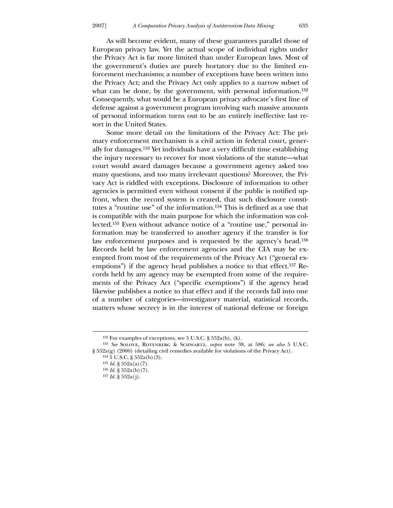As will become evident, many of these guarantees parallel those of European privacy law. Yet the actual scope of individual rights under the Privacy Act is far more limited than under European laws. Most of the government's duties are purely hortatory due to the limited enforcement mechanisms; a number of exceptions have been written into the Privacy Act; and the Privacy Act only applies to a narrow subset of what can be done, by the government, with personal information.<sup>152</sup> Consequently, what would be a European privacy advocate's first line of defense against a government program involving such massive amounts of personal information turns out to be an entirely ineffective last resort in the United States.

 Some more detail on the limitations of the Privacy Act: The primary enforcement mechanism is a civil action in federal court, generally for damages.153 Yet individuals have a very difficult time establishing the injury necessary to recover for most violations of the statute—what court would award damages because a government agency asked too many questions, and too many irrelevant questions? Moreover, the Privacy Act is riddled with exceptions. Disclosure of information to other agencies is permitted even without consent if the public is notified upfront, when the record system is created, that such disclosure constitutes a "routine use" of the information.154 This is defined as a use that is compatible with the main purpose for which the information was collected.155 Even without advance notice of a "routine use," personal information may be transferred to another agency if the transfer is for law enforcement purposes and is requested by the agency's head.156 Records held by law enforcement agencies and the CIA may be exempted from most of the requirements of the Privacy Act ("general exemptions") if the agency head publishes a notice to that effect.<sup>157</sup> Records held by any agency may be exempted from some of the requirements of the Privacy Act ("specific exemptions") if the agency head likewise publishes a notice to that effect and if the records fall into one of a number of categories—investigatory material, statistical records, matters whose secrecy is in the interest of national defense or foreign

-

 $152$  For examples of exceptions, see 5 U.S.C. §  $552a(b)$ , (k).

<sup>153</sup> *See* Solove, Rotenberg & Schwartz, *supra* note 38, at 586; *see also* 5 U.S.C. § 552a(g) (2000) (detailing civil remedies available for violations of the Privacy Act).

<sup>154</sup> 5 U.S.C. § 552a(b)(3).

<sup>155</sup> *Id.* § 552a(a)(7).

<sup>156</sup> *Id.* § 552a(b)(7).

<sup>157</sup> *Id.* § 552a(j).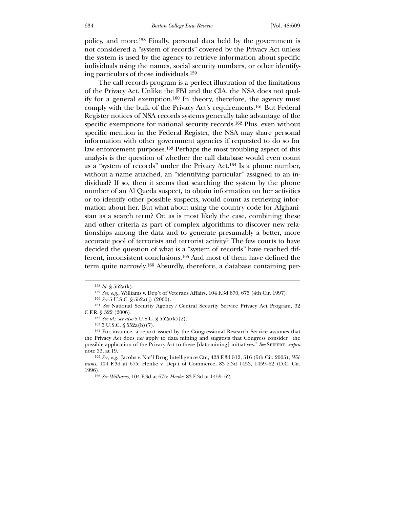policy, and more.158 Finally, personal data held by the government is not considered a "system of records" covered by the Privacy Act unless the system is used by the agency to retrieve information about specific individuals using the names, social security numbers, or other identifying particulars of those individuals.159

 The call records program is a perfect illustration of the limitations of the Privacy Act. Unlike the FBI and the CIA, the NSA does not qualify for a general exemption.160 In theory, therefore, the agency must comply with the bulk of the Privacy Act's requirements.161 But Federal Register notices of NSA records systems generally take advantage of the specific exemptions for national security records.162 Plus, even without specific mention in the Federal Register, the NSA may share personal information with other government agencies if requested to do so for law enforcement purposes.163 Perhaps the most troubling aspect of this analysis is the question of whether the call database would even count as a "system of records" under the Privacy Act.164 Is a phone number, without a name attached, an "identifying particular" assigned to an individual? If so, then it seems that searching the system by the phone number of an Al Qaeda suspect, to obtain information on her activities or to identify other possible suspects, would count as retrieving information about her. But what about using the country code for Afghanistan as a search term? Or, as is most likely the case, combining these and other criteria as part of complex algorithms to discover new relationships among the data and to generate presumably a better, more accurate pool of terrorists and terrorist activity? The few courts to have decided the question of what is a "system of records" have reached different, inconsistent conclusions.165 And most of them have defined the term quite narrowly.166 Absurdly, therefore, a database containing per-

<sup>158</sup> *Id.* § 552a(k).

<sup>159</sup> *See, e.g.*, Williams v. Dep't of Veterans Affairs, 104 F.3d 670, 675 (4th Cir. 1997).

<sup>160</sup> *See* 5 U.S.C. § 552a(j) (2000).

<sup>161</sup> *See* National Security Agency / Central Security Service Privacy Act Program, 32 C.F.R. § 322 (2006).

<sup>162</sup> *See id*.; *see also* 5 U.S.C. § 552a(k)(2).

 $163\ 5$  U.S.C. §  $552a(b)(7)$ .

<sup>164</sup> For instance, a report issued by the Congressional Research Service assumes that the Privacy Act does *not* apply to data mining and suggests that Congress consider "the possible application of the Privacy Act to these [data-mining] initiatives." *See* Seifert, *supra* note 33, at 19.

<sup>165</sup> *See, e.g.*, Jacobs v. Nat'l Drug Intelligence Ctr., 423 F.3d 512, 516 (5th Cir. 2005); *Williams*, 104 F.3d at 675; Henke v. Dep't of Commerce, 83 F.3d 1453, 1459–62 (D.C. Cir. 1996).

<sup>166</sup> *See Williams*, 104 F.3d at 675; *Henke*, 83 F.3d at 1459–62.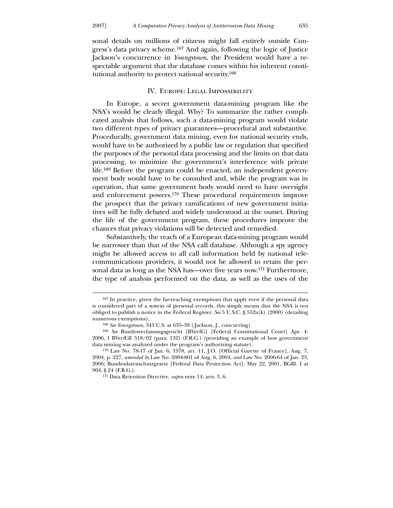sonal details on millions of citizens might fall entirely outside Congress's data privacy scheme.167 And again, following the logic of Justice Jackson's concurrence in *Youngstown*, the President would have a respectable argument that the database comes within his inherent constitutional authority to protect national security.168

## IV. Europe: Legal Impossibility

 In Europe, a secret government data-mining program like the NSA's would be clearly illegal. Why? To summarize the rather complicated analysis that follows, such a data-mining program would violate two different types of privacy guarantees—procedural and substantive. Procedurally, government data mining, even for national security ends, would have to be authorized by a public law or regulation that specified the purposes of the personal data processing and the limits on that data processing, to minimize the government's interference with private life.169 Before the program could be enacted, an independent government body would have to be consulted and, while the program was in operation, that same government body would need to have oversight and enforcement powers.170 These procedural requirements improve the prospect that the privacy ramifications of new government initiatives will be fully debated and widely understood at the outset. During the life of the government program, these procedures improve the chances that privacy violations will be detected and remedied.

 Substantively, the reach of a European data-mining program would be narrower than that of the NSA call database. Although a spy agency might be allowed access to all call information held by national telecommunications providers, it would not be allowed to retain the personal data as long as the NSA has—over five years now.171 Furthermore, the type of analysis performed on the data, as well as the uses of the

-

<sup>167</sup> In practice, given the far-reaching exemptions that apply even if the personal data is considered part of a system of personal records, this simply means that the NSA is not obliged to publish a notice in the Federal Register. *See* 5 U.S.C. § 552a(k) (2000) (detailing numerous exemptions).

<sup>168</sup> *See Youngstown*, 343 U.S. at 635–38 ( Jackson, J., concurring).

<sup>169</sup> *See* Bundesverfassungsgericht [BVerfG] [Federal Constitutional Court] Apr. 4, 2006, 1 BVerfGE 518/02 (para. 132) (F.R.G.) (providing an example of how government data mining was analyzed under the program's authorizing statute).

<sup>170</sup> Law No. 78-17 of Jan. 6, 1978, art. 11, J.O. [Official Gazette of France], Aug. 7, 2004, p. 227, *amended by* Law No. 2004-801 of Aug. 6, 2004, *and* Law No. 2006-64 of Jan. 23, 2006; Bundesdatenschutzgesetz [Federal Data Protection Act], May 22, 2001, BGBl. I at 904, § 24 (F.R.G.).

<sup>171</sup> Data Retention Directive, *supra* note 14, arts. 3, 6.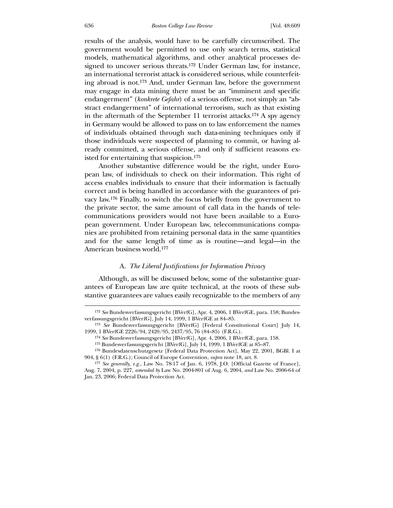results of the analysis, would have to be carefully circumscribed. The government would be permitted to use only search terms, statistical models, mathematical algorithms, and other analytical processes designed to uncover serious threats.172 Under German law, for instance, an international terrorist attack is considered serious, while counterfeiting abroad is not.173 And, under German law, before the government may engage in data mining there must be an "imminent and specific endangerment" (*konkrete Gefahr*) of a serious offense, not simply an "abstract endangerment" of international terrorism, such as that existing in the aftermath of the September 11 terrorist attacks.174 A spy agency in Germany would be allowed to pass on to law enforcement the names of individuals obtained through such data-mining techniques only if those individuals were suspected of planning to commit, or having already committed, a serious offense, and only if sufficient reasons existed for entertaining that suspicion.175

 Another substantive difference would be the right, under European law, of individuals to check on their information. This right of access enables individuals to ensure that their information is factually correct and is being handled in accordance with the guarantees of privacy law.176 Finally, to switch the focus briefly from the government to the private sector, the same amount of call data in the hands of telecommunications providers would not have been available to a European government. Under European law, telecommunications companies are prohibited from retaining personal data in the same quantities and for the same length of time as is routine—and legal—in the American business world.177

#### A. *The Liberal Justifications for Information Privacy*

 Although, as will be discussed below, some of the substantive guarantees of European law are quite technical, at the roots of these substantive guarantees are values easily recognizable to the members of any

<sup>172</sup> *See* Bundesverfassungsgericht [BVerfG], Apr. 4, 2006, 1 BVerfGE, para. 158; Bundesverfassungsgericht [BVerfG], July 14, 1999, 1 BVerfGE at 84–85.

<sup>173</sup> *See* Bundesverfassungsgericht [BVerfG] [Federal Constitutional Court] July 14, 1999, 1 BVerfGE 2226/94, 2420/95, 2437/95, 76 (84–85) (F.R.G.).

<sup>174</sup> *See* Bundesverfassungsgericht [BVerfG], Apr. 4, 2006, 1 BVerfGE, para. 158.

<sup>175</sup> Bundesverfassungsgericht [BVerfG], July 14, 1999, 1 BVerfGE at 85–87.

<sup>176</sup> Bundesdatenschutzgesetz [Federal Data Protection Act], May 22, 2001, BGBl. I at 904, § 6(1) (F.R.G.); Council of Europe Convention, *supra* note 18, art. 8.

<sup>177</sup> *See generally, e.g.*, Law No. 78-17 of Jan. 6, 1978, J.O. [Official Gazette of France], Aug. 7, 2004, p. 227, *amended by* Law No. 2004-801 of Aug. 6, 2004, *and* Law No. 2006-64 of Jan. 23, 2006; Federal Data Protection Act.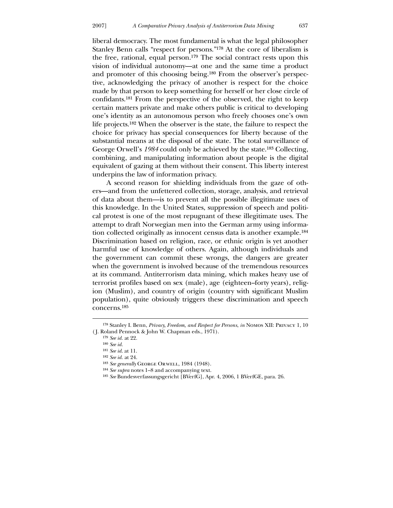liberal democracy. The most fundamental is what the legal philosopher Stanley Benn calls "respect for persons."178 At the core of liberalism is the free, rational, equal person.179 The social contract rests upon this vision of individual autonomy—at one and the same time a product and promoter of this choosing being.180 From the observer's perspective, acknowledging the privacy of another is respect for the choice made by that person to keep something for herself or her close circle of confidants.181 From the perspective of the observed, the right to keep certain matters private and make others public is critical to developing

one's identity as an autonomous person who freely chooses one's own life projects.182 When the observer is the state, the failure to respect the choice for privacy has special consequences for liberty because of the substantial means at the disposal of the state. The total surveillance of George Orwell's *1984* could only be achieved by the state.183 Collecting, combining, and manipulating information about people is the digital equivalent of gazing at them without their consent. This liberty interest underpins the law of information privacy.

 A second reason for shielding individuals from the gaze of others—and from the unfettered collection, storage, analysis, and retrieval of data about them—is to prevent all the possible illegitimate uses of this knowledge. In the United States, suppression of speech and political protest is one of the most repugnant of these illegitimate uses. The attempt to draft Norwegian men into the German army using information collected originally as innocent census data is another example.184 Discrimination based on religion, race, or ethnic origin is yet another harmful use of knowledge of others. Again, although individuals and the government can commit these wrongs, the dangers are greater when the government is involved because of the tremendous resources at its command. Antiterrorism data mining, which makes heavy use of terrorist profiles based on sex (male), age (eighteen–forty years), religion (Muslim), and country of origin (country with significant Muslim population), quite obviously triggers these discrimination and speech concerns.185

<u>.</u>

<sup>178</sup> Stanley I. Benn, *Privacy, Freedom, and Respect for Persons*, *in* Nomos XII: Privacy 1, 10 ( J. Roland Pennock & John W. Chapman eds., 1971).

<sup>179</sup> *See id.* at 22.

<sup>180</sup> *See id.*

<sup>181</sup> *See id*. at 11.

<sup>182</sup> *See id.* at 24.

<sup>&</sup>lt;sup>183</sup> See generally GEORGE ORWELL, 1984 (1948).

<sup>184</sup> *See supra* notes 1–8 and accompanying text.

<sup>185</sup> *See* Bundesverfassungsgericht [BVerfG], Apr. 4, 2006, 1 BVerfGE, para. 26.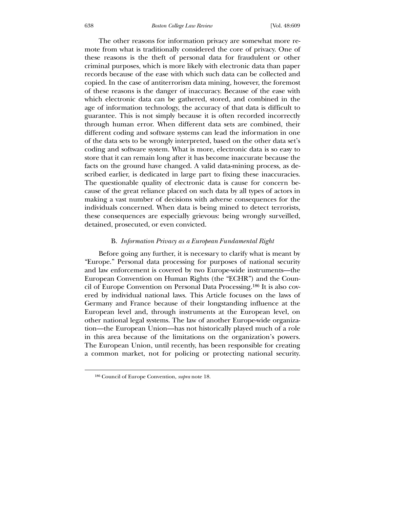The other reasons for information privacy are somewhat more remote from what is traditionally considered the core of privacy. One of these reasons is the theft of personal data for fraudulent or other criminal purposes, which is more likely with electronic data than paper records because of the ease with which such data can be collected and copied. In the case of antiterrorism data mining, however, the foremost of these reasons is the danger of inaccuracy. Because of the ease with which electronic data can be gathered, stored, and combined in the age of information technology, the accuracy of that data is difficult to guarantee. This is not simply because it is often recorded incorrectly through human error. When different data sets are combined, their different coding and software systems can lead the information in one of the data sets to be wrongly interpreted, based on the other data set's coding and software system. What is more, electronic data is so easy to store that it can remain long after it has become inaccurate because the facts on the ground have changed. A valid data-mining process, as described earlier, is dedicated in large part to fixing these inaccuracies. The questionable quality of electronic data is cause for concern because of the great reliance placed on such data by all types of actors in making a vast number of decisions with adverse consequences for the individuals concerned. When data is being mined to detect terrorists, these consequences are especially grievous: being wrongly surveilled, detained, prosecuted, or even convicted.

#### B. *Information Privacy as a European Fundamental Right*

 Before going any further, it is necessary to clarify what is meant by "Europe." Personal data processing for purposes of national security and law enforcement is covered by two Europe-wide instruments—the European Convention on Human Rights (the "ECHR") and the Council of Europe Convention on Personal Data Processing.186 It is also covered by individual national laws. This Article focuses on the laws of Germany and France because of their longstanding influence at the European level and, through instruments at the European level, on other national legal systems. The law of another Europe-wide organization—the European Union—has not historically played much of a role in this area because of the limitations on the organization's powers. The European Union, until recently, has been responsible for creating a common market, not for policing or protecting national security.

<sup>186</sup> Council of Europe Convention, *supra* note 18.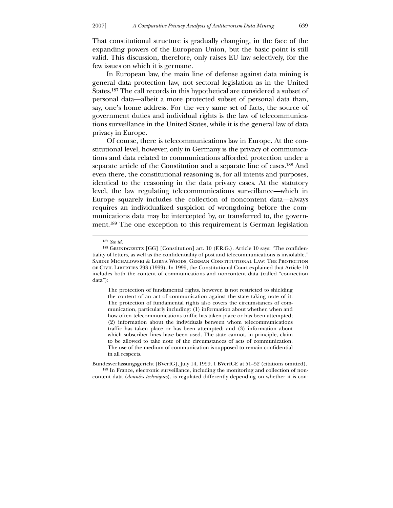That constitutional structure is gradually changing, in the face of the expanding powers of the European Union, but the basic point is still valid. This discussion, therefore, only raises EU law selectively, for the few issues on which it is germane.

 In European law, the main line of defense against data mining is general data protection law, not sectoral legislation as in the United States.187 The call records in this hypothetical are considered a subset of personal data—albeit a more protected subset of personal data than, say, one's home address. For the very same set of facts, the source of government duties and individual rights is the law of telecommunications surveillance in the United States, while it is the general law of data privacy in Europe.

 Of course, there is telecommunications law in Europe. At the constitutional level, however, only in Germany is the privacy of communications and data related to communications afforded protection under a separate article of the Constitution and a separate line of cases.188 And even there, the constitutional reasoning is, for all intents and purposes, identical to the reasoning in the data privacy cases. At the statutory level, the law regulating telecommunications surveillance—which in Europe squarely includes the collection of noncontent data*—*always requires an individualized suspicion of wrongdoing before the communications data may be intercepted by, or transferred to, the government.189 The one exception to this requirement is German legislation

 $\overline{a}$ 

The protection of fundamental rights, however, is not restricted to shielding the content of an act of communication against the state taking note of it. The protection of fundamental rights also covers the circumstances of communication, particularly including: (1) information about whether, when and how often telecommunications traffic has taken place or has been attempted; (2) information about the individuals between whom telecommunications traffic has taken place or has been attempted; and (3) information about which subscriber lines have been used. The state cannot, in principle, claim to be allowed to take note of the circumstances of acts of communication. The use of the medium of communication is supposed to remain confidential in all respects.

Bundesverfassungsgericht [BVerfG], July 14, 1999, 1 BVerfGE at 51–52 (citations omitted). 189 In France, electronic surveillance, including the monitoring and collection of noncontent data (*données techniques*), is regulated differently depending on whether it is con-

<sup>187</sup> *See id*.

<sup>&</sup>lt;sup>188</sup> GRUNDGESETZ  $[GG]$  [Constitution] art. 10 (F.R.G.). Article 10 says: "The confidentiality of letters, as well as the confidentiality of post and telecommunications is inviolable." Sabine Michalowski & Lorna Woods, German Constitutional Law: The Protection of Civil Liberties 293 (1999). In 1999, the Constitutional Court explained that Article 10 includes both the content of communications and noncontent data (called "connection data"):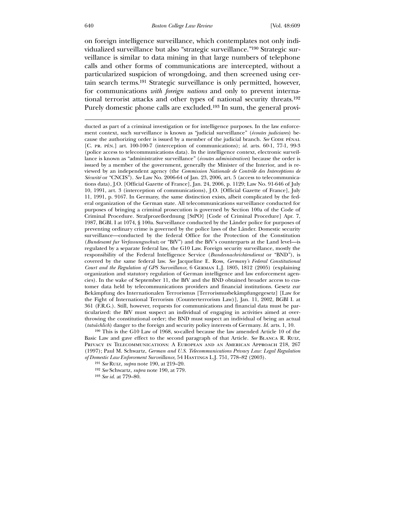on foreign intelligence surveillance, which contemplates not only individualized surveillance but also "strategic surveillance."190 Strategic surveillance is similar to data mining in that large numbers of telephone calls and other forms of communications are intercepted, without a particularized suspicion of wrongdoing, and then screened using certain search terms.191 Strategic surveillance is only permitted, however, for communications *with foreign nations* and only to prevent international terrorist attacks and other types of national security threats.192 Purely domestic phone calls are excluded.193 In sum, the general provi-

ducted as part of a criminal investigation or for intelligence purposes. In the law enforcement context, such surveillance is known as "judicial surveillance" (*écoutes judiciares*) because the authorizing order is issued by a member of the judicial branch. See CODE PÉNAL [C. pr. pén.] art. 100-100-7 (interception of communications); *id.* arts. 60-1, 77-1, 99-3 (police access to telecommunications data). In the intelligence context, electronic surveillance is known as "administrative surveillance" (*écoutes administratives*) because the order is issued by a member of the government, generally the Minister of the Interior, and is reviewed by an independent agency (the *Commission Nationale de Contrôle des Interceptions de Sécurité* or "CNCIS"). *See* Law No. 2006-64 of Jan. 23, 2006, art. 5 (access to telecommunications data), J.O. [Official Gazette of France], Jan. 24, 2006, p. 1129; Law No. 91-646 of July 10, 1991, art. 3 (interception of communications), J.O. [Official Gazette of France], July 11, 1991, p. 9167. In Germany, the same distinction exists, albeit complicated by the federal organization of the German state. All telecommunications surveillance conducted for purposes of bringing a criminal prosecution is governed by Section 100a of the Code of Criminal Procedure. Strafprozeßordnung [StPO] [Code of Criminal Procedure] Apr. 7, 1987, BGBl. I at 1074, § 100a. Surveillance conducted by the Länder police for purposes of preventing ordinary crime is governed by the police laws of the Länder. Domestic security surveillance—conducted by the federal Office for the Protection of the Constitution (*Bundesamt fur Verfassungsschutz* or "BfV") and the BfV's counterparts at the Land level—is regulated by a separate federal law, the G10 Law. Foreign security surveillance, mostly the responsibility of the Federal Intelligence Service (*Bundesnachrichtendienst* or "BND"), is covered by the same federal law. *See* Jacqueline E. Ross, *Germany's Federal Constitutional Court and the Regulation of GPS Surveillance*, 6 German L.J. 1805, 1812 (2005) (explaining organization and statutory regulation of German intelligence and law enforcement agencies). In the wake of September 11, the BfV and the BND obtained broader access to customer data held by telecommunications providers and financial institutions. Gesetz zur Bekämpfung des Internationalen Terrorismus [Terrorismusbekämpfungegesetz] [Law for the Fight of International Terrorism (Counterterrorism Law)], Jan. 11, 2002, BGBl I. at 361 (F.R.G.). Still, however, requests for communications and financial data must be particularized: the BfV must suspect an individual of engaging in activities aimed at overthrowing the constitutional order; the BND must suspect an individual of being an actual (*tatsächlich*) danger to the foreign and security policy interests of Germany. *Id.* arts. 1, 10.

190 This is the G10 Law of 1968, so-called because the law amended Article 10 of the Basic Law and gave effect to the second paragraph of that Article. *See* Blanca R. Ruiz, Privacy in Telecommunications: A European and an American Approach 218, 267 (1997); Paul M. Schwartz, *German and U.S. Telecommunications Privacy Law: Legal Regulation of Domestic Law Enforcement Surveillance*, 54 Hastings L.J. 751, 778–82 (2003).

192 *See* Schwartz, *supra* note 190, at 779.

193 *See id.* at 779–80.

<sup>191</sup> *See* Ruiz, *supra* note 190, at 219–20.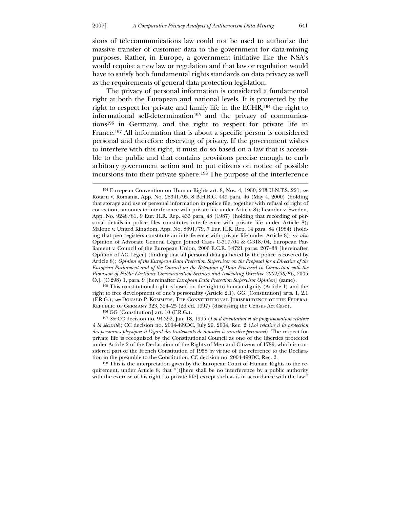$\overline{a}$ 

sions of telecommunications law could not be used to authorize the massive transfer of customer data to the government for data-mining purposes. Rather, in Europe, a government initiative like the NSA's would require a new law or regulation and that law or regulation would have to satisfy both fundamental rights standards on data privacy as well as the requirements of general data protection legislation.

 The privacy of personal information is considered a fundamental right at both the European and national levels. It is protected by the right to respect for private and family life in the ECHR,194 the right to informational self-determination195 and the privacy of communications196 in Germany, and the right to respect for private life in France.197 All information that is about a specific person is considered personal and therefore deserving of privacy. If the government wishes to interfere with this right, it must do so based on a law that is accessible to the public and that contains provisions precise enough to curb arbitrary government action and to put citizens on notice of possible incursions into their private sphere.198 The purpose of the interference

195 This constitutional right is based on the right to human dignity (Article 1) and the right to free development of one's personality (Article 2.1). GG [Constitution] arts. 1, 2.1 (F.R.G.); *see* Donald P. Kommers, The Constitutional Jurisprudence of the Federal Republic of Germany 323, 324–25 (2d ed. 1997) (discussing the Census Act Case).

196 GG [Constitution] art. 10 (F.R.G.).

197 *See* CC decision no. 94-352, Jan. 18, 1995 (*Loi d'orientation et de programmation relative à la sécurité*); CC decision no. 2004-499DC, July 29, 2004, Rec. 2 (*Loi relative à la protection des personnes physiques à l'égard des traitements de données à caractère personnel*). The respect for private life is recognized by the Constitutional Council as one of the liberties protected under Article 2 of the Declaration of the Rights of Men and Citizens of 1789, which is considered part of the French Constitution of 1958 by virtue of the reference to the Declaration in the preamble to the Constitution. CC decision no. 2004-499DC, Rec. 2.

198 This is the interpretation given by the European Court of Human Rights to the requirement, under Article 8, that "[t]here shall be no interference by a public authority with the exercise of his right [to private life] except such as is in accordance with the law."

<sup>194</sup> European Convention on Human Rights art. 8, Nov. 4, 1950, 213 U.N.T.S. 221; *see* Rotaru v. Romania, App. No. 28341/95, 8 B.H.R.C. 449 para. 46 (May 4, 2000) (holding that storage and use of personal information in police file, together with refusal of right of correction, amounts to interference with private life under Article 8); Leander v. Sweden, App. No. 9248/81, 9 Eur. H.R. Rep. 433 para. 48 (1987) (holding that recording of personal details in police files constitutes interference with private life under Article 8); Malone v. United Kingdom, App. No. 8691/79, 7 Eur. H.R. Rep. 14 para. 84 (1984) (holding that pen registers constitute an interference with private life under Article 8); *see also* Opinion of Advocate General Léger, Joined Cases C-317/04 & C-318/04, European Parliament v. Council of the European Union, 2006 E.C.R. I-4721 paras. 207–33 [hereinafter Opinion of AG Léger] (finding that all personal data gathered by the police is covered by Article 8); *Opinion of the European Data Protection Supervisor on the Proposal for a Directive of the European Parliament and of the Council on the Retention of Data Processed in Connection with the Provision of Public Electronic Communication Services and Amending Directive 2002/58/EC*, 2005 O.J. (C 298) 1, para. 9 [hereinafter *European Data Protection Supervisor Opinion*] (same).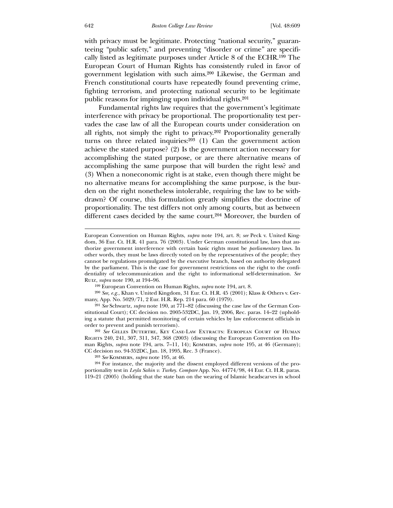with privacy must be legitimate. Protecting "national security," guaranteeing "public safety," and preventing "disorder or crime" are specifically listed as legitimate purposes under Article 8 of the ECHR.199 The European Court of Human Rights has consistently ruled in favor of government legislation with such aims.200 Likewise, the German and French constitutional courts have repeatedly found preventing crime, fighting terrorism, and protecting national security to be legitimate public reasons for impinging upon individual rights.201

 Fundamental rights law requires that the government's legitimate interference with privacy be proportional. The proportionality test pervades the case law of all the European courts under consideration on all rights, not simply the right to privacy.202 Proportionality generally turns on three related inquiries:203 (1) Can the government action achieve the stated purpose? (2) Is the government action necessary for accomplishing the stated purpose, or are there alternative means of accomplishing the same purpose that will burden the right less? and (3) When a noneconomic right is at stake, even though there might be no alternative means for accomplishing the same purpose, is the burden on the right nonetheless intolerable, requiring the law to be withdrawn? Of course, this formulation greatly simplifies the doctrine of proportionality. The test differs not only among courts, but as between different cases decided by the same court.<sup>204</sup> Moreover, the burden of

203 *See* Kommers, *supra* note 195, at 46.

204 For instance, the majority and the dissent employed different versions of the proportionality test in *Leyla Sahin v. Turkey*. *Compare* App. No. 44774/98, 44 Eur. Ct. H.R. paras. 119–21 (2005) (holding that the state ban on the wearing of Islamic headscarves in school

European Convention on Human Rights, *supra* note 194, art. 8; *see* Peck v. United Kingdom, 36 Eur. Ct. H.R. 41 para. 76 (2003). Under German constitutional law, laws that authorize government interference with certain basic rights must be *parliamentary* laws. In other words, they must be laws directly voted on by the representatives of the people; they cannot be regulations promulgated by the executive branch, based on authority delegated by the parliament. This is the case for government restrictions on the right to the confidentiality of telecommunication and the right to informational self-determination. *See* Ruiz, *supra* note 190, at 194–96.

<sup>199</sup> European Convention on Human Rights, *supra* note 194, art. 8.

<sup>200</sup> *See, e.g.*, Khan v. United Kingdom, 31 Eur. Ct. H.R. 45 (2001); Klass & Others v. Germany, App. No. 5029/71, 2 Eur. H.R. Rep. 214 para. 60 (1979).

<sup>201</sup> *See* Schwartz, *supra* note 190, at 771–82 (discussing the case law of the German Constitutional Court); CC decision no. 2005-532DC, Jan. 19, 2006, Rec. paras. 14–22 (upholding a statute that permitted monitoring of certain vehicles by law enforcement officials in order to prevent and punish terrorism).

<sup>202</sup> *See* Gilles Dutertre, Key Case-Law Extracts: European Court of Human Rights 240, 241, 307, 311, 347, 368 (2003) (discussing the European Convention on Human Rights, *supra* note 194, arts. 7–11, 14); Kommers, *supra* note 195, at 46 (Germany); CC decision no. 94-352DC, Jan. 18, 1995, Rec. 3 (France).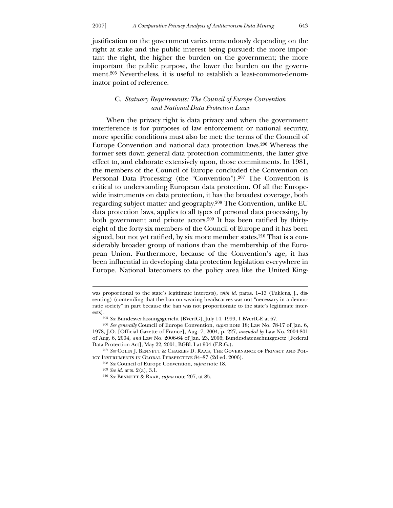justification on the government varies tremendously depending on the right at stake and the public interest being pursued: the more important the right, the higher the burden on the government; the more important the public purpose, the lower the burden on the government.205 Nevertheless, it is useful to establish a least-common-denominator point of reference.

## C. *Statuory Requirements: The Council of Europe Convention and National Data Protection Laws*

 When the privacy right is data privacy and when the government interference is for purposes of law enforcement or national security, more specific conditions must also be met: the terms of the Council of Europe Convention and national data protection laws.206 Whereas the former sets down general data protection commitments, the latter give effect to, and elaborate extensively upon, those commitments. In 1981, the members of the Council of Europe concluded the Convention on Personal Data Processing (the "Convention").207 The Convention is critical to understanding European data protection. Of all the Europewide instruments on data protection, it has the broadest coverage, both regarding subject matter and geography.208 The Convention, unlike EU data protection laws, applies to all types of personal data processing, by both government and private actors.209 It has been ratified by thirtyeight of the forty-six members of the Council of Europe and it has been signed, but not yet ratified, by six more member states.<sup>210</sup> That is a considerably broader group of nations than the membership of the European Union. Furthermore, because of the Convention's age, it has been influential in developing data protection legislation everywhere in Europe. National latecomers to the policy area like the United King-

was proportional to the state's legitimate interests), *with id.* paras. 1–13 (Tuklens, J., dissenting) (contending that the ban on wearing headscarves was not "necessary in a democratic society" in part because the ban was not proportionate to the state's legitimate interests).

<sup>205</sup> *See* Bundesverfassungsgericht [BVerfG], July 14, 1999, 1 BVerfGE at 67.

<sup>206</sup> *See generally* Council of Europe Convention, *supra* note 18; Law No. 78-17 of Jan. 6, 1978, J.O. [Official Gazette of France], Aug. 7, 2004, p. 227, *amended by* Law No. 2004-801 of Aug. 6, 2004, *and* Law No. 2006-64 of Jan. 23, 2006; Bundesdatenschutzgesetz [Federal Data Protection Act], May 22, 2001, BGBl. I at 904 (F.R.G.).

<sup>207</sup> *See* Colin J. Bennett & Charles D. Raab, The Governance of Privacy and Policy Instruments in Global Perspective 84–87 (2d ed. 2006).

<sup>208</sup> *See* Council of Europe Convention, *supra* note 18.

<sup>209</sup> *See id.* arts. 2(a), 3.1.

<sup>210</sup> *See* Bennett & Raab, *supra* note 207, at 85.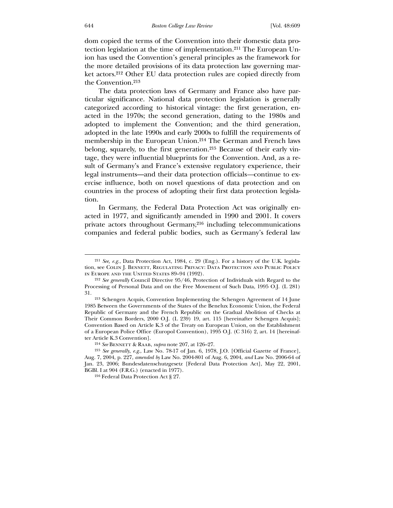dom copied the terms of the Convention into their domestic data protection legislation at the time of implementation.211 The European Union has used the Convention's general principles as the framework for the more detailed provisions of its data protection law governing market actors.212 Other EU data protection rules are copied directly from the Convention.213

 The data protection laws of Germany and France also have particular significance. National data protection legislation is generally categorized according to historical vintage: the first generation, enacted in the 1970s; the second generation, dating to the 1980s and adopted to implement the Convention; and the third generation, adopted in the late 1990s and early 2000s to fulfill the requirements of membership in the European Union.214 The German and French laws belong, squarely, to the first generation.215 Because of their early vintage, they were influential blueprints for the Convention. And, as a result of Germany's and France's extensive regulatory experience, their legal instruments—and their data protection officials*—*continue to exercise influence, both on novel questions of data protection and on countries in the process of adopting their first data protection legislation.

 In Germany, the Federal Data Protection Act was originally enacted in 1977, and significantly amended in 1990 and 2001. It covers private actors throughout Germany,216 including telecommunications companies and federal public bodies, such as Germany's federal law

<sup>211</sup> *See, e.g.*, Data Protection Act, 1984, c. 29 (Eng.). For a history of the U.K. legislation, see Colin J. Bennett, Regulating Privacy: Data Protection and Public Policy in Europe and the United States 89–94 (1992).

<sup>212</sup> *See generally* Council Directive 95/46, Protection of Individuals with Regard to the Processing of Personal Data and on the Free Movement of Such Data, 1995 O.J. (L 281) 31.

<sup>213</sup> Schengen Acquis, Convention Implementing the Schengen Agreement of 14 June 1985 Between the Governments of the States of the Benelux Economic Union, the Federal Republic of Germany and the French Republic on the Gradual Abolition of Checks at Their Common Borders, 2000 O.J. (L 239) 19, art. 115 [hereinafter Schengen Acquis]; Convention Based on Article K.3 of the Treaty on European Union, on the Establishment of a European Police Office (Europol Convention), 1995 O.J. (C 316) 2, art. 14 [hereinafter Article K.3 Convention].

<sup>214</sup> *See* Bennett & Raab, *supra* note 207, at 126–27.

<sup>215</sup> *See generally*, *e.g*., Law No. 78-17 of Jan. 6, 1978, J.O. [Official Gazette of France], Aug. 7, 2004, p. 227, *amended by* Law No. 2004-801 of Aug. 6, 2004, *and* Law No. 2006-64 of Jan. 23, 2006; Bundesdatenschutzgesetz [Federal Data Protection Act], May 22, 2001, BGBl. I at 904 (F.R.G.) (enacted in 1977).

<sup>216</sup> Federal Data Protection Act § 27.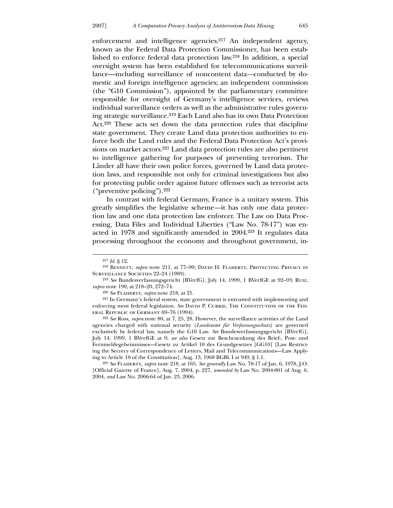enforcement and intelligence agencies.217 An independent agency, known as the Federal Data Protection Commissioner, has been established to enforce federal data protection law.218 In addition, a special oversight system has been established for telecommunications surveillance—including surveillance of noncontent data*—*conducted by domestic and foreign intelligence agencies; an independent commission (the "G10 Commission"), appointed by the parliamentary committee responsible for oversight of Germany's intelligence services, reviews individual surveillance orders as well as the administrative rules governing strategic surveillance.219 Each Land also has its own Data Protection Act.220 These acts set down the data protection rules that discipline state government. They create Land data protection authorities to enforce both the Land rules and the Federal Data Protection Act's provisions on market actors.221 Land data protection rules are also pertinent to intelligence gathering for purposes of preventing terrorism. The Länder all have their own police forces, governed by Land data protection laws, and responsible not only for criminal investigations but also for protecting public order against future offenses such as terrorist acts ("preventive policing").222

 In contrast with federal Germany, France is a unitary system. This greatly simplifies the legislative scheme*—*it has only one data protection law and one data protection law enforcer. The Law on Data Processing, Data Files and Individual Liberties ("Law No. 78-17") was enacted in 1978 and significantly amended in 2004.223 It regulates data processing throughout the economy and throughout government, in-

-

222 *See* Ross, *supra* note 80, at 7, 25, 28. However, the surveillance activities of the Land agencies charged with national security (*Landesamt für Verfassungsschutz*) are governed exclusively by federal law, namely the G10 Law. *See* Bundesverfassungsgericht [BVerfG], July 14, 1999, 1 BVerfGE at 9; *see also* Gesetz zur Beschraenkung des Brief-, Post- und Fernmeldegeheimnisses—Gesetz zu Artikel 10 des Grundgesetzes [GG10] [Law Restricting the Secrecy of Correspondence of Letters, Mail and Telecommunications—Law Applying to Article 10 of the Constitution], Aug. 13, 1968 BGBl. I at 949, § 1.1.

223 *See* Flaherty, *supra* note 218, at 165. *See generally* Law No. 78-17 of Jan. 6, 1978, J.O. [Official Gazette of France], Aug. 7, 2004, p. 227, *amended by* Law No. 2004-801 of Aug. 6, 2004, *and* Law No. 2006-64 of Jan. 23, 2006.

<sup>217</sup> *Id.* § 12.

<sup>&</sup>lt;sup>218</sup> BENNETT, *supra* note 211, at 77-90; DAVID H. FLAHERTY, PROTECTING PRIVACY IN SURVEILLANCE SOCIETIES 22-24 (1989).

<sup>219</sup> *See* Bundesverfassungsgericht [BVerfG], July 14, 1999, 1 BVerfGE at 92–93; Ruiz, *supra* note 190, at 218–20, 272–74.

<sup>220</sup> *See* Flaherty, *supra* note 218, at 21.

<sup>221</sup> In Germany's federal system, state government is entrusted with implementing and enforcing most federal legislation. See DAVID P. CURRIE, THE CONSTITUTION OF THE FEDeral Republic of Germany 69–76 (1994).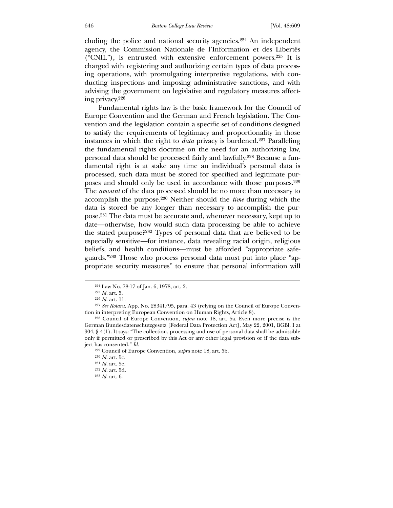cluding the police and national security agencies.224 An independent agency, the Commission Nationale de l'Information et des Libertés ("CNIL"), is entrusted with extensive enforcement powers.225 It is charged with registering and authorizing certain types of data processing operations, with promulgating interpretive regulations, with conducting inspections and imposing administrative sanctions, and with advising the government on legislative and regulatory measures affecting privacy.226

 Fundamental rights law is the basic framework for the Council of Europe Convention and the German and French legislation. The Convention and the legislation contain a specific set of conditions designed to satisfy the requirements of legitimacy and proportionality in those instances in which the right to *data* privacy is burdened.227 Paralleling the fundamental rights doctrine on the need for an authorizing law, personal data should be processed fairly and lawfully.228 Because a fundamental right is at stake any time an individual's personal data is processed, such data must be stored for specified and legitimate purposes and should only be used in accordance with those purposes.229 The *amount* of the data processed should be no more than necessary to accomplish the purpose.230 Neither should the *time* during which the data is stored be any longer than necessary to accomplish the purpose.231 The data must be accurate and, whenever necessary, kept up to date—otherwise, how would such data processing be able to achieve the stated purpose?232 Types of personal data that are believed to be especially sensitive—for instance, data revealing racial origin, religious beliefs, and health conditions—must be afforded "appropriate safeguards."233 Those who process personal data must put into place "appropriate security measures" to ensure that personal information will

<sup>224</sup> Law No. 78-17 of Jan. 6, 1978, art. 2.

<sup>225</sup> *Id.* art. 5.

<sup>226</sup> *Id.* art. 11.

<sup>227</sup> *See Rotaru*, App. No. 28341/95, para. 43 (relying on the Council of Europe Convention in interpreting European Convention on Human Rights, Article 8).

<sup>228</sup> Council of Europe Convention, *supra* note 18, art. 5a. Even more precise is the German Bundesdatenschutzgesetz [Federal Data Protection Act], May 22, 2001, BGBl. I at 904, § 4(1). It says: "The collection, processing and use of personal data shall be admissible only if permitted or prescribed by this Act or any other legal provision or if the data subject has consented." *Id.*

<sup>229</sup> Council of Europe Convention, *supra* note 18, art. 5b.

<sup>230</sup> *Id.* art. 5c.

<sup>231</sup> *Id.* art. 5e.

<sup>232</sup> *Id.* art. 5d.

<sup>233</sup> *Id.* art. 6.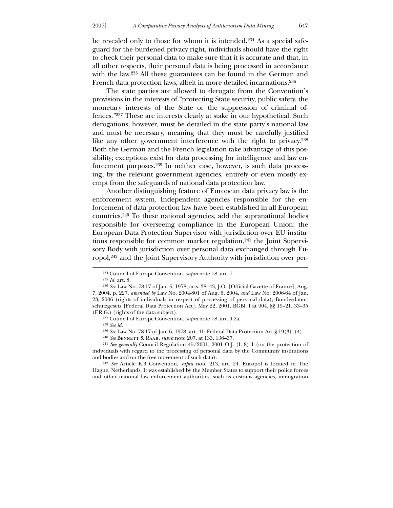be revealed only to those for whom it is intended.234 As a special safeguard for the burdened privacy right, individuals should have the right to check their personal data to make sure that it is accurate and that, in all other respects, their personal data is being processed in accordance with the law.<sup>235</sup> All these guarantees can be found in the German and French data protection laws, albeit in more detailed incarnations.236

 The state parties are allowed to derogate from the Convention's provisions in the interests of "protecting State security, public safety, the monetary interests of the State or the suppression of criminal offences."237 These are interests clearly at stake in our hypothetical. Such derogations, however, must be detailed in the state party's national law and must be necessary, meaning that they must be carefully justified like any other government interference with the right to privacy.<sup>238</sup> Both the German and the French legislation take advantage of this possibility; exceptions exist for data processing for intelligence and law enforcement purposes.239 In neither case, however, is such data processing, by the relevant government agencies, entirely or even mostly exempt from the safeguards of national data protection law.

 Another distinguishing feature of European data privacy law is the enforcement system. Independent agencies responsible for the enforcement of data protection law have been established in all European countries.240 To these national agencies, add the supranational bodies responsible for overseeing compliance in the European Union: the European Data Protection Supervisor with jurisdiction over EU institutions responsible for common market regulation,<sup>241</sup> the Joint Supervisory Body with jurisdiction over personal data exchanged through Europol,242 and the Joint Supervisory Authority with jurisdiction over per-

<u>.</u>

<sup>234</sup> Council of Europe Convention, *supra* note 18, art. 7.

<sup>235</sup> *Id.* art. 8.

<sup>236</sup> *See* Law No. 78-17 of Jan. 6, 1978, arts. 38–43, J.O. [Official Gazette of France], Aug. 7, 2004, p. 227, *amended by* Law No. 2004-801 of Aug. 6, 2004, *and* Law No. 2006-64 of Jan. 23, 2006 (rights of individuals in respect of processing of personal data); Bundesdatenschutzgesetz [Federal Data Protection Act], May 22, 2001, BGBl. I at 904, §§ 19–21, 33–35 (F.R.G.) (rights of the data subject).

<sup>237</sup> Council of Europe Convention, *supra* note 18, art. 9.2a.

<sup>238</sup> *See id.*

<sup>239</sup> *See* Law No. 78-17 of Jan. 6, 1978, art. 41; Federal Data Protection Act § 19(3)–(4).

<sup>240</sup> *See* Bennett & Raab, *supra* note 207, at 133, 136–37.

<sup>241</sup> *See generally* Council Regulation 45/2001, 2001 O.J. (L 8) 1 (on the protection of individuals with regard to the processing of personal data by the Community institutions and bodies and on the free movement of such data).

<sup>242</sup> *See* Article K.3 Convention, *supra* note 213, art. 24. Europol is located in The Hague, Netherlands. It was established by the Member States to support their police forces and other national law enforcement authorities, such as customs agencies, immigration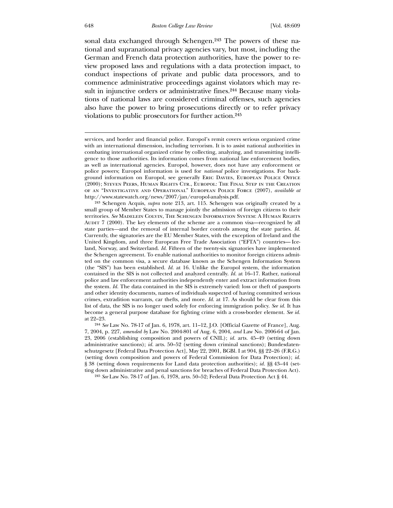#### 648 *Boston College Law Review* [Vol. 48:609

sonal data exchanged through Schengen.<sup>243</sup> The powers of these national and supranational privacy agencies vary, but most, including the German and French data protection authorities, have the power to review proposed laws and regulations with a data protection impact, to conduct inspections of private and public data processors, and to commence administrative proceedings against violators which may result in injunctive orders or administrative fines.<sup>244</sup> Because many violations of national laws are considered criminal offenses, such agencies also have the power to bring prosecutions directly or to refer privacy violations to public prosecutors for further action.245

services, and border and financial police. Europol's remit covers serious organized crime with an international dimension, including terrorism. It is to assist national authorities in combating international organized crime by collecting, analyzing, and transmitting intelligence to those authorities. Its information comes from national law enforcement bodies, as well as international agencies. Europol, however, does not have any enforcement or police powers; Europol information is used for *national* police investigations. For background information on Europol, see generally Eric Davies, European Police Office (2000); Steven Peers, Human Rights Ctr., Europol: The Final Step in the Creation of an "Investigative and Operational" European Police Force (2007), *available at*  http://www.statewatch.org/news/2007/jan/europol-analysis.pdf.

<sup>243</sup> Schengen Acquis, *supra* note 213, art. 115. Schengen was originally created by a small group of Member States to manage jointly the admission of foreign citizens to their territories. *See* Madelein Colvin, The Schengen Information System: A Human Rights AUDIT 7 (2000). The key elements of the scheme are a common visa—recognized by all state parties*—*and the removal of internal border controls among the state parties. *Id.* Currently, the signatories are the EU Member States, with the exception of Ireland and the United Kingdom, and three European Free Trade Association ("EFTA") countries— Iceland, Norway, and Switzerland. *Id.* Fifteen of the twenty-six signatories have implemented the Schengen agreement. To enable national authorities to monitor foreign citizens admitted on the common visa, a secure database known as the Schengen Information System (the "SIS") has been established. *Id.* at 16. Unlike the Europol system, the information contained in the SIS is not collected and analyzed centrally. *Id.* at 16–17. Rather, national police and law enforcement authorities independently enter and extract information from the system. *Id.* The data contained in the SIS is extremely varied: loss or theft of passports and other identity documents, names of individuals suspected of having committed serious crimes, extradition warrants, car thefts, and more. *Id.* at 17. As should be clear from this list of data, the SIS is no longer used solely for enforcing immigration policy. *See id.* It has become a general purpose database for fighting crime with a cross-border element. *See id.* at 22–23.

<sup>244</sup> *See* Law No. 78-17 of Jan. 6, 1978, art. 11–12, J.O. [Official Gazette of France], Aug. 7, 2004, p. 227, *amended by* Law No. 2004-801 of Aug. 6, 2004, *and* Law No. 2006-64 of Jan. 23, 2006 (establishing composition and powers of CNIL); *id.* arts. 45–49 (setting down administrative sanctions); *id.* arts. 50–52 (setting down criminal sanctions); Bundesdatenschutzgesetz [Federal Data Protection Act], May 22, 2001, BGBl. I at 904, §§ 22–26 (F.R.G.) (setting down composition and powers of Federal Commission for Data Protection); *id.* § 38 (setting down requirements for Land data protection authorities); *id.* §§ 43-44 (setting down administrative and penal sanctions for breaches of Federal Data Protection Act).

<sup>245</sup> *See* Law No. 78-17 of Jan. 6, 1978, arts. 50–52; Federal Data Protection Act § 44.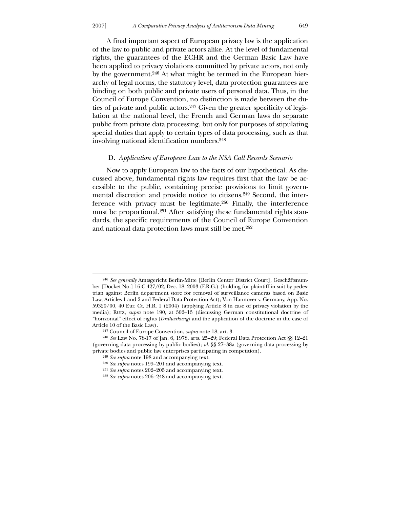A final important aspect of European privacy law is the application of the law to public and private actors alike. At the level of fundamental rights, the guarantees of the ECHR and the German Basic Law have been applied to privacy violations committed by private actors, not only by the government.246 At what might be termed in the European hierarchy of legal norms, the statutory level, data protection guarantees are binding on both public and private users of personal data. Thus, in the Council of Europe Convention, no distinction is made between the duties of private and public actors.<sup>247</sup> Given the greater specificity of legislation at the national level, the French and German laws do separate public from private data processing, but only for purposes of stipulating special duties that apply to certain types of data processing, such as that involving national identification numbers.248

## D. *Application of European Law to the NSA Call Records Scenario*

 Now to apply European law to the facts of our hypothetical. As discussed above, fundamental rights law requires first that the law be accessible to the public, containing precise provisions to limit governmental discretion and provide notice to citizens.249 Second, the interference with privacy must be legitimate.250 Finally, the interference must be proportional.251 After satisfying these fundamental rights standards, the specific requirements of the Council of Europe Convention and national data protection laws must still be met.252

<sup>246</sup> *See generally* Amtsgericht Berlin-Mitte [Berlin Center District Court], Geschäftsnumber [Docket No.] 16 C 427/02, Dec. 18, 2003 (F.R.G.) (holding for plaintiff in suit by pedestrian against Berlin department store for removal of surveillance cameras based on Basic Law, Articles 1 and 2 and Federal Data Protection Act); Von Hannover v. Germany, App. No. 59320/00, 40 Eur. Ct. H.R. 1 (2004) (applying Article 8 in case of privacy violation by the media); Ruiz, *supra* note 190, at 302–13 (discussing German constitutional doctrine of "horizontal" effect of rights (*Drittwirkung*) and the application of the doctrine in the case of Article 10 of the Basic Law).

<sup>247</sup> Council of Europe Convention, *supra* note 18, art. 3.

<sup>248</sup> *See* Law No. 78-17 of Jan. 6, 1978, arts. 25–29; Federal Data Protection Act §§ 12–21 (governing data processing by public bodies); *id.* §§ 27–38a (governing data processing by private bodies and public law enterprises participating in competition).

<sup>249</sup> *See supra* note 198 and accompanying text.

<sup>250</sup> *See supra* notes 199–201 and accompanying text.

<sup>251</sup> *See supra* notes 202–205 and accompanying text.

<sup>252</sup> *See supra* notes 206–248 and accompanying text.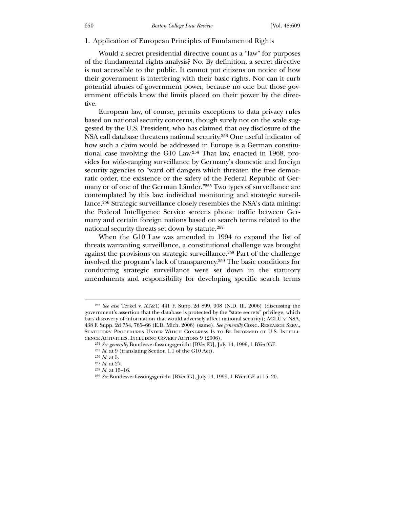1. Application of European Principles of Fundamental Rights

 Would a secret presidential directive count as a "law" for purposes of the fundamental rights analysis? No. By definition, a secret directive is not accessible to the public. It cannot put citizens on notice of how their government is interfering with their basic rights. Nor can it curb potential abuses of government power, because no one but those government officials know the limits placed on their power by the directive.

 European law, of course, permits exceptions to data privacy rules based on national security concerns, though surely not on the scale suggested by the U.S. President, who has claimed that *any* disclosure of the NSA call database threatens national security.253 One useful indicator of how such a claim would be addressed in Europe is a German constitutional case involving the G10 Law.254 That law, enacted in 1968, provides for wide-ranging surveillance by Germany's domestic and foreign security agencies to "ward off dangers which threaten the free democratic order, the existence or the safety of the Federal Republic of Germany or of one of the German Länder."255 Two types of surveillance are contemplated by this law: individual monitoring and strategic surveillance.256 Strategic surveillance closely resembles the NSA's data mining: the Federal Intelligence Service screens phone traffic between Germany and certain foreign nations based on search terms related to the national security threats set down by statute.257

 When the G10 Law was amended in 1994 to expand the list of threats warranting surveillance, a constitutional challenge was brought against the provisions on strategic surveillance.258 Part of the challenge involved the program's lack of transparency.259 The basic conditions for conducting strategic surveillance were set down in the statutory amendments and responsibility for developing specific search terms

<sup>253</sup> *See also* Terkel v. AT&T, 441 F. Supp. 2d 899, 908 (N.D. Ill. 2006) (discussing the government's assertion that the database is protected by the "state secrets" privilege, which bars discovery of information that would adversely affect national security); ACLU v. NSA, 438 F. Supp. 2d 754, 765–66 (E.D. Mich. 2006) (same). *See generally* Cong. Research Serv., Statutory Procedures Under Which Congress Is to Be Informed of U.S. Intelligence Activities, Including Covert Actions 9 (2006).

<sup>254</sup> *See generally* Bundesverfassungsgericht [BVerfG], July 14, 1999, 1 BVerfGE.

<sup>255</sup> *Id*. at 9 (translating Section 1.1 of the G10 Act).

<sup>256</sup> *Id*. at 5.

<sup>257</sup> *Id*. at 27.

<sup>258</sup> *Id*. at 15–16.

<sup>259</sup> *See* Bundesverfassungsgericht [BVerfG], July 14, 1999, 1 BVerfGE at 15–20.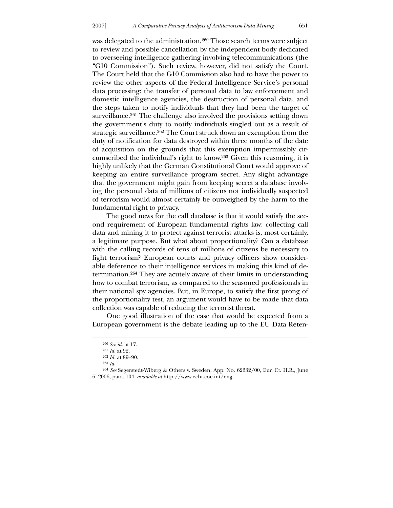was delegated to the administration.<sup>260</sup> Those search terms were subject to review and possible cancellation by the independent body dedicated to overseeing intelligence gathering involving telecommunications (the "G10 Commission"). Such review, however, did not satisfy the Court. The Court held that the G10 Commission also had to have the power to review the other aspects of the Federal Intelligence Service's personal data processing: the transfer of personal data to law enforcement and domestic intelligence agencies, the destruction of personal data, and the steps taken to notify individuals that they had been the target of surveillance.<sup>261</sup> The challenge also involved the provisions setting down the government's duty to notify individuals singled out as a result of strategic surveillance.262 The Court struck down an exemption from the duty of notification for data destroyed within three months of the date of acquisition on the grounds that this exemption impermissibly circumscribed the individual's right to know.263 Given this reasoning, it is highly unlikely that the German Constitutional Court would approve of keeping an entire surveillance program secret. Any slight advantage that the government might gain from keeping secret a database involving the personal data of millions of citizens not individually suspected of terrorism would almost certainly be outweighed by the harm to the fundamental right to privacy.

 The good news for the call database is that it would satisfy the second requirement of European fundamental rights law: collecting call data and mining it to protect against terrorist attacks is, most certainly, a legitimate purpose. But what about proportionality? Can a database with the calling records of tens of millions of citizens be necessary to fight terrorism? European courts and privacy officers show considerable deference to their intelligence services in making this kind of determination.264 They are acutely aware of their limits in understanding how to combat terrorism, as compared to the seasoned professionals in their national spy agencies. But, in Europe, to satisfy the first prong of the proportionality test, an argument would have to be made that data collection was capable of reducing the terrorist threat.

 One good illustration of the case that would be expected from a European government is the debate leading up to the EU Data Reten-

<sup>260</sup> *See id.* at 17.

<sup>261</sup> *Id.* at 92.

<sup>262</sup> *Id.* at 89–90.

<sup>263</sup> *Id.*

<sup>264</sup> *See* Segerstedt-Wiberg & Others v. Sweden, App. No. 62332/00, Eur. Ct. H.R., June 6, 2006, para. 104, *available at* http://www.echr.coe.int/eng.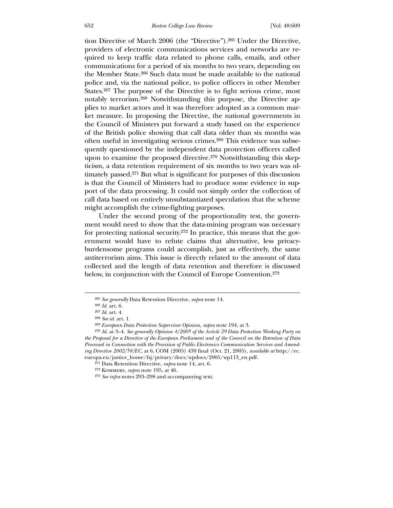tion Directive of March 2006 (the "Directive").265 Under the Directive, providers of electronic communications services and networks are required to keep traffic data related to phone calls, emails, and other communications for a period of six months to two years, depending on the Member State.266 Such data must be made available to the national police and, via the national police, to police officers in other Member States.267 The purpose of the Directive is to fight serious crime, most notably terrorism.268 Notwithstanding this purpose, the Directive applies to market actors and it was therefore adopted as a common market measure. In proposing the Directive, the national governments in the Council of Ministers put forward a study based on the experience of the British police showing that call data older than six months was often useful in investigating serious crimes.269 This evidence was subsequently questioned by the independent data protection officers called upon to examine the proposed directive.270 Notwithstanding this skepticism, a data retention requirement of six months to two years was ultimately passed.271 But what is significant for purposes of this discussion is that the Council of Ministers had to produce some evidence in support of the data processing. It could not simply order the collection of call data based on entirely unsubstantiated speculation that the scheme might accomplish the crime-fighting purposes.

 Under the second prong of the proportionality test, the government would need to show that the data-mining program was necessary for protecting national security.272 In practice, this means that the government would have to refute claims that alternative, less privacyburdensome programs could accomplish, just as effectively, the same antiterrorism aims. This issue is directly related to the amount of data collected and the length of data retention and therefore is discussed below, in conjunction with the Council of Europe Convention.273

<sup>265</sup> *See generally* Data Retention Directive, *supra* note 14.

<sup>266</sup> *Id*. art. 6.

<sup>267</sup> *Id*. art. 4.

<sup>268</sup> *See id*. art. 1.

<sup>269</sup> *European Data Protection Supervisor Opinion*, *supra* note 194, at 3.

<sup>270</sup> *Id*. at 3–4. *See generally Opinion 4/2005 of the Article 29 Data Protection Working Party on the Proposal for a Directive of the European Parliament and of the Council on the Retention of Data Processed in Connection with the Provision of Public Electronics Communication Services and Amending Directive 2002/58/EC*, at 6, COM (2005) 438 final (Oct. 21, 2005), *available at* http://ec. europa.eu/justice\_home/fsj/privacy/docs/wpdocs/2005/wp113\_en.pdf.

<sup>271</sup> Data Retention Directive, *supra* note 14, art. 6.

<sup>272</sup> Kommers, *supra* note 195, at 46.

<sup>273</sup> *See infra* notes 293–298 and accompanying text.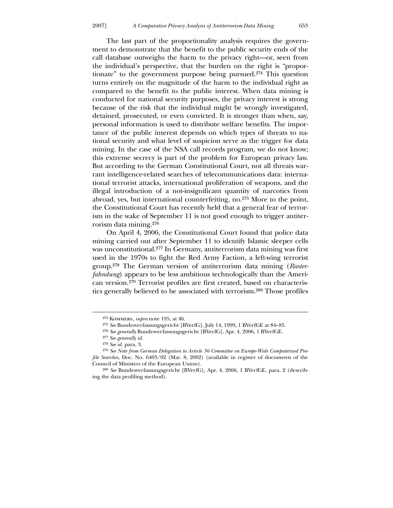The last part of the proportionality analysis requires the government to demonstrate that the benefit to the public security ends of the call database outweighs the harm to the privacy right—or, seen from the individual's perspective, that the burden on the right is "proportionate" to the government purpose being pursued.274 This question turns entirely on the magnitude of the harm to the individual right as compared to the benefit to the public interest. When data mining is conducted for national security purposes, the privacy interest is strong because of the risk that the individual might be wrongly investigated, detained, prosecuted, or even convicted. It is stronger than when, say, personal information is used to distribute welfare benefits. The importance of the public interest depends on which types of threats to national security and what level of suspicion serve as the trigger for data mining. In the case of the NSA call records program, we do not know; this extreme secrecy is part of the problem for European privacy law. But according to the German Constitutional Court, not all threats warrant intelligence-related searches of telecommunications data: international terrorist attacks, international proliferation of weapons, and the illegal introduction of a not-insignificant quantity of narcotics from abroad, yes, but international counterfeiting, no.275 More to the point, the Constitutional Court has recently held that a general fear of terrorism in the wake of September 11 is not good enough to trigger antiterrorism data mining.276

 On April 4, 2006, the Constitutional Court found that police data mining carried out after September 11 to identify Islamic sleeper cells was unconstitutional.277 In Germany, antiterrorism data mining was first used in the 1970s to fight the Red Army Faction, a left-wing terrorist group.278 The German version of antiterrorism data mining (*Rasterfahndung*) appears to be less ambitious technologically than the American version.279 Terrorist profiles are first created, based on characteristics generally believed to be associated with terrorism.280 Those profiles

-

<sup>274</sup> Kommers, *supra* note 195, at 46.

<sup>275</sup> *See* Bundesverfassungsgericht [BVerfG], July 14, 1999, 1 BVerfGE at 84–85.

<sup>276</sup> *See generally* Bundesverfassungsgericht [BVerfG], Apr. 4, 2006, 1 BVerfGE.

<sup>277</sup> *See generally id*.

<sup>278</sup> *See id.* para. 3.

<sup>279</sup> *See Note from German Delegation to Article 36 Committee on Europe-Wide Computerised Profile Searches*, Doc. No. 6403/02 (Mar. 8, 2002) (available in register of documents of the Council of Ministers of the European Union).

<sup>280</sup> *See* Bundesverfassungsgericht [BVerfG], Apr. 4, 2006, 1 BVerfGE, para. 2 (describing the data profiling method).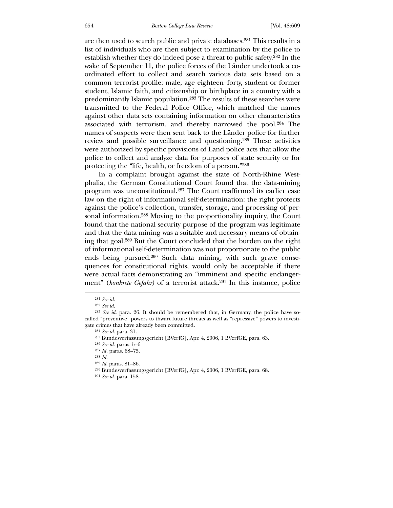are then used to search public and private databases.281 This results in a list of individuals who are then subject to examination by the police to establish whether they do indeed pose a threat to public safety.282 In the wake of September 11, the police forces of the Länder undertook a coordinated effort to collect and search various data sets based on a common terrorist profile: male, age eighteen–forty, student or former student, Islamic faith, and citizenship or birthplace in a country with a predominantly Islamic population.283 The results of these searches were transmitted to the Federal Police Office, which matched the names against other data sets containing information on other characteristics associated with terrorism, and thereby narrowed the pool.284 The names of suspects were then sent back to the Länder police for further review and possible surveillance and questioning.285 These activities were authorized by specific provisions of Land police acts that allow the police to collect and analyze data for purposes of state security or for protecting the "life, health, or freedom of a person."286

 In a complaint brought against the state of North-Rhine Westphalia, the German Constitutional Court found that the data-mining program was unconstitutional.287 The Court reaffirmed its earlier case law on the right of informational self-determination: the right protects against the police's collection, transfer, storage, and processing of personal information.288 Moving to the proportionality inquiry, the Court found that the national security purpose of the program was legitimate and that the data mining was a suitable and necessary means of obtaining that goal.289 But the Court concluded that the burden on the right of informational self-determination was not proportionate to the public ends being pursued.290 Such data mining, with such grave consequences for constitutional rights, would only be acceptable if there were actual facts demonstrating an "imminent and specific endangerment" (*konkrete Gefahr*) of a terrorist attack.<sup>291</sup> In this instance, police

<sup>281</sup> *See id*.

<sup>282</sup> *See id*.

<sup>283</sup> *See id*. para. 26. It should be remembered that, in Germany, the police have socalled "preventive" powers to thwart future threats as well as "repressive" powers to investigate crimes that have already been committed.

<sup>284</sup> *See id*. para. 31.

<sup>285</sup> Bundesverfassungsgericht [BVerfG], Apr. 4, 2006, 1 BVerfGE, para. 63.

<sup>286</sup> *See id.* paras. 5–6.

<sup>287</sup> *Id.* paras. 68–75.

<sup>288</sup> *Id.*

<sup>289</sup> *Id*. paras. 81–86.

<sup>290</sup> Bundesverfassungsgericht [BVerfG], Apr. 4, 2006, 1 BVerfGE, para. 68.

<sup>291</sup> *See id.* para. 158.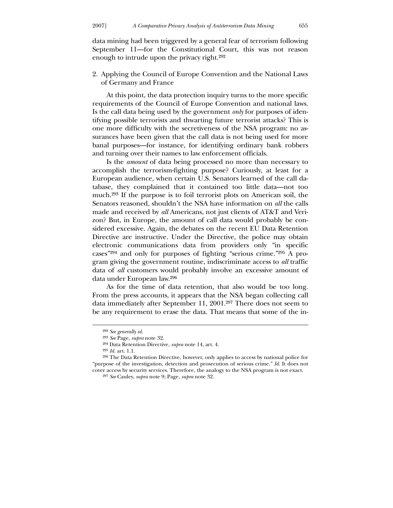data mining had been triggered by a general fear of terrorism following September 11—for the Constitutional Court, this was not reason enough to intrude upon the privacy right.292

2. Applying the Council of Europe Convention and the National Laws of Germany and France

 At this point, the data protection inquiry turns to the more specific requirements of the Council of Europe Convention and national laws. Is the call data being used by the government *only* for purposes of identifying possible terrorists and thwarting future terrorist attacks? This is one more difficulty with the secretiveness of the NSA program: no assurances have been given that the call data is not being used for more banal purposes—for instance, for identifying ordinary bank robbers and turning over their names to law enforcement officials.

 Is the *amount* of data being processed no more than necessary to accomplish the terrorism-fighting purpose? Curiously, at least for a European audience, when certain U.S. Senators learned of the call database, they complained that it contained too little data—not too much.293 If the purpose is to foil terrorist plots on American soil, the Senators reasoned, shouldn't the NSA have information on *all* the calls made and received by *all* Americans, not just clients of AT&T and Verizon? But, in Europe, the amount of call data would probably be considered excessive. Again, the debates on the recent EU Data Retention Directive are instructive. Under the Directive, the police may obtain electronic communications data from providers only "in specific cases"294 and only for purposes of fighting "serious crime."295 A program giving the government routine, indiscriminate access to *all* traffic data of *all* customers would probably involve an excessive amount of data under European law.296

 As for the time of data retention, that also would be too long. From the press accounts, it appears that the NSA began collecting call data immediately after September 11, 2001.297 There does not seem to be any requirement to erase the data. That means that some of the in-

<sup>292</sup> *See generally id*.

<sup>293</sup> *See* Page, *supra* note 32.

<sup>294</sup> Data Retention Directive, *supra* note 14, art. 4.

<sup>295</sup> *Id.* art. 1.1.

<sup>296</sup> The Data Retention Directive, however, only applies to access by national police for "purpose of the investigation, detection and prosecution of serious crime." *Id*. It does not cover access by security services. Therefore, the analogy to the NSA program is not exact.

<sup>297</sup> *See* Cauley, *supra* note 9; Page, *supra* note 32.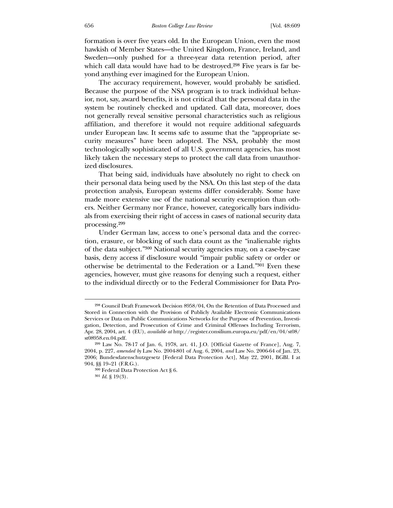formation is over five years old. In the European Union, even the most hawkish of Member States—the United Kingdom, France, Ireland, and Sweden—only pushed for a three-year data retention period, after which call data would have had to be destroyed.<sup>298</sup> Five years is far beyond anything ever imagined for the European Union.

 The accuracy requirement, however, would probably be satisfied. Because the purpose of the NSA program is to track individual behavior, not, say, award benefits, it is not critical that the personal data in the system be routinely checked and updated. Call data, moreover, does not generally reveal sensitive personal characteristics such as religious affiliation, and therefore it would not require additional safeguards under European law. It seems safe to assume that the "appropriate security measures" have been adopted. The NSA, probably the most technologically sophisticated of all U.S. government agencies, has most likely taken the necessary steps to protect the call data from unauthorized disclosures.

 That being said, individuals have absolutely no right to check on their personal data being used by the NSA. On this last step of the data protection analysis, European systems differ considerably. Some have made more extensive use of the national security exemption than others. Neither Germany nor France, however, categorically bars individuals from exercising their right of access in cases of national security data processing.299

 Under German law, access to one's personal data and the correction, erasure, or blocking of such data count as the "inalienable rights of the data subject."300 National security agencies may, on a case-by-case basis, deny access if disclosure would "impair public safety or order or otherwise be detrimental to the Federation or a Land."301 Even these agencies, however, must give reasons for denying such a request, either to the individual directly or to the Federal Commissioner for Data Pro-

<sup>298</sup> Council Draft Framework Decision 8958/04, On the Retention of Data Processed and Stored in Connection with the Provision of Publicly Available Electronic Communications Services or Data on Public Communications Networks for the Purpose of Prevention, Investigation, Detection, and Prosecution of Crime and Criminal Offenses Including Terrorism, Apr. 28, 2004, art. 4 (EU), *available at* http://register.consilium.europa.eu/pdf/en/04/st08/ st08958.en.04.pdf.

<sup>299</sup> Law No. 78-17 of Jan. 6, 1978, art. 41, J.O. [Official Gazette of France], Aug. 7, 2004, p. 227, *amended by* Law No. 2004-801 of Aug. 6, 2004, *and* Law No. 2006-64 of Jan. 23, 2006; Bundesdatenschutzgesetz [Federal Data Protection Act], May 22, 2001, BGBl. I at 904, §§ 19–21 (F.R.G.).

<sup>300</sup> Federal Data Protection Act § 6.

<sup>301</sup> *Id*. § 19(3).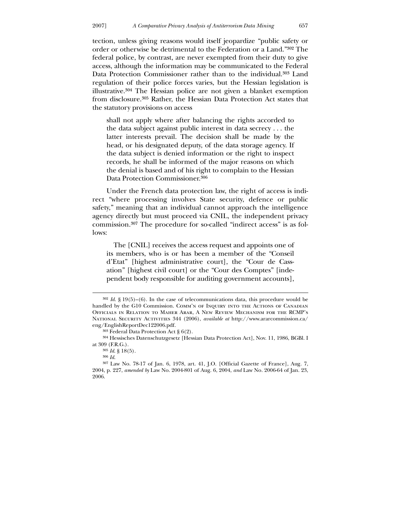tection, unless giving reasons would itself jeopardize "public safety or order or otherwise be detrimental to the Federation or a Land."302 The federal police, by contrast, are never exempted from their duty to give access, although the information may be communicated to the Federal Data Protection Commissioner rather than to the individual.303 Land regulation of their police forces varies, but the Hessian legislation is illustrative.304 The Hessian police are not given a blanket exemption from disclosure.305 Rather, the Hessian Data Protection Act states that the statutory provisions on access

shall not apply where after balancing the rights accorded to the data subject against public interest in data secrecy . . . the latter interests prevail. The decision shall be made by the head, or his designated deputy, of the data storage agency. If the data subject is denied information or the right to inspect records, he shall be informed of the major reasons on which the denial is based and of his right to complain to the Hessian Data Protection Commissioner.306

 Under the French data protection law, the right of access is indirect "where processing involves State security, defence or public safety," meaning that an individual cannot approach the intelligence agency directly but must proceed via CNIL, the independent privacy commission.307 The procedure for so-called "indirect access" is as follows:

 The [CNIL] receives the access request and appoints one of its members, who is or has been a member of the "Conseil d'Etat" [highest administrative court], the "Cour de Cassation" [highest civil court] or the "Cour des Comptes" [independent body responsible for auditing government accounts],

<sup>302</sup> *Id*. § 19(5)–(6). In the case of telecommunications data, this procedure would be handled by the G10 Commission. COMM'N OF INQUIRY INTO THE ACTIONS OF CANADIAN Officials in Relation to Maher Arar, A New Review Mechanism for the RCMP's National Security Activities 344 (2006), *available at* http://www.ararcommission.ca/ eng/EnglishReportDec122006.pdf.

<sup>303</sup> Federal Data Protection Act § 6(2).

<sup>304</sup> Hessisches Datenschutzgesetz [Hessian Data Protection Act], Nov. 11, 1986, BGBl. I at 309 (F.R.G.).

<sup>305</sup> *Id*. § 18(5).

<sup>306</sup> *Id*.

<sup>307</sup> Law No. 78-17 of Jan. 6, 1978, art. 41, J.O. [Official Gazette of France], Aug. 7, 2004, p. 227, *amended by* Law No. 2004-801 of Aug. 6, 2004, *and* Law No. 2006-64 of Jan. 23, 2006.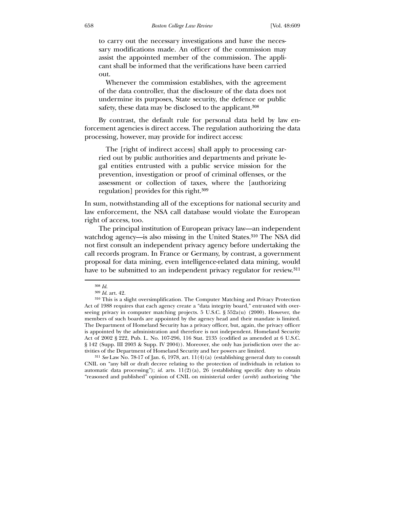to carry out the necessary investigations and have the necessary modifications made. An officer of the commission may assist the appointed member of the commission. The applicant shall be informed that the verifications have been carried out.

 Whenever the commission establishes, with the agreement of the data controller, that the disclosure of the data does not undermine its purposes, State security, the defence or public safety, these data may be disclosed to the applicant.<sup>308</sup>

 By contrast, the default rule for personal data held by law enforcement agencies is direct access. The regulation authorizing the data processing, however, may provide for indirect access:

 The [right of indirect access] shall apply to processing carried out by public authorities and departments and private legal entities entrusted with a public service mission for the prevention, investigation or proof of criminal offenses, or the assessment or collection of taxes, where the [authorizing regulation] provides for this right.309

In sum, notwithstanding all of the exceptions for national security and law enforcement, the NSA call database would violate the European right of access, too.

 The principal institution of European privacy law—an independent watchdog agency—is also missing in the United States.310 The NSA did not first consult an independent privacy agency before undertaking the call records program. In France or Germany, by contrast, a government proposal for data mining, even intelligence-related data mining, would have to be submitted to an independent privacy regulator for review.<sup>311</sup>

 $\overline{a}$ 

311 *See* Law No. 78-17 of Jan. 6, 1978, art. 11(4)(a) (establishing general duty to consult CNIL on "any bill or draft decree relating to the protection of individuals in relation to automatic data processing"); *id.* arts.  $11(2)(a)$ , 26 (establishing specific duty to obtain "reasoned and published" opinion of CNIL on ministerial order (*arrêté*) authorizing "the

<sup>308</sup> *Id*.

<sup>309</sup> *Id*. art. 42.

<sup>310</sup> This is a slight oversimplification. The Computer Matching and Privacy Protection Act of 1988 requires that each agency create a "data integrity board," entrusted with overseeing privacy in computer matching projects.  $5 \text{ U.S.C. }$  §  $552a(u)$  (2000). However, the members of such boards are appointed by the agency head and their mandate is limited. The Department of Homeland Security has a privacy officer, but, again, the privacy officer is appointed by the administration and therefore is not independent. Homeland Security Act of 2002 § 222, Pub. L. No. 107-296, 116 Stat. 2135 (codified as amended at 6 U.S.C. § 142 (Supp. III 2003 & Supp. IV 2004)). Moreover, she only has jurisdiction over the activities of the Department of Homeland Security and her powers are limited.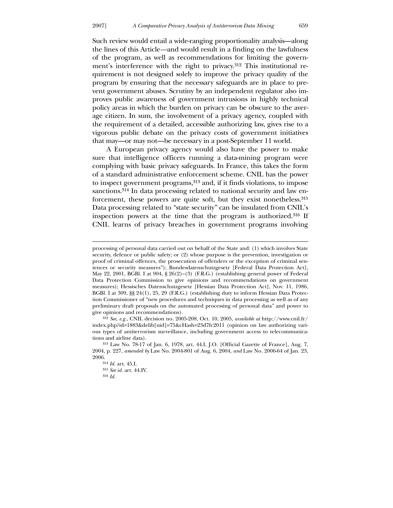<u>.</u>

Such review would entail a wide-ranging proportionality analysis—along the lines of this Article*—*and would result in a finding on the lawfulness of the program, as well as recommendations for limiting the government's interference with the right to privacy.<sup>312</sup> This institutional requirement is not designed solely to improve the privacy quality of the program by ensuring that the necessary safeguards are in place to prevent government abuses. Scrutiny by an independent regulator also improves public awareness of government intrusions in highly technical policy areas in which the burden on privacy can be obscure to the average citizen. In sum, the involvement of a privacy agency, coupled with the requirement of a detailed, accessible authorizing law, gives rise to a vigorous public debate on the privacy costs of government initiatives that may—or may not—be necessary in a post-September 11 world.

 A European privacy agency would also have the power to make sure that intelligence officers running a data-mining program were complying with basic privacy safeguards. In France, this takes the form of a standard administrative enforcement scheme. CNIL has the power to inspect government programs,313 and, if it finds violations, to impose sanctions.<sup>314</sup> In data processing related to national security and law enforcement, these powers are quite soft, but they exist nonetheless.315 Data processing related to "state security" can be insulated from CNIL's inspection powers at the time that the program is authorized.316 If CNIL learns of privacy breaches in government programs involving

312 *See, e.g.*, CNIL decision no. 2005-208, Oct. 10, 2005, *available at* http://www.cnil.fr/ index.php?id=1883&delib[uid]=75&cHash=23d7fc2011 (opinion on law authorizing various types of antiterrorism surveillance, including government access to telecommunications and airline data).

processing of personal data carried out on behalf of the State and: (1) which involves State security, defence or public safety; or (2) whose purpose is the prevention, investigation or proof of criminal offences, the prosecution of offenders or the exception of criminal sentences or security measures"); Bundesdatenschutzgesetz [Federal Data Protection Act], May 22, 2001, BGBl. I at 904, § 26(2)–(3) (F.R.G.) (establishing general power of Federal Data Protection Commission to give opinions and recommendations on government measures); Hessisches Datenschutzgesetz [Hessian Data Protection Act], Nov. 11, 1986, BGBl. I at 309, §§ 24(1), 25, 29 (F.R.G.) (establishing duty to inform Hessian Data Protection Commissioner of "new procedures and techniques in data processing as well as of any preliminary draft proposals on the automated processing of personal data" and power to give opinions and recommendations).

<sup>313</sup> Law No. 78-17 of Jan. 6, 1978, art. 44.I, J.O. [Official Gazette of France], Aug. 7, 2004, p. 227, *amended by* Law No. 2004-801 of Aug. 6, 2004, *and* Law No. 2006-64 of Jan. 23, 2006.

<sup>314</sup> *Id.* art. 45.I. 315 *See id.* art. 44.IV. 316 *Id.*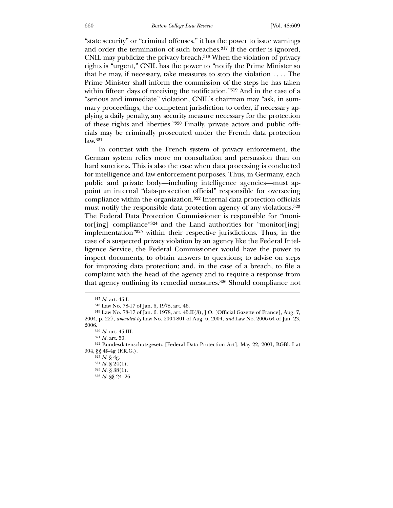"state security" or "criminal offenses," it has the power to issue warnings and order the termination of such breaches.317 If the order is ignored, CNIL may publicize the privacy breach.318 When the violation of privacy rights is "urgent," CNIL has the power to "notify the Prime Minister so that he may, if necessary, take measures to stop the violation . . . . The Prime Minister shall inform the commission of the steps he has taken within fifteen days of receiving the notification."319 And in the case of a "serious and immediate" violation, CNIL's chairman may "ask, in summary proceedings, the competent jurisdiction to order, if necessary applying a daily penalty, any security measure necessary for the protection of these rights and liberties."320 Finally, private actors and public officials may be criminally prosecuted under the French data protection law.321

 In contrast with the French system of privacy enforcement, the German system relies more on consultation and persuasion than on hard sanctions. This is also the case when data processing is conducted for intelligence and law enforcement purposes. Thus, in Germany, each public and private body—including intelligence agencies*—*must appoint an internal "data-protection official" responsible for overseeing compliance within the organization.322 Internal data protection officials must notify the responsible data protection agency of any violations.323 The Federal Data Protection Commissioner is responsible for "monitor[ing] compliance"<sup>324</sup> and the Land authorities for "monitor[ing] implementation"325 within their respective jurisdictions. Thus, in the case of a suspected privacy violation by an agency like the Federal Intelligence Service, the Federal Commissioner would have the power to inspect documents; to obtain answers to questions; to advise on steps for improving data protection; and, in the case of a breach, to file a complaint with the head of the agency and to require a response from that agency outlining its remedial measures.326 Should compliance not

<sup>317</sup> *Id*. art. 45.I.

<sup>318</sup> Law No. 78-17 of Jan. 6, 1978, art. 46.

<sup>319</sup> Law No. 78-17 of Jan. 6, 1978, art. 45.II(3), J.O. [Official Gazette of France], Aug. 7, 2004, p. 227, *amended by* Law No. 2004-801 of Aug. 6, 2004, *and* Law No. 2006-64 of Jan. 23, 2006.

<sup>320</sup> *Id.* art. 45.III.

<sup>321</sup> *Id.* art. 50.

<sup>322</sup> Bundesdatenschutzgesetz [Federal Data Protection Act], May 22, 2001, BGBl. I at 904, §§ 4f–4g (F.R.G.).

<sup>323</sup> *Id*. § 4g.

<sup>324</sup> *Id.* § 24(1).

 $^{325}$   $Id.$   $\$,$   $38(1).$ 

<sup>326</sup> *Id.* §§ 24–26.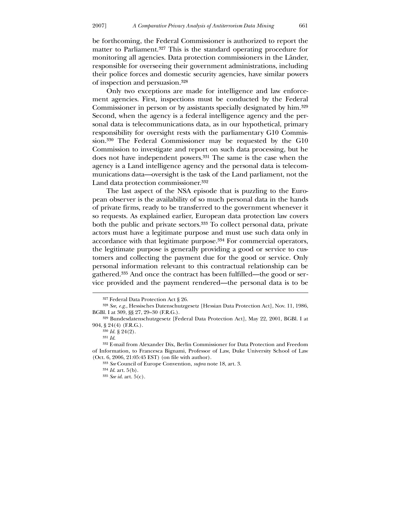be forthcoming, the Federal Commissioner is authorized to report the matter to Parliament.327 This is the standard operating procedure for monitoring all agencies. Data protection commissioners in the Länder, responsible for overseeing their government administrations, including their police forces and domestic security agencies, have similar powers of inspection and persuasion.328

 Only two exceptions are made for intelligence and law enforcement agencies. First, inspections must be conducted by the Federal Commissioner in person or by assistants specially designated by him.329 Second, when the agency is a federal intelligence agency and the personal data is telecommunications data, as in our hypothetical, primary responsibility for oversight rests with the parliamentary G10 Commission.330 The Federal Commissioner may be requested by the G10 Commission to investigate and report on such data processing, but he does not have independent powers.331 The same is the case when the agency is a Land intelligence agency and the personal data is telecommunications data—oversight is the task of the Land parliament, not the Land data protection commissioner.332

 The last aspect of the NSA episode that is puzzling to the European observer is the availability of so much personal data in the hands of private firms, ready to be transferred to the government whenever it so requests. As explained earlier, European data protection law covers both the public and private sectors.333 To collect personal data, private actors must have a legitimate purpose and must use such data only in accordance with that legitimate purpose.334 For commercial operators, the legitimate purpose is generally providing a good or service to customers and collecting the payment due for the good or service. Only personal information relevant to this contractual relationship can be gathered.335 And once the contract has been fulfilled—the good or service provided and the payment rendered—the personal data is to be

-

<sup>327</sup> Federal Data Protection Act § 26.

<sup>328</sup> *See, e.g.*, Hessisches Datenschutzgesetz [Hessian Data Protection Act], Nov. 11, 1986, BGBl. I at 309, §§ 27, 29–30 (F.R.G.).

<sup>329</sup> Bundesdatenschutzgesetz [Federal Data Protection Act], May 22, 2001, BGBl. I at 904, § 24(4) (F.R.G.).

<sup>330</sup> *Id.* § 24(2).

<sup>331</sup> *Id*.

<sup>332</sup> E-mail from Alexander Dix, Berlin Commissioner for Data Protection and Freedom of Information, to Francesca Bignami, Professor of Law, Duke University School of Law (Oct. 6, 2006, 21:05:45 EST) (on file with author).

<sup>333</sup> *See* Council of Europe Convention, *supra* note 18, art. 3.

<sup>334</sup> *Id*. art. 5(b).

<sup>335</sup> *See id*. art. 5(c).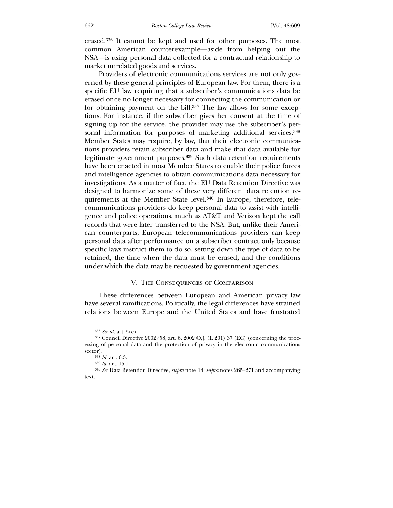erased.336 It cannot be kept and used for other purposes. The most common American counterexample—aside from helping out the NSA—is using personal data collected for a contractual relationship to market unrelated goods and services.

 Providers of electronic communications services are not only governed by these general principles of European law. For them, there is a specific EU law requiring that a subscriber's communications data be erased once no longer necessary for connecting the communication or for obtaining payment on the bill.337 The law allows for some exceptions. For instance, if the subscriber gives her consent at the time of signing up for the service, the provider may use the subscriber's personal information for purposes of marketing additional services.<sup>338</sup> Member States may require, by law, that their electronic communications providers retain subscriber data and make that data available for legitimate government purposes.339 Such data retention requirements have been enacted in most Member States to enable their police forces and intelligence agencies to obtain communications data necessary for investigations. As a matter of fact, the EU Data Retention Directive was designed to harmonize some of these very different data retention requirements at the Member State level.340 In Europe, therefore, telecommunications providers do keep personal data to assist with intelligence and police operations, much as AT&T and Verizon kept the call records that were later transferred to the NSA. But, unlike their American counterparts, European telecommunications providers can keep personal data after performance on a subscriber contract only because specific laws instruct them to do so, setting down the type of data to be retained, the time when the data must be erased, and the conditions under which the data may be requested by government agencies.

## V. The Consequences of Comparison

 These differences between European and American privacy law have several ramifications. Politically, the legal differences have strained relations between Europe and the United States and have frustrated

<sup>336</sup> *See id*. art. 5(e).

<sup>337</sup> Council Directive 2002/58, art. 6, 2002 O.J. (L 201) 37 (EC) (concerning the processing of personal data and the protection of privacy in the electronic communications sector).

<sup>338</sup> *Id.* art. 6.3.

<sup>339</sup> *Id.* art. 15.1.

<sup>340</sup> *See* Data Retention Directive, *supra* note 14; *supra* notes 265–271 and accompanying text.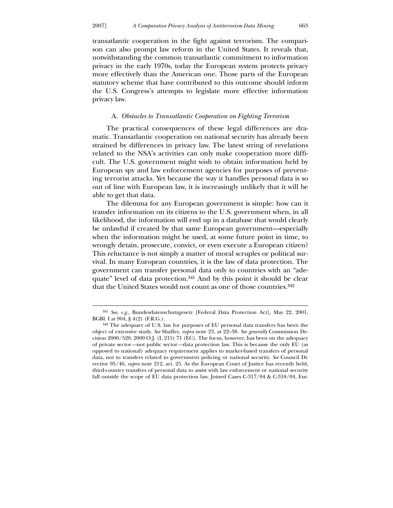<u>.</u>

transatlantic cooperation in the fight against terrorism. The comparison can also prompt law reform in the United States. It reveals that, notwithstanding the common transatlantic commitment to information privacy in the early 1970s, today the European system protects privacy more effectively than the American one. Those parts of the European statutory scheme that have contributed to this outcome should inform the U.S. Congress's attempts to legislate more effective information privacy law.

### A. *Obstacles to Transatlantic Cooperation on Fighting Terrorism*

 The practical consequences of these legal differences are dramatic. Transatlantic cooperation on national security has already been strained by differences in privacy law. The latest string of revelations related to the NSA's activities can only make cooperation more difficult. The U.S. government might wish to obtain information held by European spy and law enforcement agencies for purposes of preventing terrorist attacks. Yet because the way it handles personal data is so out of line with European law, it is increasingly unlikely that it will be able to get that data.

 The dilemma for any European government is simple: how can it transfer information on its citizens to the U.S. government when, in all likelihood, the information will end up in a database that would clearly be unlawful if created by that same European government—especially when the information might be used, at some future point in time, to wrongly detain, prosecute, convict, or even execute a European citizen? This reluctance is not simply a matter of moral scruples or political survival. In many European countries, it is the law of data protection. The government can transfer personal data only to countries with an "adequate" level of data protection.<sup>341</sup> And by this point it should be clear that the United States would not count as one of those countries.342

<sup>341</sup> *See*, *e.g.*, Bundesdatenschutzgesetz [Federal Data Protection Act], May 22, 2001, BGBl. I at 904, § 4(2) (F.R.G.).

<sup>342</sup> The adequacy of U.S. law for purposes of EU personal data transfers has been the object of extensive study. *See* Shaffer, *supra* note 23, at 22–38. *See generally* Commission Decision 2000/520, 2000 O.J. (L 215) 71 (EC). The focus, however, has been on the adequacy of private sector*—*not public sector*—*data protection law. This is because the only EU (as opposed to national) adequacy requirement applies to market-based transfers of personal data, not to transfers related to government policing or national security. *See* Council Directive 95/46, *supra* note 212, art. 25. As the European Court of Justice has recently held, third-country transfers of personal data to assist with law enforcement or national security fall outside the scope of EU data protection law. Joined Cases C-317/04 & C-318/04, Eur.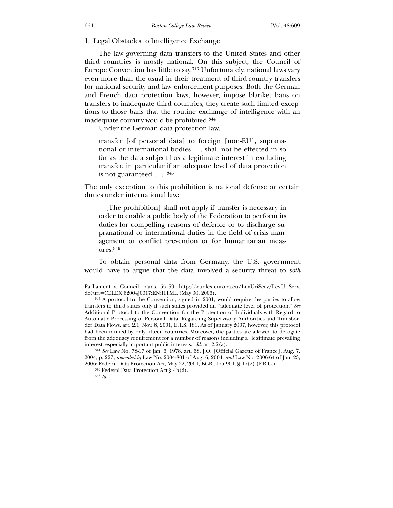1. Legal Obstacles to Intelligence Exchange

 The law governing data transfers to the United States and other third countries is mostly national. On this subject, the Council of Europe Convention has little to say.343 Unfortunately, national laws vary even more than the usual in their treatment of third-country transfers for national security and law enforcement purposes. Both the German and French data protection laws, however, impose blanket bans on transfers to inadequate third countries; they create such limited exceptions to those bans that the routine exchange of intelligence with an inadequate country would be prohibited.344

Under the German data protection law,

transfer [of personal data] to foreign [non-EU], supranational or international bodies . . . shall not be effected in so far as the data subject has a legitimate interest in excluding transfer, in particular if an adequate level of data protection is not guaranteed . . . .345

The only exception to this prohibition is national defense or certain duties under international law:

 [The prohibition] shall not apply if transfer is necessary in order to enable a public body of the Federation to perform its duties for compelling reasons of defence or to discharge supranational or international duties in the field of crisis management or conflict prevention or for humanitarian measures.346

 To obtain personal data from Germany, the U.S. government would have to argue that the data involved a security threat to *both*

Parliament v. Council, paras. 55–59, http://eur.lex.europa.eu/LexUriServ/LexUriServ. do?uri=CELEX:62004J0317:EN:HTML (May 30, 2006).

<sup>343</sup> A protocol to the Convention, signed in 2001, would require the parties to allow transfers to third states only if such states provided an "adequate level of protection." *See* Additional Protocol to the Convention for the Protection of Individuals with Regard to Automatic Processing of Personal Data, Regarding Supervisory Authorities and Transborder Data Flows, art. 2.1, Nov. 8, 2001, E.T.S. 181. As of January 2007, however, this protocol had been ratified by only fifteen countries. Moreover, the parties are allowed to derogate from the adequacy requirement for a number of reasons including a "legitimate prevailing interest, especially important public interests." *Id*. art 2.2(a).

<sup>344</sup> *See* Law No. 78-17 of Jan. 6, 1978, art. 68, J.O. [Official Gazette of France], Aug. 7, 2004, p. 227, *amended by* Law No. 2004-801 of Aug. 6, 2004, *and* Law No. 2006-64 of Jan. 23, 2006; Federal Data Protection Act, May 22, 2001, BGBl. I at 904, § 4b(2) (F.R.G.).

<sup>345</sup> Federal Data Protection Act § 4b(2).

<sup>346</sup> *Id.*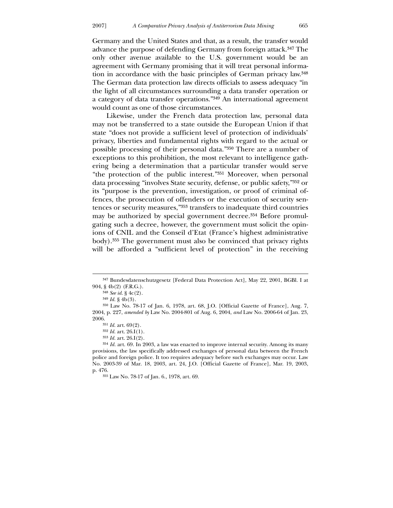Germany and the United States and that, as a result, the transfer would advance the purpose of defending Germany from foreign attack.347 The only other avenue available to the U.S. government would be an agreement with Germany promising that it will treat personal information in accordance with the basic principles of German privacy law.348 The German data protection law directs officials to assess adequacy "in the light of all circumstances surrounding a data transfer operation or a category of data transfer operations."349 An international agreement would count as one of those circumstances.

 Likewise, under the French data protection law, personal data may not be transferred to a state outside the European Union if that state "does not provide a sufficient level of protection of individuals' privacy, liberties and fundamental rights with regard to the actual or possible processing of their personal data."350 There are a number of exceptions to this prohibition, the most relevant to intelligence gathering being a determination that a particular transfer would serve "the protection of the public interest."351 Moreover, when personal data processing "involves State security, defense, or public safety,"352 or its "purpose is the prevention, investigation, or proof of criminal offences, the prosecution of offenders or the execution of security sentences or security measures,"353 transfers to inadequate third countries may be authorized by special government decree.354 Before promulgating such a decree, however, the government must solicit the opinions of CNIL and the Conseil d'Etat (France's highest administrative body).355 The government must also be convinced that privacy rights will be afforded a "sufficient level of protection" in the receiving

-

<sup>347</sup> Bundesdatenschutzgesetz [Federal Data Protection Act], May 22, 2001, BGBl. I at 904, § 4b(2) (F.R.G.).

<sup>348</sup> *See id*. § 4c(2).

 $349$  *Id.* § 4b(3).

<sup>350</sup> Law No. 78-17 of Jan. 6, 1978, art. 68, J.O. [Official Gazette of France], Aug. 7, 2004, p. 227, *amended by* Law No. 2004-801 of Aug. 6, 2004, *and* Law No. 2006-64 of Jan. 23, 2006.

<sup>351</sup> *Id.* art. 69(2).

<sup>352</sup> *Id.* art. 26.I(1).

<sup>353</sup> *Id.* art. 26.I(2).

<sup>354</sup> *Id.* art. 69. In 2003, a law was enacted to improve internal security. Among its many provisions, the law specifically addressed exchanges of personal data between the French police and foreign police. It too requires adequacy before such exchanges may occur. Law No. 2003-39 of Mar. 18, 2003, art. 24, J.O. [Official Gazette of France], Mar. 19, 2003, p. 476.

<sup>355</sup> Law No. 78-17 of Jan. 6., 1978, art. 69.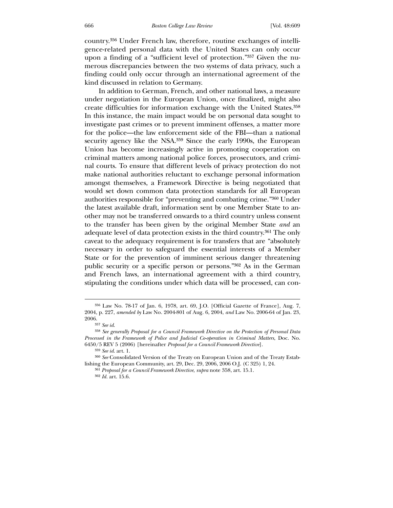country.356 Under French law, therefore, routine exchanges of intelligence-related personal data with the United States can only occur upon a finding of a "sufficient level of protection."357 Given the numerous discrepancies between the two systems of data privacy, such a finding could only occur through an international agreement of the kind discussed in relation to Germany.

 In addition to German, French, and other national laws, a measure under negotiation in the European Union, once finalized, might also create difficulties for information exchange with the United States.358 In this instance, the main impact would be on personal data sought to investigate past crimes or to prevent imminent offenses, a matter more for the police—the law enforcement side of the FBI—than a national security agency like the NSA.<sup>359</sup> Since the early 1990s, the European Union has become increasingly active in promoting cooperation on criminal matters among national police forces, prosecutors, and criminal courts. To ensure that different levels of privacy protection do not make national authorities reluctant to exchange personal information amongst themselves, a Framework Directive is being negotiated that would set down common data protection standards for all European authorities responsible for "preventing and combating crime."360 Under the latest available draft, information sent by one Member State to another may not be transferred onwards to a third country unless consent to the transfer has been given by the original Member State *and* an adequate level of data protection exists in the third country.361 The only caveat to the adequacy requirement is for transfers that are "absolutely necessary in order to safeguard the essential interests of a Member State or for the prevention of imminent serious danger threatening public security or a specific person or persons."362 As in the German and French laws, an international agreement with a third country, stipulating the conditions under which data will be processed, can con-

 $\overline{a}$ 

361 *Proposal for a Council Framework Directive*, *supra* note 358, art. 15.1.

<sup>356</sup> Law No. 78-17 of Jan. 6, 1978, art. 69, J.O. [Official Gazette of France], Aug. 7, 2004, p. 227, *amended by* Law No. 2004-801 of Aug. 6, 2004, *and* Law No. 2006-64 of Jan. 23, 2006.

<sup>357</sup> *See id*.

<sup>358</sup> *See generally Proposal for a Council Framework Directive on the Protection of Personal Data Processed in the Framework of Police and Judicial Co-operation in Criminal Matters*, Doc. No. 6450/5 REV 5 (2006) [hereinafter *Proposal for a Council Framework Directive*].

<sup>359</sup> *See id*. art. 1.

<sup>360</sup> *See* Consolidated Version of the Treaty on European Union and of the Treaty Establishing the European Community, art. 29, Dec. 29, 2006, 2006 O.J. (C 325) 1, 24.

<sup>362</sup> *Id.* art. 15.6.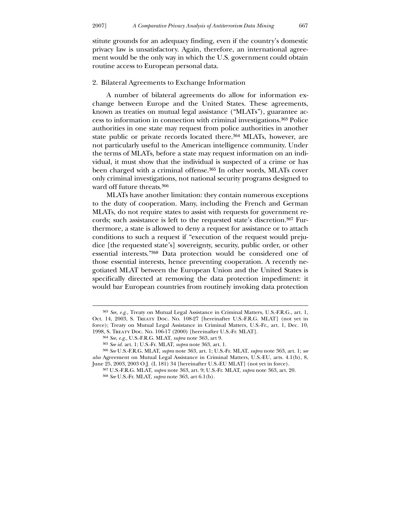stitute grounds for an adequacy finding, even if the country's domestic privacy law is unsatisfactory. Again, therefore, an international agreement would be the only way in which the U.S. government could obtain routine access to European personal data.

### 2. Bilateral Agreements to Exchange Information

 A number of bilateral agreements do allow for information exchange between Europe and the United States. These agreements, known as treaties on mutual legal assistance ("MLATs"), guarantee access to information in connection with criminal investigations.363 Police authorities in one state may request from police authorities in another state public or private records located there.<sup>364</sup> MLATs, however, are not particularly useful to the American intelligence community. Under the terms of MLATs, before a state may request information on an individual, it must show that the individual is suspected of a crime or has been charged with a criminal offense.365 In other words, MLATs cover only criminal investigations, not national security programs designed to ward off future threats.366

 MLATs have another limitation: they contain numerous exceptions to the duty of cooperation. Many, including the French and German MLATs, do not require states to assist with requests for government records; such assistance is left to the requested state's discretion.367 Furthermore, a state is allowed to deny a request for assistance or to attach conditions to such a request if "execution of the request would prejudice [the requested state's] sovereignty, security, public order, or other essential interests."368 Data protection would be considered one of those essential interests, hence preventing cooperation. A recently negotiated MLAT between the European Union and the United States is specifically directed at removing the data protection impediment: it would bar European countries from routinely invoking data protection

<u>.</u>

<sup>363</sup> *See, e.g.*, Treaty on Mutual Legal Assistance in Criminal Matters, U.S.-F.R.G., art. 1, Oct. 14, 2003, S. Treaty Doc. No. 108-27 [hereinafter U.S.-F.R.G. MLAT] (not yet in force); Treaty on Mutual Legal Assistance in Criminal Matters, U.S.-Fr., art. 1, Dec. 10, 1998, S. Treaty Doc. No. 106-17 (2000) [hereinafter U.S.-Fr. MLAT].

<sup>364</sup> *See*, *e.g.*, U.S.-F.R.G. MLAT, *supra* note 363, art 9.

<sup>365</sup> *See id.* art. 1; U.S.-Fr. MLAT, *supra* note 363, art. 1.

<sup>366</sup> *See* U.S.-F.R.G. MLAT, *supra* note 363, art. 1; U.S.-Fr. MLAT, *supra* note 363, art. 1; *see also* Agreement on Mutual Legal Assistance in Criminal Matters, U.S.-EU, arts. 4.1(b), 8, June 25, 2003, 2003 O.J. (L 181) 34 [hereinafter U.S.-EU MLAT] (not yet in force).

<sup>367</sup> U.S.-F.R.G. MLAT, *supra* note 363, art. 9; U.S.-Fr. MLAT, *supra* note 363, art. 20.

<sup>368</sup> *See* U.S.-Fr. MLAT, *supra* note 363, art 6.1(b).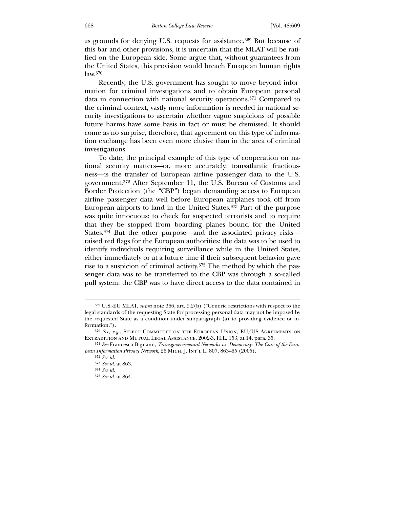as grounds for denying U.S. requests for assistance.369 But because of this bar and other provisions, it is uncertain that the MLAT will be ratified on the European side. Some argue that, without guarantees from the United States, this provision would breach European human rights law.370

 Recently, the U.S. government has sought to move beyond information for criminal investigations and to obtain European personal data in connection with national security operations.371 Compared to the criminal context, vastly more information is needed in national security investigations to ascertain whether vague suspicions of possible future harms have some basis in fact or must be dismissed. It should come as no surprise, therefore, that agreement on this type of information exchange has been even more elusive than in the area of criminal investigations.

 To date, the principal example of this type of cooperation on national security matters—or, more accurately, transatlantic fractiousness—is the transfer of European airline passenger data to the U.S. government.372 After September 11, the U.S. Bureau of Customs and Border Protection (the "CBP") began demanding access to European airline passenger data well before European airplanes took off from European airports to land in the United States.373 Part of the purpose was quite innocuous: to check for suspected terrorists and to require that they be stopped from boarding planes bound for the United States.374 But the other purpose—and the associated privacy risks raised red flags for the European authorities: the data was to be used to identify individuals requiring surveillance while in the United States, either immediately or at a future time if their subsequent behavior gave rise to a suspicion of criminal activity.375 The method by which the passenger data was to be transferred to the CBP was through a so-called pull system: the CBP was to have direct access to the data contained in

<sup>369</sup> U.S.-EU MLAT, *supra* note 366, art. 9.2(b) ("Generic restrictions with respect to the legal standards of the requesting State for processing personal data may not be imposed by the requested State as a condition under subparagraph (a) to providing evidence or information.").

<sup>370</sup> *See, e.g.*, Select Committee on the European Union, EU/US Agreements on Extradition and Mutual Legal Assistance, 2002-3, H.L. 153, at 14, para. 35.

<sup>371</sup> *See* Francesca Bignami, *Transgovernmental Networks vs. Democracy: The Case of the European Information Privacy Network*, 26 Mich. J. Int'l L. 807, 863–65 (2005).

<sup>372</sup> *See id*.

<sup>373</sup> *See id*. at 863. 374 *See id.*

<sup>375</sup> *See id*. at 864.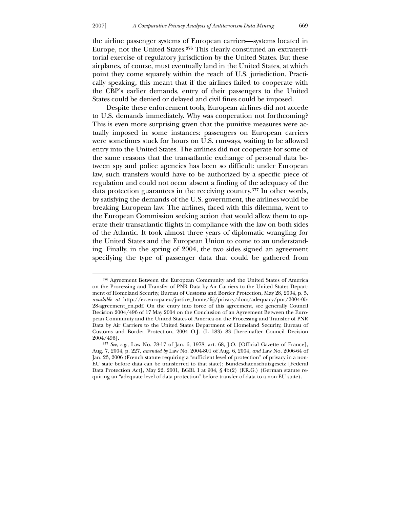the airline passenger systems of European carriers—systems located in Europe, not the United States.376 This clearly constituted an extraterritorial exercise of regulatory jurisdiction by the United States. But these airplanes, of course, must eventually land in the United States, at which point they come squarely within the reach of U.S. jurisdiction. Practically speaking, this meant that if the airlines failed to cooperate with the CBP's earlier demands, entry of their passengers to the United States could be denied or delayed and civil fines could be imposed.

 Despite these enforcement tools, European airlines did not accede to U.S. demands immediately. Why was cooperation not forthcoming? This is even more surprising given that the punitive measures were actually imposed in some instances: passengers on European carriers were sometimes stuck for hours on U.S. runways, waiting to be allowed entry into the United States. The airlines did not cooperate for some of the same reasons that the transatlantic exchange of personal data between spy and police agencies has been so difficult: under European law, such transfers would have to be authorized by a specific piece of regulation and could not occur absent a finding of the adequacy of the data protection guarantees in the receiving country.377 In other words, by satisfying the demands of the U.S. government, the airlines would be breaking European law. The airlines, faced with this dilemma, went to the European Commission seeking action that would allow them to operate their transatlantic flights in compliance with the law on both sides of the Atlantic. It took almost three years of diplomatic wrangling for the United States and the European Union to come to an understanding. Finally, in the spring of 2004, the two sides signed an agreement specifying the type of passenger data that could be gathered from

<sup>376</sup> Agreement Between the European Community and the United States of America on the Processing and Transfer of PNR Data by Air Carriers to the United States Department of Homeland Security, Bureau of Customs and Border Protection, May 28, 2004, p. 5, *available at* http://ec.europa.eu/justice\_home/fsj/privacy/docs/adequacy/pnr/2004-05- 28-agreement\_en.pdf. On the entry into force of this agreement, see generally Council Decision 2004/496 of 17 May 2004 on the Conclusion of an Agreement Between the European Community and the United States of America on the Processing and Transfer of PNR Data by Air Carriers to the United States Department of Homeland Security, Bureau of Customs and Border Protection, 2004 O.J. (L 183) 83 [hereinafter Council Decision 2004/496].

<sup>377</sup> *See*, *e.g.*, Law No. 78-17 of Jan. 6, 1978, art. 68, J.O. [Official Gazette of France], Aug. 7, 2004, p. 227, *amended by* Law No. 2004-801 of Aug. 6, 2004, *and* Law No. 2006-64 of Jan. 23, 2006 (French statute requiring a "sufficient level of protection" of privacy in a non-EU state before data can be transferred to that state); Bundesdatenschutzgesetz [Federal Data Protection Act], May 22, 2001, BGBl. I at 904, § 4b(2) (F.R.G.) (German statute requiring an "adequate level of data protection" before transfer of data to a non-EU state).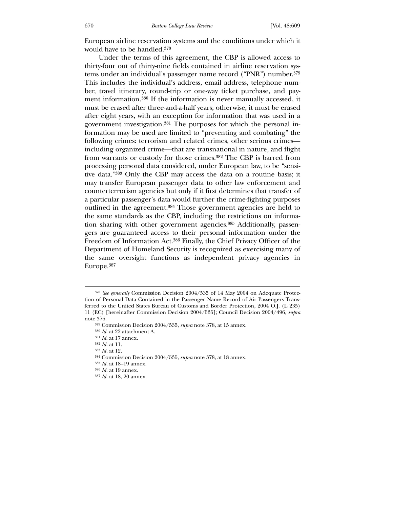European airline reservation systems and the conditions under which it would have to be handled.378

 Under the terms of this agreement, the CBP is allowed access to thirty-four out of thirty-nine fields contained in airline reservation systems under an individual's passenger name record ("PNR") number.379 This includes the individual's address, email address, telephone number, travel itinerary, round-trip or one-way ticket purchase, and payment information.380 If the information is never manually accessed, it must be erased after three-and-a-half years; otherwise, it must be erased after eight years, with an exception for information that was used in a government investigation.381 The purposes for which the personal information may be used are limited to "preventing and combating" the following crimes: terrorism and related crimes, other serious crimes including organized crime—that are transnational in nature, and flight from warrants or custody for those crimes.382 The CBP is barred from processing personal data considered, under European law, to be "sensitive data."383 Only the CBP may access the data on a routine basis; it may transfer European passenger data to other law enforcement and counterterrorism agencies but only if it first determines that transfer of a particular passenger's data would further the crime-fighting purposes outlined in the agreement.384 Those government agencies are held to the same standards as the CBP, including the restrictions on information sharing with other government agencies.<sup>385</sup> Additionally, passengers are guaranteed access to their personal information under the Freedom of Information Act.386 Finally, the Chief Privacy Officer of the Department of Homeland Security is recognized as exercising many of the same oversight functions as independent privacy agencies in Europe.387

<sup>378</sup> *See generally* Commission Decision 2004/535 of 14 May 2004 on Adequate Protection of Personal Data Contained in the Passenger Name Record of Air Passengers Transferred to the United States Bureau of Customs and Border Protection, 2004 O.J. (L 235) 11 (EC) [hereinafter Commission Decision 2004/535]; Council Decision 2004/496, *supra* note 376.

<sup>379</sup> Commission Decision 2004/535, *supra* note 378, at 15 annex.

<sup>380</sup> *Id*. at 22 attachment A.

<sup>381</sup> *Id*. at 17 annex.

<sup>382</sup> *Id.* at 11.

<sup>383</sup> *Id.* at 12.

<sup>384</sup> Commission Decision 2004/535, *supra* note 378, at 18 annex.

<sup>385</sup> *Id.* at 18–19 annex.

<sup>386</sup> *Id.* at 19 annex.

<sup>387</sup> *Id.* at 18, 20 annex.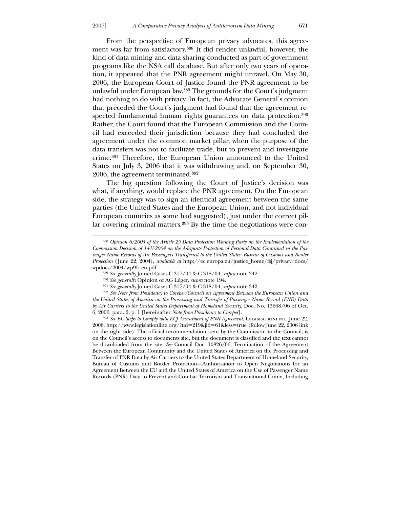From the perspective of European privacy advocates, this agreement was far from satisfactory.388 It did render unlawful, however, the kind of data mining and data sharing conducted as part of government programs like the NSA call database. But after only two years of operation, it appeared that the PNR agreement might unravel. On May 30, 2006, the European Court of Justice found the PNR agreement to be unlawful under European law.389 The grounds for the Court's judgment had nothing to do with privacy. In fact, the Advocate General's opinion that preceded the Court's judgment had found that the agreement respected fundamental human rights guarantees on data protection.390 Rather, the Court found that the European Commission and the Council had exceeded their jurisdiction because they had concluded the agreement under the common market pillar, when the purpose of the data transfers was not to facilitate trade, but to prevent and investigate crime.391 Therefore, the European Union announced to the United States on July 3, 2006 that it was withdrawing and, on September 30, 2006, the agreement terminated.392

 The big question following the Court of Justice's decision was what, if anything, would replace the PNR agreement. On the European side, the strategy was to sign an identical agreement between the same parties (the United States and the European Union, and not individual European countries as some had suggested), just under the correct pillar covering criminal matters.393 By the time the negotiations were con-

-

<sup>388</sup> *Opinion 6/2004 of the Article 29 Data Protection Working Party on the Implementation of the Commission Decision of 14-V-2004 on the Adequate Protection of Personal Data Contained in the Passenger Name Records of Air Passengers Transferred to the United States' Bureau of Customs and Border Protection* ( June 22, 2004), *available at* http://ec.europa.eu/justice\_home/fsj/privacy/docs/ wpdocs/2004/wp95\_en.pdf.

<sup>389</sup> *See generally* Joined Cases C-317/04 & C-318/04, *supra* note 342.

<sup>390</sup> *See generally* Opinion of AG Léger, *supra* note 194.

<sup>391</sup> *See generally* Joined Cases C-317/04 & C-318/04, *supra* note 342.

<sup>392</sup> *See Note from Presidency to Coreper/Council on Agreement Between the European Union and the United States of America on the Processing and Transfer of Passenger Name Record (PNR) Data by Air Carriers to the United States Department of Homeland Security*, Doc. No. 13668/06 of Oct. 6, 2006, para. 2, p. 1 [hereinafter *Note from Presidency to Coreper*].

<sup>&</sup>lt;sup>393</sup> See *EC Steps to Comply with ECJ Annulment of PNR Agreement*, LEGISLATIONLINE, June 22, 2006, http://www.legislationline.org/?tid=219&jid=61&less=true (follow June 22, 2006 link on the right side). The official recommendation, sent by the Commission to the Council, is on the Council's access to documents site, but the document is classified and the text cannot be downloaded from the site. *See* Council Doc. 10826/06, Termination of the Agreement Between the European Community and the United States of America on the Processing and Transfer of PNR Data by Air Carriers to the United States Department of Homeland Security, Bureau of Customs and Border Protection—Authorisation to Open Negotiations for an Agreement Between the EU and the United States of America on the Use of Passenger Name Records (PNR) Data to Prevent and Combat Terrorism and Transnational Crime, Including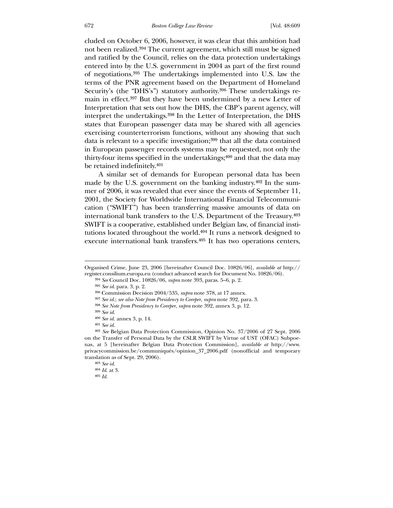cluded on October 6, 2006, however, it was clear that this ambition had not been realized.394 The current agreement, which still must be signed and ratified by the Council, relies on the data protection undertakings entered into by the U.S. government in 2004 as part of the first round of negotiations.395 The undertakings implemented into U.S. law the terms of the PNR agreement based on the Department of Homeland Security's (the "DHS's") statutory authority.396 These undertakings remain in effect.397 But they have been undermined by a new Letter of Interpretation that sets out how the DHS, the CBP's parent agency, will interpret the undertakings.398 In the Letter of Interpretation, the DHS states that European passenger data may be shared with all agencies exercising counterterrorism functions, without any showing that such data is relevant to a specific investigation;<sup>399</sup> that all the data contained in European passenger records systems may be requested, not only the thirty-four items specified in the undertakings;400 and that the data may be retained indefinitely.401

 A similar set of demands for European personal data has been made by the U.S. government on the banking industry.402 In the summer of 2006, it was revealed that ever since the events of September 11, 2001, the Society for Worldwide International Financial Telecommunication ("SWIFT") has been transferring massive amounts of data on international bank transfers to the U.S. Department of the Treasury.403 SWIFT is a cooperative, established under Belgian law, of financial institutions located throughout the world.404 It runs a network designed to execute international bank transfers.405 It has two operations centers,

Organised Crime, June 23, 2006 [hereinafter Council Doc. 10826/06], *available at* http:// register.consilium.europa.eu (conduct advanced search for Document No. 10826/06).

<sup>394</sup> *See* Council Doc. 10826/06, *supra* note 393, paras. 5–6, p. 2.

<sup>395</sup> *See id*. para. 3, p. 2.

<sup>396</sup> Commission Decision 2004/535, *supra* note 378, at 17 annex.

<sup>397</sup> *See id*.; *see also Note from Presidency to Coreper*, *supra* note 392, para. 3.

<sup>398</sup> *See Note from Presidency to Coreper*, *supra* note 392, annex 3, p. 12.

<sup>399</sup> *See id*.

<sup>400</sup> *See id.* annex 3, p. 14.

<sup>401</sup> *See id.*

<sup>402</sup> *See* Belgian Data Protection Commission, Opinion No. 37/2006 of 27 Sept. 2006 on the Transfer of Personal Data by the CSLR SWIFT by Virtue of UST (OFAC) Subpoenas, at 5 [hereinafter Belgian Data Protection Commission], *available at* http://www. privacycommission.be/communiqués/opinion\_37\_2006.pdf (nonofficial and temporary translation as of Sept. 29, 2006).

<sup>403</sup> *See id*.

<sup>404</sup> *Id*. at 3.

<sup>405</sup> *Id*.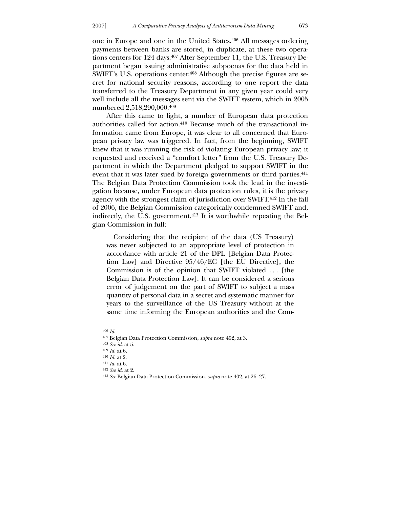one in Europe and one in the United States.406 All messages ordering payments between banks are stored, in duplicate, at these two operations centers for 124 days.407 After September 11, the U.S. Treasury Department began issuing administrative subpoenas for the data held in SWIFT's U.S. operations center.408 Although the precise figures are secret for national security reasons, according to one report the data transferred to the Treasury Department in any given year could very well include all the messages sent via the SWIFT system, which in 2005 numbered 2,518,290,000.409

 After this came to light, a number of European data protection authorities called for action.410 Because much of the transactional information came from Europe, it was clear to all concerned that European privacy law was triggered. In fact, from the beginning, SWIFT knew that it was running the risk of violating European privacy law; it requested and received a "comfort letter" from the U.S. Treasury Department in which the Department pledged to support SWIFT in the event that it was later sued by foreign governments or third parties.411 The Belgian Data Protection Commission took the lead in the investigation because, under European data protection rules, it is the privacy agency with the strongest claim of jurisdiction over SWIFT.412 In the fall of 2006, the Belgian Commission categorically condemned SWIFT and, indirectly, the U.S. government.413 It is worthwhile repeating the Belgian Commission in full:

 Considering that the recipient of the data (US Treasury) was never subjected to an appropriate level of protection in accordance with article 21 of the DPL [Belgian Data Protection Law] and Directive 95/46/EC [the EU Directive], the Commission is of the opinion that SWIFT violated . . . [the Belgian Data Protection Law]. It can be considered a serious error of judgement on the part of SWIFT to subject a mass quantity of personal data in a secret and systematic manner for years to the surveillance of the US Treasury without at the same time informing the European authorities and the Com-

<u>.</u>

<sup>406</sup> *Id*.

<sup>407</sup> Belgian Data Protection Commission, *supra* note 402, at 3.

<sup>408</sup> *See id*. at 5.

<sup>409</sup> *Id.* at 6.

<sup>410</sup> *Id*. at 2.

<sup>411</sup> *Id.* at 6.

<sup>412</sup> *See id*. at 2.

<sup>413</sup> *See* Belgian Data Protection Commission, *supra* note 402, at 26–27.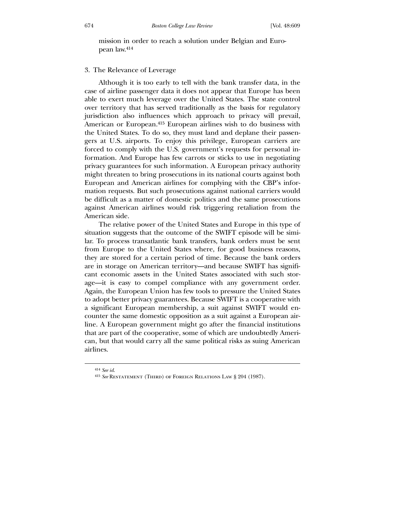mission in order to reach a solution under Belgian and European law.414

## 3. The Relevance of Leverage

 Although it is too early to tell with the bank transfer data, in the case of airline passenger data it does not appear that Europe has been able to exert much leverage over the United States. The state control over territory that has served traditionally as the basis for regulatory jurisdiction also influences which approach to privacy will prevail, American or European.415 European airlines wish to do business with the United States. To do so, they must land and deplane their passengers at U.S. airports. To enjoy this privilege, European carriers are forced to comply with the U.S. government's requests for personal information. And Europe has few carrots or sticks to use in negotiating privacy guarantees for such information. A European privacy authority might threaten to bring prosecutions in its national courts against both European and American airlines for complying with the CBP's information requests. But such prosecutions against national carriers would be difficult as a matter of domestic politics and the same prosecutions against American airlines would risk triggering retaliation from the American side.

 The relative power of the United States and Europe in this type of situation suggests that the outcome of the SWIFT episode will be similar. To process transatlantic bank transfers, bank orders must be sent from Europe to the United States where, for good business reasons, they are stored for a certain period of time. Because the bank orders are in storage on American territory—and because SWIFT has significant economic assets in the United States associated with such storage—it is easy to compel compliance with any government order. Again, the European Union has few tools to pressure the United States to adopt better privacy guarantees. Because SWIFT is a cooperative with a significant European membership, a suit against SWIFT would encounter the same domestic opposition as a suit against a European airline. A European government might go after the financial institutions that are part of the cooperative, some of which are undoubtedly American, but that would carry all the same political risks as suing American airlines.

<sup>414</sup> *See id*.

<sup>415</sup> *See* Restatement (Third) of Foreign Relations Law § 204 (1987).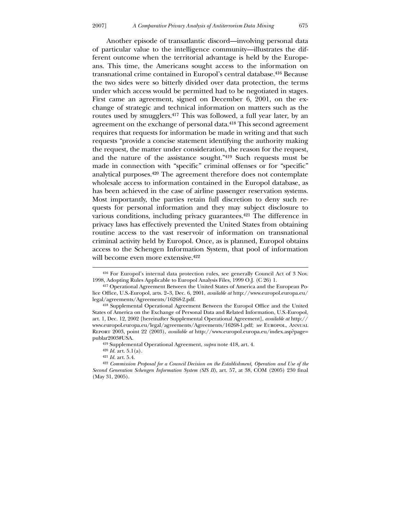Another episode of transatlantic discord—involving personal data of particular value to the intelligence community—illustrates the different outcome when the territorial advantage is held by the Europeans. This time, the Americans sought access to the information on transnational crime contained in Europol's central database.416 Because the two sides were so bitterly divided over data protection, the terms under which access would be permitted had to be negotiated in stages. First came an agreement, signed on December 6, 2001, on the exchange of strategic and technical information on matters such as the routes used by smugglers.417 This was followed, a full year later, by an agreement on the exchange of personal data.418 This second agreement requires that requests for information be made in writing and that such requests "provide a concise statement identifying the authority making the request, the matter under consideration, the reason for the request, and the nature of the assistance sought."419 Such requests must be made in connection with "specific" criminal offenses or for "specific" analytical purposes.420 The agreement therefore does not contemplate wholesale access to information contained in the Europol database, as has been achieved in the case of airline passenger reservation systems. Most importantly, the parties retain full discretion to deny such requests for personal information and they may subject disclosure to various conditions, including privacy guarantees.421 The difference in privacy laws has effectively prevented the United States from obtaining routine access to the vast reservoir of information on transnational criminal activity held by Europol. Once, as is planned, Europol obtains access to the Schengen Information System, that pool of information will become even more extensive.422

<sup>416</sup> For Europol's internal data protection rules, see generally Council Act of 3 Nov. 1998, Adopting Rules Applicable to Europol Analysis Files, 1999 O.J. (C 26) 1.

<sup>417</sup> Operational Agreement Between the United States of America and the European Police Office, U.S.-Europol, arts. 2–3, Dec. 6, 2001, *available at* http://www.europol.europa.eu/ legal/agreements/Agreements/16268-2.pdf.

<sup>418</sup> Supplemental Operational Agreement Between the Europol Office and the United States of America on the Exchange of Personal Data and Related Information, U.S.-Europol, art. 1, Dec. 12, 2002 [hereinafter Supplemental Operational Agreement], *available at* http:// www.europol.europa.eu/legal/agreements/Agreements/16268-1.pdf; *see* Europol, Annual Report 2003, point 22 (2003), *available at* http://www.europol.europa.eu/index.asp?page= publar2003#USA.

<sup>419</sup> Supplemental Operational Agreement, *supra* note 418, art. 4.

<sup>420</sup> *Id.* art. 5.1(a).

<sup>421</sup> *Id.* art. 5.4.

<sup>422</sup> *Commission Proposal for a Council Decision on the Establishment, Operation and Use of the Second Generation Schengen Information System (SIS II)*, art. 57, at 38, COM (2005) 230 final (May 31, 2005).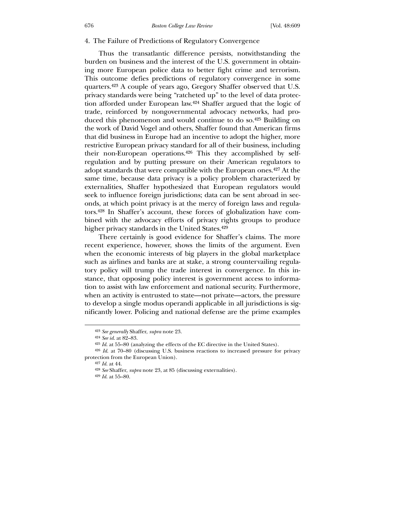#### 4. The Failure of Predictions of Regulatory Convergence

 Thus the transatlantic difference persists, notwithstanding the burden on business and the interest of the U.S. government in obtaining more European police data to better fight crime and terrorism. This outcome defies predictions of regulatory convergence in some quarters.423 A couple of years ago, Gregory Shaffer observed that U.S. privacy standards were being "ratcheted up" to the level of data protection afforded under European law.424 Shaffer argued that the logic of trade, reinforced by nongovernmental advocacy networks, had produced this phenomenon and would continue to do so.425 Building on the work of David Vogel and others, Shaffer found that American firms that did business in Europe had an incentive to adopt the higher, more restrictive European privacy standard for all of their business, including their non-European operations.426 This they accomplished by selfregulation and by putting pressure on their American regulators to adopt standards that were compatible with the European ones.427 At the same time, because data privacy is a policy problem characterized by externalities, Shaffer hypothesized that European regulators would seek to influence foreign jurisdictions; data can be sent abroad in seconds, at which point privacy is at the mercy of foreign laws and regulators.428 In Shaffer's account, these forces of globalization have combined with the advocacy efforts of privacy rights groups to produce higher privacy standards in the United States.<sup>429</sup>

 There certainly is good evidence for Shaffer's claims. The more recent experience, however, shows the limits of the argument. Even when the economic interests of big players in the global marketplace such as airlines and banks are at stake, a strong countervailing regulatory policy will trump the trade interest in convergence. In this instance, that opposing policy interest is government access to information to assist with law enforcement and national security. Furthermore, when an activity is entrusted to state—not private—actors, the pressure to develop a single modus operandi applicable in all jurisdictions is significantly lower. Policing and national defense are the prime examples

<sup>423</sup> *See generally* Shaffer, *supra* note 23.

<sup>424</sup> *See id*. at 82–83.

<sup>425</sup> *Id*. at 55–80 (analyzing the effects of the EC directive in the United States).

<sup>426</sup> *Id*. at 70–80 (discussing U.S. business reactions to increased pressure for privacy protection from the European Union).

<sup>427</sup> *Id*. at 44.

<sup>428</sup> *See* Shaffer, *supra* note 23, at 85 (discussing externalities).

<sup>429</sup> *Id*. at 55–80.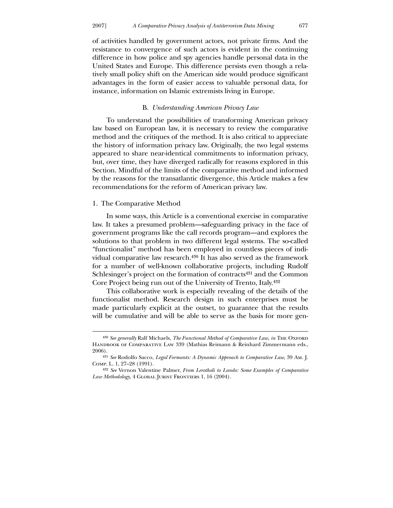of activities handled by government actors, not private firms. And the resistance to convergence of such actors is evident in the continuing difference in how police and spy agencies handle personal data in the United States and Europe. This difference persists even though a relatively small policy shift on the American side would produce significant advantages in the form of easier access to valuable personal data, for instance, information on Islamic extremists living in Europe.

# B. *Understanding American Privacy Law*

 To understand the possibilities of transforming American privacy law based on European law, it is necessary to review the comparative method and the critiques of the method. It is also critical to appreciate the history of information privacy law. Originally, the two legal systems appeared to share near-identical commitments to information privacy, but, over time, they have diverged radically for reasons explored in this Section. Mindful of the limits of the comparative method and informed by the reasons for the transatlantic divergence, this Article makes a few recommendations for the reform of American privacy law.

## 1. The Comparative Method

 $\overline{a}$ 

 In some ways, this Article is a conventional exercise in comparative law. It takes a presumed problem—safeguarding privacy in the face of government programs like the call records program—and explores the solutions to that problem in two different legal systems. The so-called "functionalist" method has been employed in countless pieces of individual comparative law research.430 It has also served as the framework for a number of well-known collaborative projects, including Rudolf Schlesinger's project on the formation of contracts<sup>431</sup> and the Common Core Project being run out of the University of Trento, Italy.432

 This collaborative work is especially revealing of the details of the functionalist method. Research design in such enterprises must be made particularly explicit at the outset, to guarantee that the results will be cumulative and will be able to serve as the basis for more gen-

<sup>&</sup>lt;sup>430</sup> See generally Ralf Michaels, *The Functional Method of Comparative Law*, *in* THE OXFORD HANDBOOK OF COMPARATIVE LAW 339 (Mathias Reimann & Reinhard Zimmermann eds., 2006).

<sup>431</sup> *See* Rodolfo Sacco, *Legal Formants: A Dynamic Approach to Comparative Law*, 39 Am. J. Comp. L. 1, 27–28 (1991).

<sup>432</sup> *See* Vernon Valentine Palmer, *From Lerotholi to Lando: Some Examples of Comparative*  Law Methodology, 4 GLOBAL JURIST FRONTIERS 1, 16 (2004).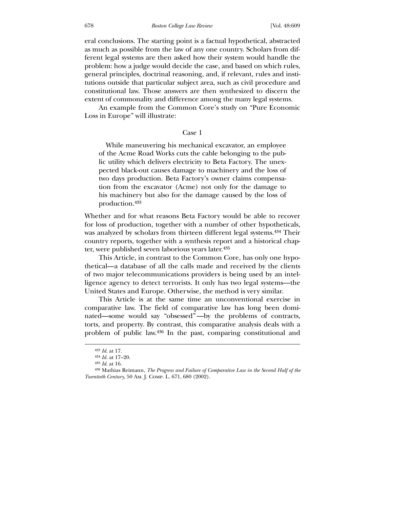eral conclusions. The starting point is a factual hypothetical, abstracted as much as possible from the law of any one country. Scholars from different legal systems are then asked how their system would handle the problem: how a judge would decide the case, and based on which rules, general principles, doctrinal reasoning, and, if relevant, rules and institutions outside that particular subject area, such as civil procedure and constitutional law. Those answers are then synthesized to discern the extent of commonality and difference among the many legal systems.

 An example from the Common Core's study on "Pure Economic Loss in Europe" will illustrate:

## Case 1

 While maneuvering his mechanical excavator, an employee of the Acme Road Works cuts the cable belonging to the public utility which delivers electricity to Beta Factory. The unexpected black-out causes damage to machinery and the loss of two days production. Beta Factory's owner claims compensation from the excavator (Acme) not only for the damage to his machinery but also for the damage caused by the loss of production.433

Whether and for what reasons Beta Factory would be able to recover for loss of production, together with a number of other hypotheticals, was analyzed by scholars from thirteen different legal systems.434 Their country reports, together with a synthesis report and a historical chapter, were published seven laborious years later.435

 This Article, in contrast to the Common Core, has only one hypothetical—a database of all the calls made and received by the clients of two major telecommunications providers is being used by an intelligence agency to detect terrorists. It only has two legal systems—the United States and Europe. Otherwise, the method is very similar.

 This Article is at the same time an unconventional exercise in comparative law. The field of comparative law has long been dominated—some would say "obsessed" —by the problems of contracts, torts, and property. By contrast, this comparative analysis deals with a problem of public law.436 In the past, comparing constitutional and

<sup>433</sup> *Id*. at 17.

<sup>434</sup> *Id.* at 17–20.

<sup>435</sup> *Id*. at 16.

<sup>436</sup> Mathias Reimann, *The Progress and Failure of Comparative Law in the Second Half of the Twentieth Century*, 50 Am. J. Comp. L. 671, 680 (2002).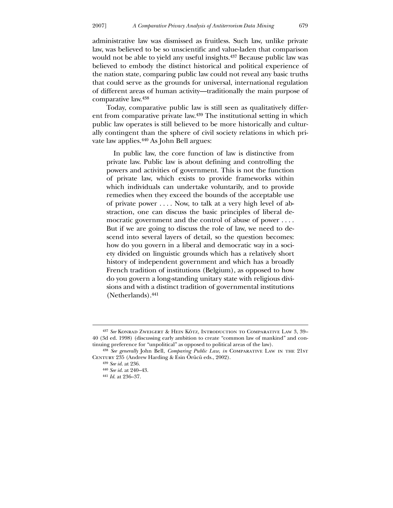administrative law was dismissed as fruitless. Such law, unlike private law, was believed to be so unscientific and value-laden that comparison would not be able to yield any useful insights.437 Because public law was believed to embody the distinct historical and political experience of the nation state, comparing public law could not reveal any basic truths that could serve as the grounds for universal, international regulation of different areas of human activity—traditionally the main purpose of comparative law.438

 Today, comparative public law is still seen as qualitatively different from comparative private law.439 The institutional setting in which public law operates is still believed to be more historically and culturally contingent than the sphere of civil society relations in which private law applies.440 As John Bell argues:

 In public law, the core function of law is distinctive from private law. Public law is about defining and controlling the powers and activities of government. This is not the function of private law, which exists to provide frameworks within which individuals can undertake voluntarily, and to provide remedies when they exceed the bounds of the acceptable use of private power . . . . Now, to talk at a very high level of abstraction, one can discuss the basic principles of liberal democratic government and the control of abuse of power . . . . But if we are going to discuss the role of law, we need to descend into several layers of detail, so the question becomes: how do you govern in a liberal and democratic way in a society divided on linguistic grounds which has a relatively short history of independent government and which has a broadly French tradition of institutions (Belgium), as opposed to how do you govern a long-standing unitary state with religious divisions and with a distinct tradition of governmental institutions (Netherlands).441

<sup>437</sup> *See* Konrad Zweigert & Hein Kötz, Introduction to Comparative Law 3, 39– 40 (3d ed. 1998) (discussing early ambition to create "common law of mankind" and continuing preference for "unpolitical" as opposed to political areas of the law).

<sup>438</sup> *See generally* John Bell, *Comparing Public Law*, *in* Comparative Law in the 21st CENTURY 235 (Andrew Harding & Esin Örücü eds., 2002).

<sup>439</sup> *See id*. at 236.

<sup>440</sup> *See id*. at 240–43.

<sup>441</sup> *Id*. at 236–37.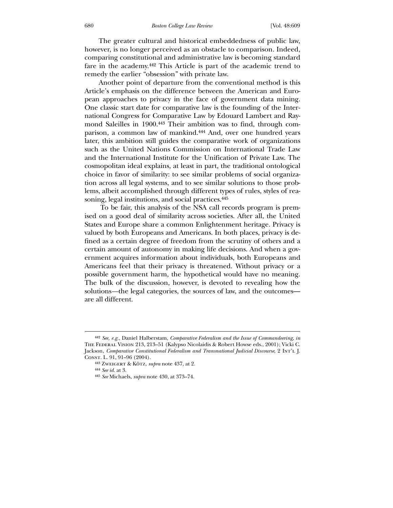The greater cultural and historical embeddedness of public law, however, is no longer perceived as an obstacle to comparison. Indeed, comparing constitutional and administrative law is becoming standard fare in the academy.442 This Article is part of the academic trend to remedy the earlier "obsession" with private law.

 Another point of departure from the conventional method is this Article's emphasis on the difference between the American and European approaches to privacy in the face of government data mining. One classic start date for comparative law is the founding of the International Congress for Comparative Law by Edouard Lambert and Raymond Saleilles in 1900.443 Their ambition was to find, through comparison, a common law of mankind.444 And, over one hundred years later, this ambition still guides the comparative work of organizations such as the United Nations Commission on International Trade Law and the International Institute for the Unification of Private Law. The cosmopolitan ideal explains, at least in part, the traditional ontological choice in favor of similarity: to see similar problems of social organization across all legal systems, and to see similar solutions to those problems, albeit accomplished through different types of rules, styles of reasoning, legal institutions, and social practices.445

 To be fair, this analysis of the NSA call records program is premised on a good deal of similarity across societies. After all, the United States and Europe share a common Enlightenment heritage. Privacy is valued by both Europeans and Americans. In both places, privacy is defined as a certain degree of freedom from the scrutiny of others and a certain amount of autonomy in making life decisions. And when a government acquires information about individuals, both Europeans and Americans feel that their privacy is threatened. Without privacy or a possible government harm, the hypothetical would have no meaning. The bulk of the discussion, however, is devoted to revealing how the solutions*—*the legal categories, the sources of law, and the outcomes are all different.

<sup>442</sup> *See, e.g.*, Daniel Halberstam, *Comparative Federalism and the Issue of Commandeering*, *in* The Federal Vision 213, 213–51 (Kalypso Nicolaidis & Robert Howse eds., 2001); Vicki C. Jackson, *Comparative Constitutional Federalism and Transnational Judicial Discourse*, 2 Int'l J. Const. L. 91, 91–96 (2004).

<sup>443</sup> Zweigert & Kötz, *supra* note 437, at 2.

<sup>444</sup> *See id*. at 3.

<sup>445</sup> *See* Michaels, *supra* note 430, at 373–74.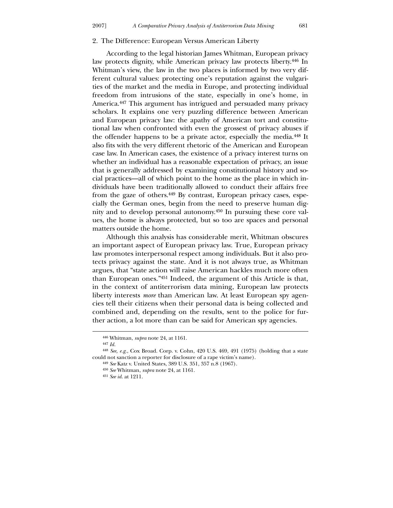## 2. The Difference: European Versus American Liberty

 According to the legal historian James Whitman, European privacy law protects dignity, while American privacy law protects liberty.446 In Whitman's view, the law in the two places is informed by two very different cultural values: protecting one's reputation against the vulgarities of the market and the media in Europe, and protecting individual freedom from intrusions of the state, especially in one's home, in America.447 This argument has intrigued and persuaded many privacy scholars. It explains one very puzzling difference between American and European privacy law: the apathy of American tort and constitutional law when confronted with even the grossest of privacy abuses if the offender happens to be a private actor, especially the media.448 It also fits with the very different rhetoric of the American and European case law. In American cases, the existence of a privacy interest turns on whether an individual has a reasonable expectation of privacy, an issue that is generally addressed by examining constitutional history and social practices—all of which point to the home as the place in which individuals have been traditionally allowed to conduct their affairs free from the gaze of others.449 By contrast, European privacy cases, especially the German ones, begin from the need to preserve human dignity and to develop personal autonomy.450 In pursuing these core values, the home is always protected, but so too are spaces and personal matters outside the home.

 Although this analysis has considerable merit, Whitman obscures an important aspect of European privacy law. True, European privacy law promotes interpersonal respect among individuals. But it also protects privacy against the state. And it is not always true, as Whitman argues, that "state action will raise American hackles much more often than European ones."451 Indeed, the argument of this Article is that, in the context of antiterrorism data mining, European law protects liberty interests *more* than American law. At least European spy agencies tell their citizens when their personal data is being collected and combined and, depending on the results, sent to the police for further action, a lot more than can be said for American spy agencies.

-

<sup>446</sup> Whitman, *supra* note 24, at 1161.

<sup>447</sup> *Id.*

<sup>448</sup> *See, e.g.*, Cox Broad. Corp. v. Cohn, 420 U.S. 469, 491 (1975) (holding that a state could not sanction a reporter for disclosure of a rape victim's name).

<sup>449</sup> *See* Katz v. United States, 389 U.S. 351, 357 n.8 (1967).

<sup>450</sup> *See* Whitman, *supra* note 24, at 1161.

<sup>451</sup> *See id*. at 1211.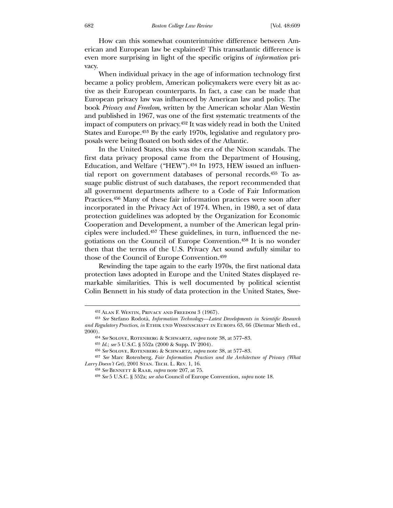How can this somewhat counterintuitive difference between American and European law be explained? This transatlantic difference is even more surprising in light of the specific origins of *information* privacy.

 When individual privacy in the age of information technology first became a policy problem, American policymakers were every bit as active as their European counterparts. In fact, a case can be made that European privacy law was influenced by American law and policy. The book *Privacy and Freedom*, written by the American scholar Alan Westin and published in 1967, was one of the first systematic treatments of the impact of computers on privacy.452 It was widely read in both the United States and Europe.453 By the early 1970s, legislative and regulatory proposals were being floated on both sides of the Atlantic.

 In the United States, this was the era of the Nixon scandals. The first data privacy proposal came from the Department of Housing, Education, and Welfare ("HEW").<sup>454</sup> In 1973, HEW issued an influential report on government databases of personal records.455 To assuage public distrust of such databases, the report recommended that all government departments adhere to a Code of Fair Information Practices.456 Many of these fair information practices were soon after incorporated in the Privacy Act of 1974. When, in 1980, a set of data protection guidelines was adopted by the Organization for Economic Cooperation and Development, a number of the American legal principles were included.457 These guidelines, in turn, influenced the negotiations on the Council of Europe Convention.458 It is no wonder then that the terms of the U.S. Privacy Act sound awfully similar to those of the Council of Europe Convention.459

 Rewinding the tape again to the early 1970s, the first national data protection laws adopted in Europe and the United States displayed remarkable similarities. This is well documented by political scientist Colin Bennett in his study of data protection in the United States, Swe-

<sup>452</sup> Alan F. Westin, Privacy and Freedom 3 (1967).

<sup>453</sup> *See* Stefano Rodotà, *Information Technology—Latest Developments in Scientific Research and Regulatory Practices*, *in* Ethik und Wissenschaft in Europa 63, 66 (Dietmar Mieth ed., 2000).

<sup>454</sup> *See* Solove, Rotenberg & Schwartz, *supra* note 38, at 577–83.

<sup>455</sup> *Id*.; *see* 5 U.S.C. § 552a (2000 & Supp. IV 2004).

<sup>456</sup> *See* Solove, Rotenberg & Schwartz, *supra* note 38, at 577–83.

<sup>457</sup> *See* Marc Rotenberg, *Fair Information Practices and the Architecture of Privacy (What Larry Doesn't Get)*, 2001 Stan. Tech. L. Rev. 1, 16.

<sup>458</sup> *See* Bennett & Raab, *supra* note 207, at 75.

<sup>459</sup> *See* 5 U.S.C. § 552a; *see also* Council of Europe Convention, *supra* note 18.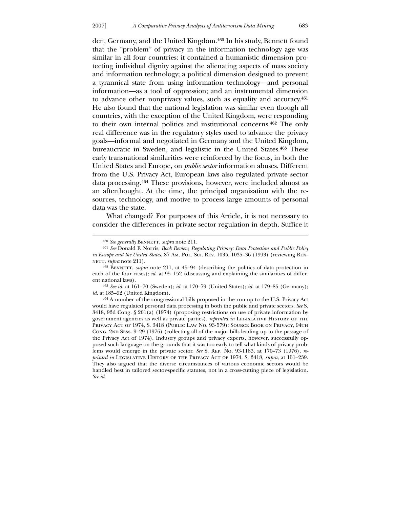-

den, Germany, and the United Kingdom.460 In his study, Bennett found that the "problem" of privacy in the information technology age was similar in all four countries: it contained a humanistic dimension protecting individual dignity against the alienating aspects of mass society and information technology; a political dimension designed to prevent a tyrannical state from using information technology—and personal information—as a tool of oppression; and an instrumental dimension to advance other nonprivacy values, such as equality and accuracy.461 He also found that the national legislation was similar even though all countries, with the exception of the United Kingdom, were responding to their own internal politics and institutional concerns.462 The only real difference was in the regulatory styles used to advance the privacy goals—informal and negotiated in Germany and the United Kingdom, bureaucratic in Sweden, and legalistic in the United States.463 These early transnational similarities were reinforced by the focus, in both the United States and Europe, on *public sector* information abuses. Different from the U.S. Privacy Act, European laws also regulated private sector data processing.464 These provisions, however, were included almost as an afterthought. At the time, the principal organization with the resources, technology, and motive to process large amounts of personal data was the state.

 What changed? For purposes of this Article, it is not necessary to consider the differences in private sector regulation in depth. Suffice it

463 *See id*. at 161–70 (Sweden); *id.* at 170–79 (United States); *id.* at 179–85 (Germany); *id.* at 185–92 (United Kingdom).

464 A number of the congressional bills proposed in the run up to the U.S. Privacy Act would have regulated personal data processing in both the public and private sectors. *See* S. 3418, 93d Cong. § 201(a) (1974) (proposing restrictions on use of private information by government agencies as well as private parties), *reprinted in* Legislative History of the Privacy Act of 1974, S. 3418 (Public Law No. 93-579): Source Book on Privacy, 94th Cong. 2nd Sess. 9–29 (1976) (collecting all of the major bills leading up to the passage of the Privacy Act of 1974). Industry groups and privacy experts, however, successfully opposed such language on the grounds that it was too early to tell what kinds of privacy problems would emerge in the private sector. *See* S. Rep. No. 93-1183, at 170–73 (1976), *reprinted in* Legislative History of the Privacy Act of 1974, S. 3418, *supra*, at 151–239. They also argued that the diverse circumstances of various economic sectors would be handled best in tailored sector-specific statutes, not in a cross-cutting piece of legislation. *See id.*

<sup>&</sup>lt;sup>460</sup> See generally BENNETT, *supra* note 211.

<sup>461</sup> *See* Donald F. Norris, *Book Review, Regulating Privacy: Data Protection and Public Policy in Europe and the United States*, 87 Am. Pol. Sci. Rev. 1035, 1035–36 (1993) (reviewing Ben-NETT. *subra* note 211).

<sup>462</sup> Bennett, *supra* note 211, at 45–94 (describing the politics of data protection in each of the four cases); *id.* at 95–152 (discussing and explaining the similarities of different national laws).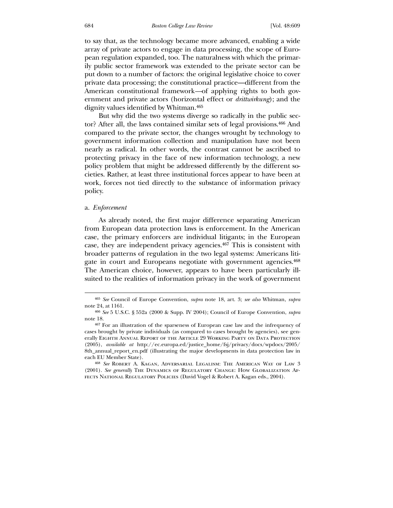to say that, as the technology became more advanced, enabling a wide array of private actors to engage in data processing, the scope of European regulation expanded, too. The naturalness with which the primarily public sector framework was extended to the private sector can be put down to a number of factors: the original legislative choice to cover private data processing; the constitutional practice—different from the American constitutional framework*—*of applying rights to both government and private actors (horizontal effect or *drittwirkung*); and the dignity values identified by Whitman.465

 But why did the two systems diverge so radically in the public sector? After all, the laws contained similar sets of legal provisions.466 And compared to the private sector, the changes wrought by technology to government information collection and manipulation have not been nearly as radical. In other words, the contrast cannot be ascribed to protecting privacy in the face of new information technology, a new policy problem that might be addressed differently by the different societies. Rather, at least three institutional forces appear to have been at work, forces not tied directly to the substance of information privacy policy.

## a. *Enforcement*

 $\overline{a}$ 

 As already noted, the first major difference separating American from European data protection laws is enforcement. In the American case, the primary enforcers are individual litigants; in the European case, they are independent privacy agencies.467 This is consistent with broader patterns of regulation in the two legal systems: Americans litigate in court and Europeans negotiate with government agencies.468 The American choice, however, appears to have been particularly illsuited to the realities of information privacy in the work of government

<sup>465</sup> *See* Council of Europe Convention, *supra* note 18, art. 3; *see also* Whitman, *supra* note 24, at 1161.

<sup>466</sup> *See* 5 U.S.C. § 552a (2000 & Supp. IV 2004); Council of Europe Convention, *supra* note 18.

<sup>467</sup> For an illustration of the sparseness of European case law and the infrequency of cases brought by private individuals (as compared to cases brought by agencies), see generally Eighth Annual Report of the Article 29 Working Party on Data Protection (2005), *available at* http://ec.europa.ed/justice\_home/fsj/privacy/docs/wpdocs/2005/ 8th\_annual\_report\_en.pdf (illustrating the major developments in data protection law in each EU Member State).

<sup>468</sup> *See* Robert A. Kagan, Adversarial Legalism: The American Way of Law 3 (2001). *See generally* The Dynamics of Regulatory Change: How Globalization Affects National Regulatory Policies (David Vogel & Robert A. Kagan eds., 2004).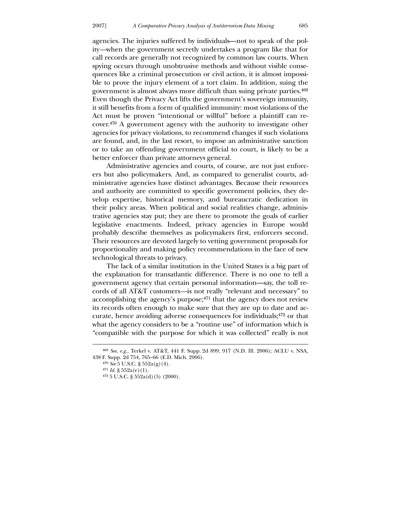agencies. The injuries suffered by individuals—not to speak of the polity*—*when the government secretly undertakes a program like that for call records are generally not recognized by common law courts. When spying occurs through unobtrusive methods and without visible consequences like a criminal prosecution or civil action, it is almost impossible to prove the injury element of a tort claim. In addition, suing the government is almost always more difficult than suing private parties.469 Even though the Privacy Act lifts the government's sovereign immunity, it still benefits from a form of qualified immunity: most violations of the Act must be proven "intentional or willful" before a plaintiff can recover.470 A government agency with the authority to investigate other agencies for privacy violations, to recommend changes if such violations are found, and, in the last resort, to impose an administrative sanction or to take an offending government official to court, is likely to be a better enforcer than private attorneys general.

 Administrative agencies and courts, of course, are not just enforcers but also policymakers. And, as compared to generalist courts, administrative agencies have distinct advantages. Because their resources and authority are committed to specific government policies, they develop expertise, historical memory, and bureaucratic dedication in their policy areas. When political and social realities change, administrative agencies stay put; they are there to promote the goals of earlier legislative enactments. Indeed, privacy agencies in Europe would probably describe themselves as policymakers first, enforcers second. Their resources are devoted largely to vetting government proposals for proportionality and making policy recommendations in the face of new technological threats to privacy.

 The lack of a similar institution in the United States is a big part of the explanation for transatlantic difference. There is no one to tell a government agency that certain personal information—say, the toll records of all AT&T customers*—*is not really "relevant and necessary" to accomplishing the agency's purpose;471 that the agency does not review its records often enough to make sure that they are up to date and accurate, hence avoiding adverse consequences for individuals;472 or that what the agency considers to be a "routine use" of information which is "compatible with the purpose for which it was collected" really is not

<u>.</u>

<sup>469</sup> *See*, *e.g.*, Terkel v. AT&T, 441 F. Supp. 2d 899, 917 (N.D. Ill. 2006); ACLU v. NSA, 438 F. Supp. 2d 754, 765–66 (E.D. Mich. 2006).

<sup>470</sup> *See* 5 U.S.C. § 552a(g)(4).

<sup>471</sup> *Id.* § 552a(e)(1).

 $472$  5 U.S.C. §  $552a(d)(5)$  (2000).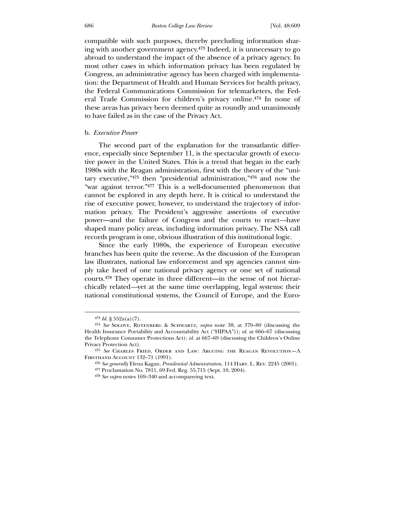#### 686 *Boston College Law Review* [Vol. 48:609

compatible with such purposes, thereby precluding information sharing with another government agency.473 Indeed, it is unnecessary to go abroad to understand the impact of the absence of a privacy agency. In most other cases in which information privacy has been regulated by Congress, an administrative agency has been charged with implementation: the Department of Health and Human Services for health privacy, the Federal Communications Commission for telemarketers, the Federal Trade Commission for children's privacy online.474 In none of these areas has privacy been deemed quite as roundly and unanimously to have failed as in the case of the Privacy Act.

## b. *Executive Power*

 The second part of the explanation for the transatlantic difference, especially since September 11, is the spectacular growth of executive power in the United States. This is a trend that began in the early 1980s with the Reagan administration, first with the theory of the "unitary executive,"475 then "presidential administration,"476 and now the "war against terror."477 This is a well-documented phenomenon that cannot be explored in any depth here. It is critical to understand the rise of executive power, however, to understand the trajectory of information privacy. The President's aggressive assertions of executive power—and the failure of Congress and the courts to react*—*have shaped many policy areas, including information privacy. The NSA call records program is one, obvious illustration of this institutional logic.

 Since the early 1980s, the experience of European executive branches has been quite the reverse. As the discussion of the European law illustrates, national law enforcement and spy agencies cannot simply take heed of one national privacy agency or one set of national courts.478 They operate in three different—in the sense of not hierarchically related*—*yet at the same time overlapping, legal systems: their national constitutional systems, the Council of Europe, and the Euro-

 $473$  *Id.* §  $552a(a)(7)$ .

<sup>474</sup> *See* Solove, Rotenberg & Schwartz, *supra* note 38, at 379–80 (discussing the Health Insurance Portability and Accountability Act ("HIPAA")); *id.* at 666–67 (discussing the Telephone Consumer Protections Act); *id.* at 667–69 (discussing the Children's Online Privacy Protection Act).

<sup>475</sup> *See* Charles Fried, Order and Law: Arguing the Reagan Revolution—A Firsthand Account 132–71 (1991).

<sup>476</sup> *See generally* Elena Kagan, *Presidential Administration*, 114 Harv. L. Rev. 2245 (2001). 477 Proclamation No. 7811, 69 Fed. Reg. 55,715 (Sept. 10, 2004).

<sup>478</sup> *See supra* notes 169–340 and accompanying text.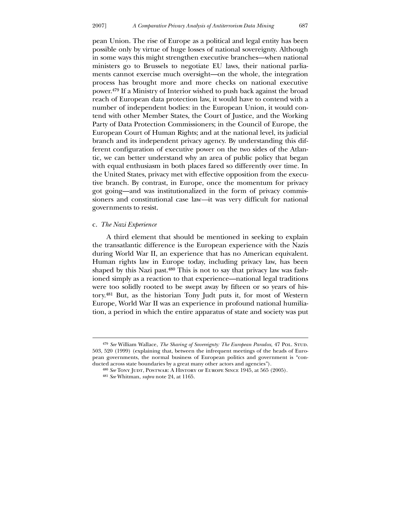pean Union. The rise of Europe as a political and legal entity has been possible only by virtue of huge losses of national sovereignty. Although in some ways this might strengthen executive branches—when national ministers go to Brussels to negotiate EU laws, their national parliaments cannot exercise much oversight—on the whole, the integration process has brought more and more checks on national executive power.479 If a Ministry of Interior wished to push back against the broad reach of European data protection law, it would have to contend with a number of independent bodies: in the European Union, it would contend with other Member States, the Court of Justice, and the Working Party of Data Protection Commissioners; in the Council of Europe, the European Court of Human Rights; and at the national level, its judicial branch and its independent privacy agency. By understanding this different configuration of executive power on the two sides of the Atlantic, we can better understand why an area of public policy that began with equal enthusiasm in both places fared so differently over time. In the United States, privacy met with effective opposition from the executive branch. By contrast, in Europe, once the momentum for privacy got going—and was institutionalized in the form of privacy commissioners and constitutional case law*—*it was very difficult for national governments to resist.

## c. *The Nazi Experience*

 $\overline{a}$ 

 A third element that should be mentioned in seeking to explain the transatlantic difference is the European experience with the Nazis during World War II, an experience that has no American equivalent. Human rights law in Europe today, including privacy law, has been shaped by this Nazi past.480 This is not to say that privacy law was fashioned simply as a reaction to that experience—national legal traditions were too solidly rooted to be swept away by fifteen or so years of history.481 But, as the historian Tony Judt puts it, for most of Western Europe, World War II was an experience in profound national humiliation, a period in which the entire apparatus of state and society was put

<sup>&</sup>lt;sup>479</sup> See William Wallace, *The Sharing of Sovereignty: The European Paradox*, 47 Pol. STUD. 503, 520 (1999) (explaining that, between the infrequent meetings of the heads of European governments, the normal business of European politics and government is "conducted across state boundaries by a great many other actors and agencies").

<sup>480</sup> *See* Tony Judt, Postwar: A History of Europe Since 1945, at 565 (2005).

<sup>481</sup> *See* Whitman, *supra* note 24, at 1165.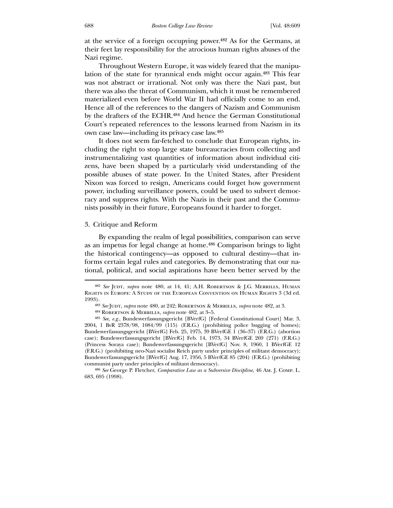at the service of a foreign occupying power.482 As for the Germans, at their feet lay responsibility for the atrocious human rights abuses of the Nazi regime.

 Throughout Western Europe, it was widely feared that the manipulation of the state for tyrannical ends might occur again.483 This fear was not abstract or irrational. Not only was there the Nazi past, but there was also the threat of Communism, which it must be remembered materialized even before World War II had officially come to an end. Hence all of the references to the dangers of Nazism and Communism by the drafters of the ECHR.484 And hence the German Constitutional Court's repeated references to the lessons learned from Nazism in its own case law—including its privacy case law.485

 It does not seem far-fetched to conclude that European rights, including the right to stop large state bureaucracies from collecting and instrumentalizing vast quantities of information about individual citizens, have been shaped by a particularly vivid understanding of the possible abuses of state power. In the United States, after President Nixon was forced to resign, Americans could forget how government power, including surveillance powers, could be used to subvert democracy and suppress rights. With the Nazis in their past and the Communists possibly in their future, Europeans found it harder to forget.

#### 3. Critique and Reform

 $\overline{a}$ 

 By expanding the realm of legal possibilities, comparison can serve as an impetus for legal change at home.486 Comparison brings to light the historical contingency—as opposed to cultural destiny—that informs certain legal rules and categories. By demonstrating that our national, political, and social aspirations have been better served by the

<sup>&</sup>lt;sup>482</sup> See JUDT, *supra* note 480, at 14, 41; A.H. ROBERTSON & J.G. MERRILLS, HUMAN Rights in Europe: A Study of the European Convention on Human Rights 3 (3d ed. 1993).

<sup>483</sup> *See* Judt, *supra* note 480, at 242; Robertson & Merrills, *supra* note 482, at 3.

<sup>484</sup> Robertson & Merrills, *supra* note 482, at 3–5.

<sup>485</sup> *See, e.g.*, Bundesverfassungsgericht [BVerfG] [Federal Constitutional Court] Mar. 3, 2004, 1 BvR 2378/98, 1084/99 (115) (F.R.G.) (prohibiting police bugging of homes); Bundesverfassungsgericht [BVerfG] Feb. 25, 1975, 39 BVerfGE 1 (36–37) (F.R.G.) (abortion case); Bundesverfassungsgericht [BVerfG] Feb. 14, 1973, 34 BVerfGE 269 (271) (F.R.G.) (Princess Soraya case); Bundesverfassungsgericht [BVerfG] Nov. 8, 1960, 1 BVerfGE 12 (F.R.G.) (prohibiting neo-Nazi socialist Reich party under principles of militant democracy); Bundesverfassungsgericht [BVerfG] Aug. 17, 1956, 5 BVerfGE 85 (204) (F.R.G.) (prohibiting communist party under principles of militant democracy).

<sup>486</sup> *See* George P. Fletcher, *Comparative Law as a Subversive Discipline*, 46 Am. J. Comp. L. 683, 695 (1998).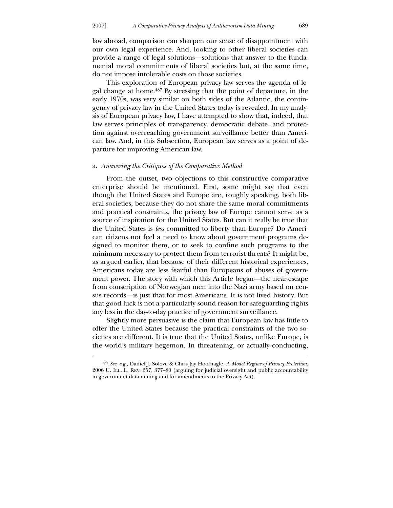law abroad, comparison can sharpen our sense of disappointment with our own legal experience. And, looking to other liberal societies can provide a range of legal solutions—solutions that answer to the fundamental moral commitments of liberal societies but, at the same time, do not impose intolerable costs on those societies.

 This exploration of European privacy law serves the agenda of legal change at home.487 By stressing that the point of departure, in the early 1970s, was very similar on both sides of the Atlantic, the contingency of privacy law in the United States today is revealed. In my analysis of European privacy law, I have attempted to show that, indeed, that law serves principles of transparency, democratic debate, and protection against overreaching government surveillance better than American law. And, in this Subsection, European law serves as a point of departure for improving American law.

#### a. *Answering the Critiques of the Comparative Method*

 From the outset, two objections to this constructive comparative enterprise should be mentioned. First, some might say that even though the United States and Europe are, roughly speaking, both liberal societies, because they do not share the same moral commitments and practical constraints, the privacy law of Europe cannot serve as a source of inspiration for the United States. But can it really be true that the United States is *less* committed to liberty than Europe? Do American citizens not feel a need to know about government programs designed to monitor them, or to seek to confine such programs to the minimum necessary to protect them from terrorist threats? It might be, as argued earlier, that because of their different historical experiences, Americans today are less fearful than Europeans of abuses of government power. The story with which this Article began*—*the near-escape from conscription of Norwegian men into the Nazi army based on census records*—*is just that for most Americans. It is not lived history. But that good luck is not a particularly sound reason for safeguarding rights any less in the day-to-day practice of government surveillance.

 Slightly more persuasive is the claim that European law has little to offer the United States because the practical constraints of the two societies are different. It is true that the United States, unlike Europe, is the world's military hegemon. In threatening, or actually conducting,

<sup>487</sup> *See, e.g.*, Daniel J. Solove & Chris Jay Hoofnagle, *A Model Regime of Privacy Protection*, 2006 U. Ill. L. Rev. 357, 377–80 (arguing for judicial oversight and public accountability in government data mining and for amendments to the Privacy Act).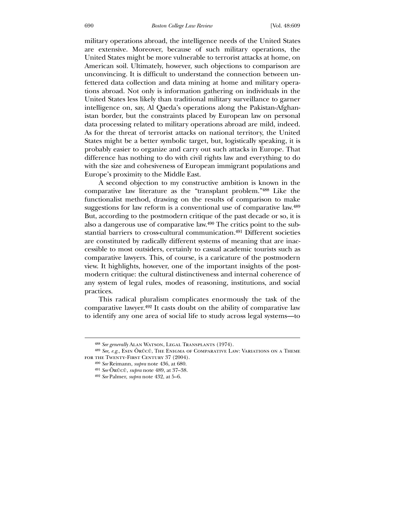military operations abroad, the intelligence needs of the United States are extensive. Moreover, because of such military operations, the United States might be more vulnerable to terrorist attacks at home, on American soil. Ultimately, however, such objections to comparison are unconvincing. It is difficult to understand the connection between unfettered data collection and data mining at home and military operations abroad. Not only is information gathering on individuals in the United States less likely than traditional military surveillance to garner intelligence on, say, Al Qaeda's operations along the Pakistan-Afghanistan border, but the constraints placed by European law on personal data processing related to military operations abroad are mild, indeed. As for the threat of terrorist attacks on national territory, the United States might be a better symbolic target, but, logistically speaking, it is probably easier to organize and carry out such attacks in Europe. That difference has nothing to do with civil rights law and everything to do with the size and cohesiveness of European immigrant populations and Europe's proximity to the Middle East.

 A second objection to my constructive ambition is known in the comparative law literature as the "transplant problem."488 Like the functionalist method, drawing on the results of comparison to make suggestions for law reform is a conventional use of comparative law.489 But, according to the postmodern critique of the past decade or so, it is also a dangerous use of comparative law.490 The critics point to the substantial barriers to cross-cultural communication.491 Different societies are constituted by radically different systems of meaning that are inaccessible to most outsiders, certainly to casual academic tourists such as comparative lawyers. This, of course, is a caricature of the postmodern view. It highlights, however, one of the important insights of the postmodern critique: the cultural distinctiveness and internal coherence of any system of legal rules, modes of reasoning, institutions, and social practices.

 This radical pluralism complicates enormously the task of the comparative lawyer.492 It casts doubt on the ability of comparative law to identify any one area of social life to study across legal systems—to

<sup>488</sup> *See generally* Alan Watson, Legal Transplants (1974).

<sup>489</sup> *See, e.g.*, Esin Örücü, The Enigma of Comparative Law: Variations on a Theme FOR THE TWENTY-FIRST CENTURY 37 (2004).

<sup>490</sup> *See* Reimann, *supra* note 436, at 680.

<sup>491</sup> *See* Örücü, *supra* note 489, at 37–38.

<sup>492</sup> *See* Palmer, *supra* note 432, at 5–6.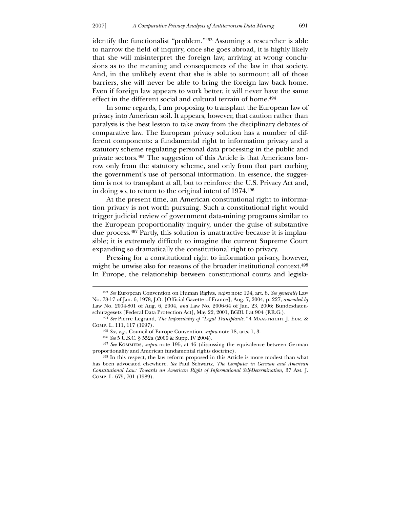$\overline{a}$ 

identify the functionalist "problem."493 Assuming a researcher is able to narrow the field of inquiry, once she goes abroad, it is highly likely that she will misinterpret the foreign law, arriving at wrong conclusions as to the meaning and consequences of the law in that society. And, in the unlikely event that she is able to surmount all of those barriers, she will never be able to bring the foreign law back home. Even if foreign law appears to work better, it will never have the same effect in the different social and cultural terrain of home.494

 In some regards, I am proposing to transplant the European law of privacy into American soil. It appears, however, that caution rather than paralysis is the best lesson to take away from the disciplinary debates of comparative law. The European privacy solution has a number of different components: a fundamental right to information privacy and a statutory scheme regulating personal data processing in the public and private sectors.495 The suggestion of this Article is that Americans borrow only from the statutory scheme, and only from that part curbing the government's use of personal information. In essence, the suggestion is not to transplant at all, but to reinforce the U.S. Privacy Act and, in doing so, to return to the original intent of 1974.496

 At the present time, an American constitutional right to information privacy is not worth pursuing. Such a constitutional right would trigger judicial review of government data-mining programs similar to the European proportionality inquiry, under the guise of substantive due process.497 Partly, this solution is unattractive because it is implausible; it is extremely difficult to imagine the current Supreme Court expanding so dramatically the constitutional right to privacy.

 Pressing for a constitutional right to information privacy, however, might be unwise also for reasons of the broader institutional context.498 In Europe, the relationship between constitutional courts and legisla-

<sup>493</sup> *See* European Convention on Human Rights, *supra* note 194, art. 8. *See generally* Law No. 78-17 of Jan. 6, 1978, J.O. [Official Gazette of France], Aug. 7, 2004, p. 227, *amended by* Law No. 2004-801 of Aug. 6, 2004, *and* Law No. 2006-64 of Jan. 23, 2006; Bundesdatenschutzgesetz [Federal Data Protection Act], May 22, 2001, BGBl. I at 904 (F.R.G.).

<sup>494</sup> *See* Pierre Legrand, *The Impossibility of "Legal Transplants*,*"* 4 Maastricht J. Eur. & Comp. L. 111, 117 (1997).

<sup>495</sup> *See*, *e.g.*, Council of Europe Convention, *supra* note 18, arts. 1, 3.

<sup>496</sup> *See* 5 U.S.C. § 552a (2000 & Supp. IV 2004).

<sup>497</sup> *See* Kommers, *supra* note 195, at 46 (discussing the equivalence between German proportionality and American fundamental rights doctrine).

<sup>498</sup> In this respect, the law reform proposed in this Article is more modest than what has been advocated elsewhere. *See* Paul Schwartz, *The Computer in German and American Constitutional Law: Towards an American Right of Informational Self-Determination*, 37 Am. J. Comp. L. 675, 701 (1989).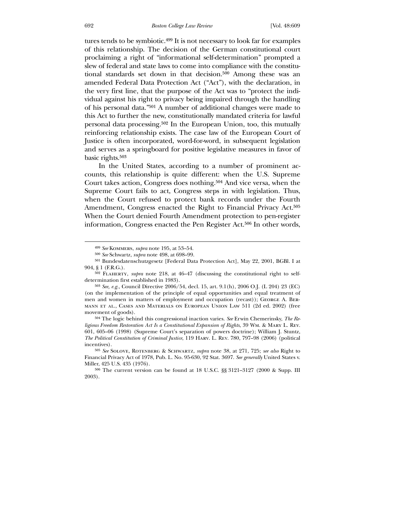tures tends to be symbiotic.499 It is not necessary to look far for examples of this relationship. The decision of the German constitutional court proclaiming a right of "informational self-determination" prompted a slew of federal and state laws to come into compliance with the constitutional standards set down in that decision.500 Among these was an amended Federal Data Protection Act ("Act"), with the declaration, in the very first line, that the purpose of the Act was to "protect the individual against his right to privacy being impaired through the handling of his personal data."501 A number of additional changes were made to this Act to further the new, constitutionally mandated criteria for lawful personal data processing.502 In the European Union, too, this mutually reinforcing relationship exists. The case law of the European Court of Justice is often incorporated, word-for-word, in subsequent legislation and serves as a springboard for positive legislative measures in favor of basic rights.503

 In the United States, according to a number of prominent accounts, this relationship is quite different: when the U.S. Supreme Court takes action, Congress does nothing.504 And vice versa, when the Supreme Court fails to act, Congress steps in with legislation. Thus, when the Court refused to protect bank records under the Fourth Amendment, Congress enacted the Right to Financial Privacy Act.<sup>505</sup> When the Court denied Fourth Amendment protection to pen-register information, Congress enacted the Pen Register Act.506 In other words,

<sup>499</sup> *See* Kommers, *supra* note 195, at 53–54.

<sup>500</sup> *See* Schwartz, *supra* note 498, at 698–99.

<sup>501</sup> Bundesdatenschutzgesetz [Federal Data Protection Act], May 22, 2001, BGBl. I at 904, § 1 (F.R.G.).

<sup>502</sup> Flaherty, *supra* note 218, at 46–47 (discussing the constitutional right to selfdetermination first established in 1983).

<sup>503</sup> *See, e.g.*, Council Directive 2006/54, decl. 15, art. 9.1(h), 2006 O.J. (L 204) 23 (EC) (on the implementation of the principle of equal opportunities and equal treatment of men and women in matters of employment and occupation (recast)); George A. Bermann et al., Cases and Materials on European Union Law 511 (2d ed. 2002) (free movement of goods).

<sup>504</sup> The logic behind this congressional inaction varies. *See* Erwin Chemerinsky, *The Religious Freedom Restoration Act Is a Constitutional Expansion of Rights*, 39 Wm. & Mary L. Rev. 601, 605–06 (1998) (Supreme Court's separation of powers doctrine); William J. Stuntz, *The Political Constitution of Criminal Justice*, 119 Harv. L. Rev. 780, 797–98 (2006) (political incentives).

<sup>505</sup> *See* Solove, Rotenberg & Schwartz, *supra* note 38, at 271, 725; *see also* Right to Financial Privacy Act of 1978, Pub. L. No. 95-630, 92 Stat. 3697. *See generally* United States v. Miller, 425 U.S. 435 (1976).

<sup>506</sup> The current version can be found at 18 U.S.C. §§ 3121–3127 (2000 & Supp. III 2003).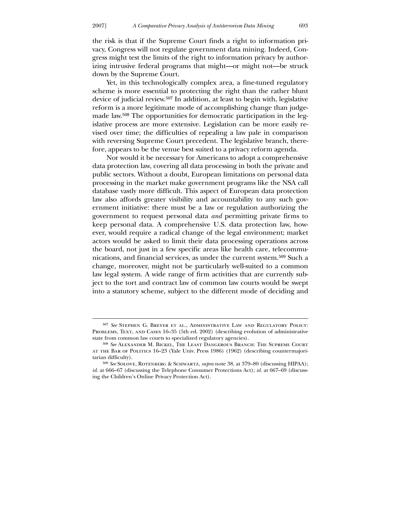the risk is that if the Supreme Court finds a right to information privacy, Congress will not regulate government data mining. Indeed, Congress might test the limits of the right to information privacy by authorizing intrusive federal programs that might—or might not—be struck down by the Supreme Court.

 Yet, in this technologically complex area, a fine-tuned regulatory scheme is more essential to protecting the right than the rather blunt device of judicial review.507 In addition, at least to begin with, legislative reform is a more legitimate mode of accomplishing change than judgemade law.508 The opportunities for democratic participation in the legislative process are more extensive. Legislation can be more easily revised over time; the difficulties of repealing a law pale in comparison with reversing Supreme Court precedent. The legislative branch, therefore, appears to be the venue best suited to a privacy reform agenda.

 Nor would it be necessary for Americans to adopt a comprehensive data protection law, covering all data processing in both the private and public sectors. Without a doubt, European limitations on personal data processing in the market make government programs like the NSA call database vastly more difficult. This aspect of European data protection law also affords greater visibility and accountability to any such government initiative: there must be a law or regulation authorizing the government to request personal data *and* permitting private firms to keep personal data. A comprehensive U.S. data protection law, however, would require a radical change of the legal environment; market actors would be asked to limit their data processing operations across the board, not just in a few specific areas like health care, telecommunications, and financial services, as under the current system.509 Such a change, moreover, might not be particularly well-suited to a common law legal system. A wide range of firm activities that are currently subject to the tort and contract law of common law courts would be swept into a statutory scheme, subject to the different mode of deciding and

<sup>507</sup> *See* Stephen G. Breyer et al., Administrative Law and Regulatory Policy: Problems, Text, and Cases 16–35 (5th ed. 2002) (describing evolution of administrative state from common law courts to specialized regulatory agencies).

<sup>508</sup> *See* Alexander M. Bickel, The Least Dangerous Branch: The Supreme Court at the Bar of Politics 16–23 (Yale Univ. Press 1986) (1962) (describing countermajoritarian difficulty).

<sup>509</sup> *See* Solove, Rotenberg & Schwartz, *supra* note 38, at 379–80 (discussing HIPAA); *id.* at 666–67 (discussing the Telephone Consumer Protections Act); *id.* at 667–69 (discussing the Children's Online Privacy Protection Act).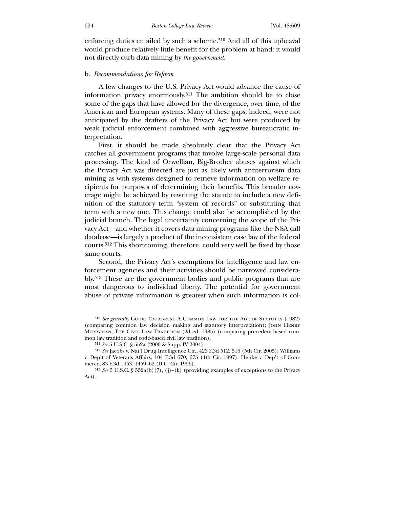enforcing duties entailed by such a scheme.510 And all of this upheaval would produce relatively little benefit for the problem at hand: it would not directly curb data mining by *the government.*

# b. *Recommendations for Reform*

 A few changes to the U.S. Privacy Act would advance the cause of information privacy enormously.511 The ambition should be to close some of the gaps that have allowed for the divergence, over time, of the American and European systems. Many of these gaps, indeed, were not anticipated by the drafters of the Privacy Act but were produced by weak judicial enforcement combined with aggressive bureaucratic interpretation.

 First, it should be made absolutely clear that the Privacy Act catches all government programs that involve large-scale personal data processing. The kind of Orwellian, Big-Brother abuses against which the Privacy Act was directed are just as likely with antiterrorism data mining as with systems designed to retrieve information on welfare recipients for purposes of determining their benefits. This broader coverage might be achieved by rewriting the statute to include a new definition of the statutory term "system of records" or substituting that term with a new one. This change could also be accomplished by the judicial branch. The legal uncertainty concerning the scope of the Privacy Act—and whether it covers data-mining programs like the NSA call database—is largely a product of the inconsistent case law of the federal courts.512 This shortcoming, therefore, could very well be fixed by those same courts.

 Second, the Privacy Act's exemptions for intelligence and law enforcement agencies and their activities should be narrowed considerably.513 These are the government bodies and public programs that are most dangerous to individual liberty. The potential for government abuse of private information is greatest when such information is col-

<sup>510</sup> *See generally* Guido Calabresi, A Common Law for the Age of Statutes (1982) (comparing common law decision making and statutory interpretation); John Henry MERRYMAN, THE CIVIL LAW TRADITION (2d ed. 1985) (comparing precedent-based common law tradition and code-based civil law tradition).

<sup>511</sup> *See* 5 U.S.C. § 552a (2000 & Supp. IV 2004).

<sup>512</sup> *See* Jacobs v. Nat'l Drug Intelligence Ctr., 423 F.3d 512, 516 (5th Cir. 2005); Williams v. Dep't of Veterans Affairs, 104 F.3d 670, 675 (4th Cir. 1997); Henke v. Dep't of Commerce, 83 F.3d 1453, 1459–62 (D.C. Cir. 1996).

<sup>513</sup> *See* 5 U.S.C. § 552a(b)(7), (j)–(k) (providing examples of exceptions to the Privacy Act).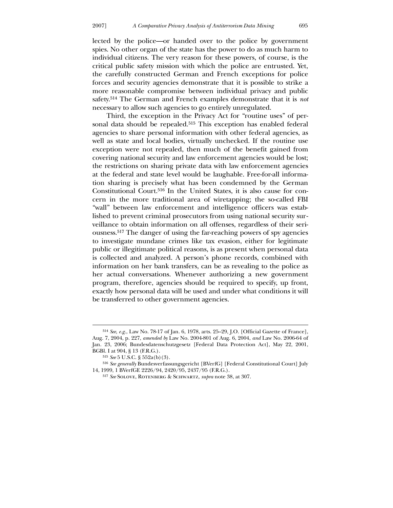lected by the police—or handed over to the police by government spies. No other organ of the state has the power to do as much harm to individual citizens. The very reason for these powers, of course, is the critical public safety mission with which the police are entrusted. Yet, the carefully constructed German and French exceptions for police forces and security agencies demonstrate that it is possible to strike a more reasonable compromise between individual privacy and public safety.514 The German and French examples demonstrate that it is *not* necessary to allow such agencies to go entirely unregulated.

 Third, the exception in the Privacy Act for "routine uses" of personal data should be repealed.<sup>515</sup> This exception has enabled federal agencies to share personal information with other federal agencies, as well as state and local bodies, virtually unchecked. If the routine use exception were not repealed, then much of the benefit gained from covering national security and law enforcement agencies would be lost; the restrictions on sharing private data with law enforcement agencies at the federal and state level would be laughable. Free-for-all information sharing is precisely what has been condemned by the German Constitutional Court.516 In the United States, it is also cause for concern in the more traditional area of wiretapping; the so-called FBI "wall" between law enforcement and intelligence officers was established to prevent criminal prosecutors from using national security surveillance to obtain information on all offenses, regardless of their seriousness.517 The danger of using the far-reaching powers of spy agencies to investigate mundane crimes like tax evasion, either for legitimate public or illegitimate political reasons, is as present when personal data is collected and analyzed. A person's phone records, combined with information on her bank transfers, can be as revealing to the police as her actual conversations. Whenever authorizing a new government program, therefore, agencies should be required to specify, up front, exactly how personal data will be used and under what conditions it will be transferred to other government agencies.

<u>.</u>

<sup>514</sup> *See*, *e.g.*, Law No. 78-17 of Jan. 6, 1978, arts. 25–29, J.O. [Official Gazette of France], Aug. 7, 2004, p. 227, *amended by* Law No. 2004-801 of Aug. 6, 2004, *and* Law No. 2006-64 of Jan. 23, 2006; Bundesdatenschutzgesetz [Federal Data Protection Act], May 22, 2001, BGBl. I at 904, § 13 (F.R.G.).

<sup>515</sup> *See* 5 U.S.C. § 552a(b)(3).

<sup>516</sup> *See generally* Bundesverfassungsgericht [BVerfG] [Federal Constitutional Court] July 14, 1999, 1 BVerfGE 2226/94, 2420/95, 2437/95 (F.R.G.).

<sup>517</sup> *See* Solove, Rotenberg & Schwartz, *supra* note 38, at 307.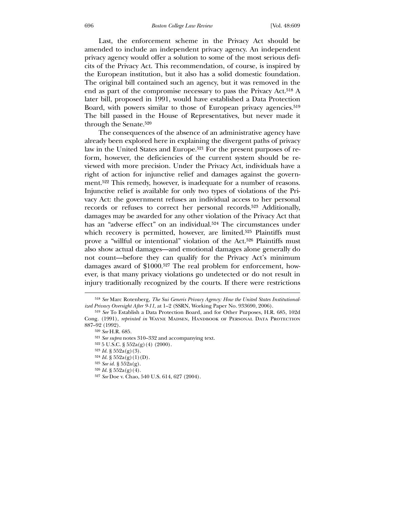Last, the enforcement scheme in the Privacy Act should be amended to include an independent privacy agency. An independent privacy agency would offer a solution to some of the most serious deficits of the Privacy Act. This recommendation, of course, is inspired by the European institution, but it also has a solid domestic foundation. The original bill contained such an agency, but it was removed in the end as part of the compromise necessary to pass the Privacy Act.518 A later bill, proposed in 1991, would have established a Data Protection Board, with powers similar to those of European privacy agencies.<sup>519</sup> The bill passed in the House of Representatives, but never made it through the Senate.520

 The consequences of the absence of an administrative agency have already been explored here in explaining the divergent paths of privacy law in the United States and Europe.<sup>521</sup> For the present purposes of reform, however, the deficiencies of the current system should be reviewed with more precision. Under the Privacy Act, individuals have a right of action for injunctive relief and damages against the government.522 This remedy, however, is inadequate for a number of reasons. Injunctive relief is available for only two types of violations of the Privacy Act: the government refuses an individual access to her personal records or refuses to correct her personal records.523 Additionally, damages may be awarded for any other violation of the Privacy Act that has an "adverse effect" on an individual.524 The circumstances under which recovery is permitted, however, are limited.<sup>525</sup> Plaintiffs must prove a "willful or intentional" violation of the Act.526 Plaintiffs must also show actual damages—and emotional damages alone generally do not count—before they can qualify for the Privacy Act's minimum damages award of \$1000.527 The real problem for enforcement, however, is that many privacy violations go undetected or do not result in injury traditionally recognized by the courts. If there were restrictions

- 523 *Id.* § 552a(g)(3).
- $524$  *Id.* §  $552a(g)(1)(D)$ .
- 525 *See id.* § 552a(g).
- 526 *Id.* § 552a(g)(4).

<sup>518</sup> *See* Marc Rotenberg, *The Sui Generis Privacy Agency: How the United States Institutionalized Privacy Oversight After 9-11*, at 1–2 (SSRN, Working Paper No. 933690, 2006).

<sup>519</sup> *See* To Establish a Data Protection Board, and for Other Purposes, H.R. 685, 102d Cong. (1991), *reprinted in* WAYNE MADSEN, HANDBOOK OF PERSONAL DATA PROTECTION 887–92 (1992).

<sup>520</sup> *See* H.R. 685.

<sup>521</sup> *See supra* notes 310–332 and accompanying text.

<sup>522</sup> 5 U.S.C. § 552a(g)(4) (2000).

<sup>527</sup> *See* Doe v. Chao, 540 U.S. 614, 627 (2004).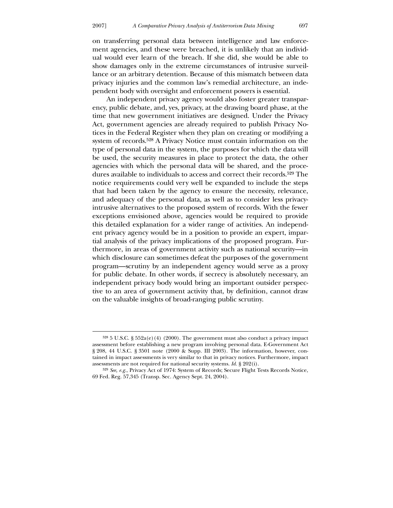-

on transferring personal data between intelligence and law enforcement agencies, and these were breached, it is unlikely that an individual would ever learn of the breach. If she did, she would be able to show damages only in the extreme circumstances of intrusive surveillance or an arbitrary detention. Because of this mismatch between data privacy injuries and the common law's remedial architecture, an independent body with oversight and enforcement powers is essential.

 An independent privacy agency would also foster greater transparency, public debate, and, yes, privacy, at the drawing board phase, at the time that new government initiatives are designed. Under the Privacy Act, government agencies are already required to publish Privacy Notices in the Federal Register when they plan on creating or modifying a system of records.528 A Privacy Notice must contain information on the type of personal data in the system, the purposes for which the data will be used, the security measures in place to protect the data, the other agencies with which the personal data will be shared, and the procedures available to individuals to access and correct their records.529 The notice requirements could very well be expanded to include the steps that had been taken by the agency to ensure the necessity, relevance, and adequacy of the personal data, as well as to consider less privacyintrusive alternatives to the proposed system of records. With the fewer exceptions envisioned above, agencies would be required to provide this detailed explanation for a wider range of activities. An independent privacy agency would be in a position to provide an expert, impartial analysis of the privacy implications of the proposed program. Furthermore, in areas of government activity such as national security—in which disclosure can sometimes defeat the purposes of the government program—scrutiny by an independent agency would serve as a proxy for public debate. In other words, if secrecy is absolutely necessary, an independent privacy body would bring an important outsider perspective to an area of government activity that, by definition, cannot draw on the valuable insights of broad-ranging public scrutiny.

 $5285$  U.S.C. §  $552a(e)(4)$  (2000). The government must also conduct a privacy impact assessment before establishing a new program involving personal data. E-Government Act § 208, 44 U.S.C. § 3501 note (2000 & Supp. III 2003). The information, however, contained in impact assessments is very similar to that in privacy notices. Furthermore, impact assessments are not required for national security systems. *Id.* § 202(i).

<sup>529</sup> *See, e.g.*, Privacy Act of 1974: System of Records; Secure Flight Tests Records Notice, 69 Fed. Reg. 57,345 (Transp. Sec. Agency Sept. 24, 2004).